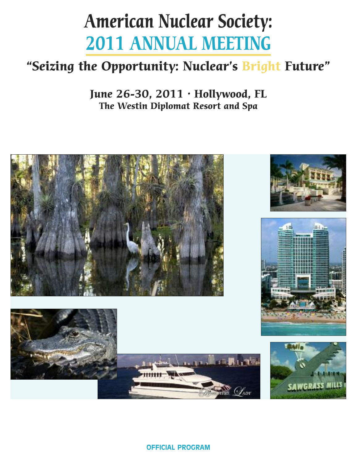# **American Nuclear Society: 2011 ANNUAL MEETING**

# **"Seizing the Opportunity: Nuclear's Bright Future"**

**June 26-30, 2011 • Hollywood, FL The Westin Diplomat Resort and Spa**

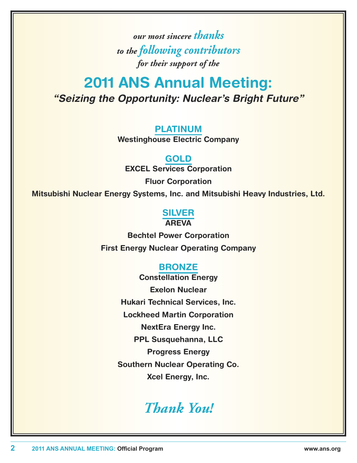*our most sincere thanks to the following contributors for their support of the*

# **2011 ANS Annual Meeting:** *"Seizing the Opportunity: Nuclear's Bright Future"*

## **PLATINUM**

**Westinghouse Electric Company**

**GOLD EXCEL Services Corporation**

**Fluor Corporation**

**Mitsubishi Nuclear Energy Systems, Inc. and Mitsubishi Heavy Industries, Ltd.**

### **SILVER AREVA**

**Bechtel Power Corporation First Energy Nuclear Operating Company**

# **BRONZE**

**Constellation Energy Exelon Nuclear Hukari Technical Services, Inc. Lockheed Martin Corporation NextEra Energy Inc. PPL Susquehanna, LLC Progress Energy Southern Nuclear Operating Co. Xcel Energy, Inc.**

# *Thank You!*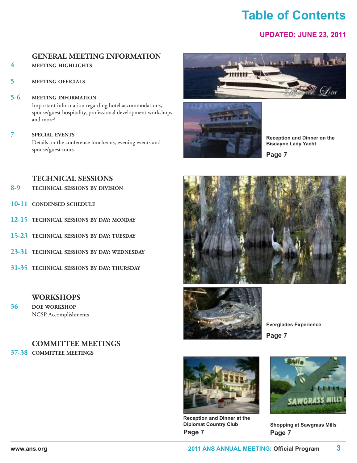# **table of Contents**

### **uPDAteD: JuNe 23, 2011**

# **GENERAL MEETING INFORMATION**

### **4 MEETING HIGHLIGHTS**

**5 MEETING OFFICIALS**

# **5-6 MEETING INFORMATION** Important information regarding hotel accommodations,

spouse/guest hospitality, professional development workshops and more!

**7 SPECIAL EVENTS**

Details on the conference luncheons, evening events and spouse/guest tours.





**Reception and Dinner on the Biscayne lady Yacht**

**Page 7**

### **TECHNICAL SESSIONS**

- **8-9 TECHNICAL SESSIONS BY DIVISION**
- **10-11 CONDENSED SCHEDULE**
- **12-15 TECHNICAL SESSIONS BY DAY: MONDAY**
- **15-23 TECHNICAL SESSIONS BY DAY: TUESDAY**
- **23-31 TECHNICAL SESSIONS BY DAY: WEDNESDAY**
- **31-35 TECHNICAL SESSIONS BY DAY: THURSDAY**

### **WORKSHOPS**

**36 DOE WORKSHOP** NCSP Accomplishments

### **COMMITTEE MEETINGS**

**37-38 COMMITTEE MEETINGS**





**everglades experience Page 7**



**Reception and Dinner at the Diplomat Country Club Page 7**



**Shopping at Sawgrass Mills Page 7**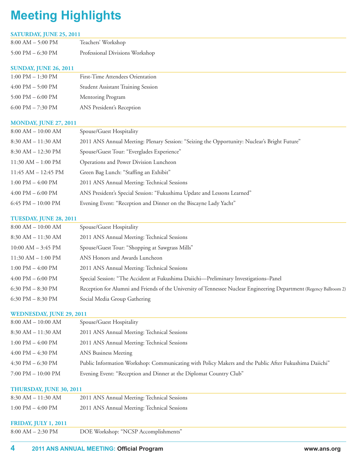# **Meeting Highlights**

#### **SATURDAY, JUNE 25, 2011**

| $8:00$ AM $-$ 5:00 PM | Teachers' Workshop              |
|-----------------------|---------------------------------|
| 5:00 PM $-$ 6:30 PM   | Professional Divisions Workshop |

#### **SUNDAY, JUNE 26, 2011**

| $1:00 \text{ PM} - 1:30 \text{ PM}$ | First-Time Attendees Orientation          |
|-------------------------------------|-------------------------------------------|
| $4:00 \text{ PM} - 5:00 \text{ PM}$ | <b>Student Assistant Training Session</b> |
| 5:00 PM $-$ 6:00 PM                 | Mentoring Program                         |
| 6:00 PM $- 7:30$ PM                 | ANS President's Reception                 |

### **MONDAY, JUNE 27, 2011**

| $8:00$ AM $- 10:00$ AM              | Spouse/Guest Hospitality                                                                     |
|-------------------------------------|----------------------------------------------------------------------------------------------|
| $8:30$ AM $-11:30$ AM               | 2011 ANS Annual Meeting: Plenary Session: "Seizing the Opportunity: Nuclear's Bright Future" |
| $8:30$ AM $- 12:30$ PM              | Spouse/Guest Tour: "Everglades Experience"                                                   |
| $11:30$ AM $- 1:00$ PM              | Operations and Power Division Luncheon                                                       |
| $11:45$ AM $- 12:45$ PM             | Green Bag Lunch: "Staffing an Exhibit"                                                       |
| $1:00 \text{ PM} - 4:00 \text{ PM}$ | 2011 ANS Annual Meeting: Technical Sessions                                                  |
| $4:00 \text{ PM} - 6:00 \text{ PM}$ | ANS President's Special Session: "Fukushima Update and Lessons Learned"                      |
| 6:45 PM $-$ 10:00 PM                | Evening Event: "Reception and Dinner on the Biscayne Lady Yacht"                             |

#### **TUESDAY, JUNE 28, 2011**

| $8:00 \text{ AM} - 10:00 \text{ AM}$ | Spouse/Guest Hospitality                                                                                            |
|--------------------------------------|---------------------------------------------------------------------------------------------------------------------|
| $8:30$ AM $-11:30$ AM                | 2011 ANS Annual Meeting: Technical Sessions                                                                         |
| $10:00$ AM $-$ 3:45 PM               | Spouse/Guest Tour: "Shopping at Sawgrass Mills"                                                                     |
| $11:30$ AM $- 1:00$ PM               | ANS Honors and Awards Luncheon                                                                                      |
| $1:00 \text{ PM} - 4:00 \text{ PM}$  | 2011 ANS Annual Meeting: Technical Sessions                                                                         |
| $4:00 \text{ PM} - 6:00 \text{ PM}$  | Special Session: "The Accident at Fukushima Daiichi—Preliminary Investigations–Panel                                |
| 6:30 PM $-$ 8:30 PM                  | Reception for Alumni and Friends of the University of Tennessee Nuclear Engineering Department (Regency Ballroom 2) |
| 6:30 PM $-$ 8:30 PM                  | Social Media Group Gathering                                                                                        |

#### **WEDNESDAY, JUNE 29, 2011**

| $8:00 \text{ AM} - 10:00 \text{ AM}$ | Spouse/Guest Hospitality                                                                              |
|--------------------------------------|-------------------------------------------------------------------------------------------------------|
| $8:30$ AM $-11:30$ AM                | 2011 ANS Annual Meeting: Technical Sessions                                                           |
| $1:00 \text{ PM} - 4:00 \text{ PM}$  | 2011 ANS Annual Meeting: Technical Sessions                                                           |
| $4:00 \text{ PM} - 4:30 \text{ PM}$  | <b>ANS Business Meeting</b>                                                                           |
| $4:30 \text{ PM} - 6:30 \text{ PM}$  | Public Information Workshop: Communicating with Policy Makers and the Public After Fukushima Daiichi" |
| $7:00 \text{ PM} - 10:00 \text{ PM}$ | Evening Event: "Reception and Dinner at the Diplomat Country Club"                                    |
|                                      |                                                                                                       |

#### **THURSDAY, JUNE 30, 2011**

| $8:30$ AM $-11:30$ AM               | 2011 ANS Annual Meeting: Technical Sessions |
|-------------------------------------|---------------------------------------------|
| $1:00 \text{ PM} - 4:00 \text{ PM}$ | 2011 ANS Annual Meeting: Technical Sessions |

#### **FRIDAY, JULY 1, 2011**

| $8:00$ AM $- 2:30$ PM |  | DOE Workshop: "NCSP Accomplishments" |
|-----------------------|--|--------------------------------------|
|-----------------------|--|--------------------------------------|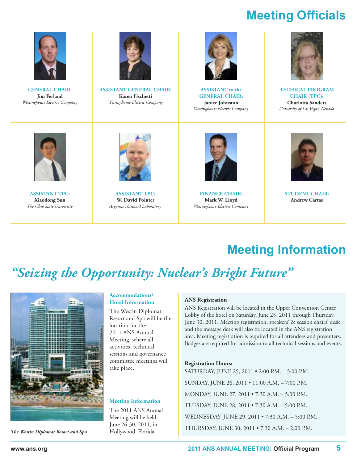# **Meeting Officials**



**GENERAL CHAIR: Jim Ferland** *Westinghouse Electric Company*



**ASSISTANT GENERAL CHAIR: Karen Fischetti** *Westinghouse Electric Company*



**ASSISTANT to the GENERAL CHAIR: Janice Johnston** *Westinghouse Electric Company*



**TECHICAL PROGRAM CHAIR (TPC): Charlotta Sanders** *University of Las Vegas, Nevada*



**ASSISTANT TPC: Xiaodong Sun** *The Ohio State University*



**ASSISTANT TPC: W. David Pointer** *Argonne National Laboratory*



**FINANCE CHAIR: Mark W. Lloyd** *Westinghouse Electric Company*



**STUDENT CHAIR: Andrew Cartas**

# **Meeting information**

# *"Seizing the Opportunity: Nuclear ' s Bright Future "*



*The Westin Diplomat Resort and Spa* Hollywood, Florida.

#### **Accommodations/ Hotel Information**

The Westin Diplomat Resort and Spa will be the location for the 2011 ANS Annual Meeting, where all activities, technical sessions and governance committee meetings will take place.

#### **Meeting Information**

The 2011 ANS Annual Meeting will be held June 26-30, 2011, in

#### **ANS Registration**

ANS Registration will be located in the Upper Convention Center Lobby of the hotel on Saturday, June 25, 2011 through Thursday, June 30, 2011. Meeting registration, speakers' & session chairs' desk and the message desk will also be located in the ANS registration area. Meeting registration is required for all attendees and presenters. Badges are required for admission to all technical sessions and events.

#### **Registration Hours:**

SATURDAY, JUNE 25, 2011 • 2:00 P.M. – 5:00 P.M. SUNDAY, JUNE 26, 2011 • 11:00 A.M. – 7:00 P.M. MONDAY, JUNE 27, 2011 • 7:30 A.M. – 5:00 P.M. TUESDAY, JUNE 28, 2011 • 7:30 A.M. – 5:00 P.M. WEDNESDAY, JUNE 29, 2011 • 7:30 A.M. – 5:00 P.M. THURSDAY, JUNE 30, 2011 • 7:30 A.M. – 2:00 P.M.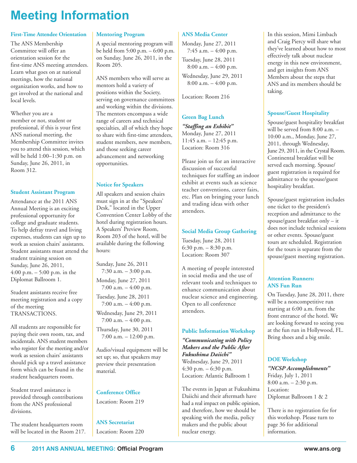# **Meeting information**

#### **First-Time Attendee Orientation**

The ANS Membership Committee will offer an orientation session for the first-time ANS meeting attendees. Learn what goes on at national meetings, how the national organization works, and how to get involved at the national and local levels.

Whether you are a member or not, student or professional, if this is your first ANS national meeting, the Membership Committee invites you to attend this session, which will be held 1:00–1:30 p.m. on Sunday, June 26, 2011, in Room 312.

#### **Student Assistant Program**

Attendance at the 2011 ANS Annual Meeting is an exciting professional opportunity for college and graduate students. To help defray travel and living expenses, students can sign up to work as session chairs' assistants. Student assistants must attend the student training session on Sunday, June 26, 2011, 4:00 p.m. – 5:00 p.m. in the Diplomat Ballroom 1.

Student assistants receive free meeting registration and a copy of the meeting TRANSACTIONS.

All students are responsible for paying their own room, tax, and incidentals. ANS student members who register for the meeting and/or work as session chairs' assistants should pick up a travel assistance form which can be found in the student headquarters room.

Student travel assistance is provided through contributions from the ANS professional divisions.

The student headquarters room will be located in the Room 217.

#### **Mentoring Program**

A special mentoring program will be held from 5:00 p.m. – 6:00 p.m. on Sunday, June 26, 2011, in the Room 205.

ANS members who will serve as mentors hold a variety of positions within the Society, serving on governance committees and working within the divisions. The mentors encompass a wide range of careers and technical specialties, all of which they hope to share with first-time attendees, student members, new members, and those seeking career advancement and networking opportunities.

#### **Notice for Speakers**

All speakers and session chairs must sign in at the "Speakers' Desk," located in the Upper Convention Center Lobby of the hotel during registration hours. A Speakers' Preview Room, Room 203 of the hotel, will be available during the following hours:

Sunday, June 26, 2011 7:30 a.m. – 3:00 p.m. Monday, June 27, 2011 7:00 a.m. – 4:00 p.m. Tuesday, June 28, 2011  $7:00$  a.m.  $-4:00$  p.m.

Wednesday, June 29, 2011 7:00 a.m. – 4:00 p.m.

Thursday, June 30, 2011 7:00 a.m. – 12:00 p.m.

Audio/visual equipment will be set up; so, that speakers may preview their presentation material.

### **Conference Office**

Location: Room 219

**ANS Secretariat** Location: Room 220

#### **ANS Media Center**

Monday, June 27, 2011 7:45 a.m. – 4:00 p.m.

Tuesday, June 28, 2011 8:00 a.m. – 4:00 p.m.

Wednesday, June 29, 2011 8:00 a.m. – 4:00 p.m.

Location: Room 216

#### **Green Bag Lunch**

*"Staffing an Exhibit"* Monday, June 27, 2011 11:45 a.m. – 12:45 p.m. Location: Room 316

Please join us for an interactive discussion of successful techniques for staffing an indoor exhibit at events such as science teacher conventions, career fairs, etc. Plan on bringing your lunch and trading ideas with other attendees.

#### **Social Media Group Gathering**

Tuesday, June 28, 2011 6:30 p.m. – 8:30 p.m. Location: Room 307

A meeting of people interested in social media and the use of relevant tools and techniques to enhance communication about nuclear science and engineering. Open to all conference attendees.

#### **Public Information Workshop**

*"Communicating with Policy Makers and the Public After Fukushima Daiichi"* Wednesday, June 29, 2011 4:30 p.m. – 6:30 p.m. Location: Atlantic Ballroom 1

The events in Japan at Fukushima Daiichi and their aftermath have had a real impact on public opinion, and therefore, how we should be speaking with the media, policy makers and the public about nuclear energy.

In this session, Mimi Limbach and Craig Piercy will share what they've learned about how to most effectively talk about nuclear energy in this new environment, and get insights from ANS Members about the steps that ANS and its members should be taking.

#### **Spouse/Guest Hospitality**

Spouse/guest hospitality breakfast will be served from 8:00 a.m. – 10:00 a.m., Monday, June 27, 2011, through Wednesday, June 29, 2011, in the Crystal Room. Continental breakfast will be served each morning. Spouse/ guest registration is required for admittance to the spouse/guest hospitality breakfast.

Spouse/guest registration includes one ticket to the president's reception and admittance to the spouse/guest breakfast only – it does not include technical sessions or other events. Spouse/guest tours are scheduled. Registration for the tours is separate from the spouse/guest meeting registration.

#### **Attention Runners: ANS Fun Run**

On Tuesday, June 28, 2011, there will be a noncompetitive run starting at 6:00 a.m. from the front entrance of the hotel. We are looking forward to seeing you at the fun run in Hollywood, FL. Bring shoes and a big smile.

### **DOE Workshop**

*"NCSP Accomplishments"* Friday, July 1, 2011 8:00 a.m. – 2:30 p.m. Location: Diplomat Ballroom 1 & 2

There is no registration fee for this workshop. Please turn to page 36 for additional information.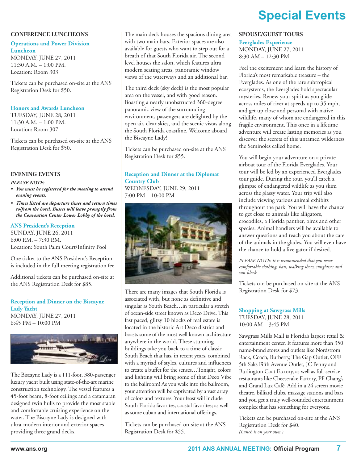#### **CONFERENCE LUNCHEONS**

#### **Operations and Power Division Luncheon**

MONDAY, JUNE 27, 2011 11:30 A.M. – 1:00 P.M. Location: Room 303

Tickets can be purchased on-site at the ANS Registration Desk for \$50.

#### **Honors and Awards Luncheon**

TUESDAY, JUNE 28, 2011 11:30 A.M. – 1:00 P.M. Location: Room 307

Tickets can be purchased on-site at the ANS Registration Desk for \$50.

#### **EVENING EVENTS**

#### *PLEASE NOTE:*

- *• You must be registered for the meeting to attend evening events.*
- *• Times listed are departure times and return times to/from the hotel. Busses will leave promptly from the Convention Center Lower Lobby of the hotel.*

#### **ANS President's Reception**

SUNDAY, JUNE 26, 2011 6:00 P.M. – 7:30 P.M. Location: South Palm Court/Infinity Pool

One ticket to the ANS President's Reception is included in the full meeting registration fee.

Additional tickets can be purchased on-site at the ANS Registration Desk for \$85.

#### **Reception and Dinner on the Biscayne Lady Yacht** MONDAY, JUNE 27, 2011 6:45 PM – 10:00 PM



The Biscayne Lady is a 111-foot, 380-passenger luxury yacht built using state-of-the-art marine construction technology. The vessel features a 45-foot beam, 8-foot ceilings and a catamaran designed twin hulls to provide the most stable and comfortable cruising experience on the water. The Biscayne Lady is designed with ultra-modern interior and exterior spaces – providing three grand decks.

The main deck houses the spacious dining area with two main bars. Exterior spaces are also available for guests who want to step out for a breath of that South Florida air. The second level houses the salon, which features ultra modern seating areas, panoramic window views of the waterways and an additional bar.

The third deck (sky deck) is the most popular area on the vessel, and with good reason. Boasting a nearly unobstructed 360-degree panoramic view of the surrounding environment, passengers are delighted by the open air, clear skies, and the scenic vistas along the South Florida coastline. Welcome aboard the Biscayne Lady!

Tickets can be purchased on-site at the ANS Registration Desk for \$55.

#### **Reception and Dinner at the Diplomat Country Club**

WEDNESDAY, JUNE 29, 2011 7:00 PM – 10:00 PM



There are many images that South Florida is associated with, but none as definitive and singular as South Beach…in particular a stretch of ocean-side street known as Deco Drive. This fast paced, glitzy 10 blocks of real estate is located in the historic Art Deco district and boasts some of the most well known architecture anywhere in the world. These stunning buildings take you back to a time of classic South Beach that has, in recent years, combined with a myriad of styles, cultures and influences to create a buffet for the senses…Tonight, colors and lighting will bring some of that Deco Vibe to the ballroom! As you walk into the ballroom, your attention will be captivated by a vast array of colors and textures. Your feast will include South Florida favorites, coastal favorites; as well as some cuban and international offerings.

Tickets can be purchased on-site at the ANS Registration Desk for \$55.

# **Special Events**

#### **SPOUSE/GUEST TOURS**

**Everglades Experience** MONDAY, JUNE 27, 2011

8:30 AM – 12:30 PM

Feel the excitement and learn the history of Florida's most remarkable treasure – the Everglades. As one of the rare subtropical ecosystems, the Everglades hold spectacular mysteries. Renew your spirit as you glide across miles of river at speeds up to 35 mph, and get up close and personal with native wildlife, many of whom are endangered in this fragile environment. This once in a lifetime adventure will create lasting memories as you discover the secrets of this untamed wilderness the Seminoles called home.

You will begin your adventure on a private airboat tour of the Florida Everglades. Your tour will be led by an experienced Everglades tour guide. During the tour, you'll catch a glimpse of endangered wildlife as you skim across the glassy water. Your trip will also include viewing various animal exhibits throughout the park. You will have the chance to get close to animals like alligators, crocodiles, a Florida panther, birds and other species. Animal handlers will be available to answer questions and teach you about the care of the animals in the glades. You will even have the chance to hold a live gator if desired.

*PLEASE NOTE: It is recommended that you wear comfortable clothing, hats, walking shoes, sunglasses and sun-block.*

Tickets can be purchased on-site at the ANS Registration Desk for \$73.

### **Shopping at Sawgrass Mills**

TUESDAY, JUNE 28, 2011 10:00 AM – 3:45 PM

Sawgrass Mills Mall is Florida's largest retail & entertainment center. It features more than 350 name-brand stores and outlets like Nordstrom Rack, Coach, Burberry, The Gap Outlet, OFF 5th Saks Fifth Avenue Outlet, JC Penny and Burlington Coat Factory, as well as full-service restaurants like Cheesecake Factory, PF Chang's and Grand Lux Café. Add in a 24 screen movie theatre, billiard clubs, massage stations and bars and you get a truly well-rounded entertainment complex that has something for everyone.

Tickets can be purchased on-site at the ANS Registration Desk for \$40. *(Lunch is on your own.)*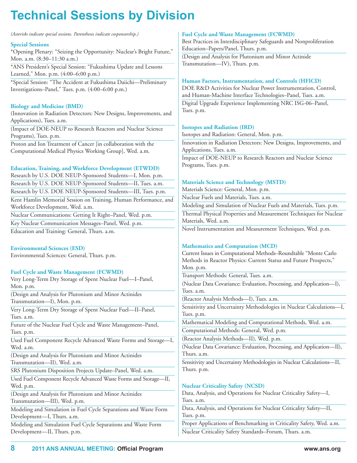# **technical Sessions by Division**

*(Asterisks indicate special sessions. Parentheses indicate cosponsorship.)*

#### **Special Sessions**

\*Opening Plenary: "Seizing the Opportunity: Nuclear's Bright Future," Mon. a.m. (8:30–11:30 a.m.) \*ANS President's Special Session: "Fukushima Update and Lessons

Learned," Mon. p.m. (4:00–6:00 p.m.)

\*Special Session: "The Accident at Fukushima Daiichi—Preliminary Investigations–Panel," Tues. p.m. (4:00–6:00 p.m.)

#### **Biology and Medicine (BMD)**

(Innovation in Radiation Detectors: New Designs, Improvements, and Applications), Tues. a.m.

(Impact of DOE-NEUP to Research Reactors and Nuclear Science Programs), Tues. p.m.

Proton and Ion Treatment of Cancer [in collaboration with the Computational Medical Physics Working Group], Wed. a.m.

#### **Education, Training, and Workforce Development (ETWDD)**

Research by U.S. DOE NEUP-Sponsored Students—I, Mon. p.m. Research by U.S. DOE NEUP-Sponsored Students—II, Tues. a.m. Research by U.S. DOE NEUP-Sponsored Students—III, Tues. p.m. Kent Hamlin Memorial Session on Training, Human Performance, and Workforce Development, Wed. a.m. Nuclear Communications: Getting It Right–Panel, Wed. p.m. Key Nuclear Communication Messages–Panel, Wed. p.m.

Education and Training: General, Thurs. a.m.

#### **Environmental Sciences (ESD)**

Environmental Sciences: General, Thurs. p.m.

#### **Fuel Cycle and Waste Management (FCWMD)**

Very Long-Term Dry Storage of Spent Nuclear Fuel—I–Panel, Mon. p.m.

(Design and Analysis for Plutonium and Minor Actinides Transmutation—I), Mon. p.m.

Very Long-Term Dry Storage of Spent Nuclear Fuel—II–Panel, Tues. a.m.

Future of the Nuclear Fuel Cycle and Waste Management–Panel, Tues. p.m.

Used Fuel Component Recycle Advanced Waste Forms and Storage—I, Wed. a.m.

(Design and Analysis for Plutonium and Minor Actinides Transmutation—II), Wed. a.m.

SRS Plutonium Disposition Projects Update–Panel, Wed. a.m.

Used Fuel Component Recycle Advanced Waste Forms and Storage—II, Wed. p.m.

(Design and Analysis for Plutonium and Minor Actinides Transmutation—III), Wed. p.m.

Modeling and Simulation in Fuel Cycle Separations and Waste Form Development—I, Thurs. a.m.

Modeling and Simulation Fuel Cycle Separations and Waste Form Development—II, Thurs. p.m.

#### **Fuel Cycle and Waste Management (FCWMD)**

Best Practices in Interdisciplinary Safeguards and Nonproliferation Education–Papers/Panel, Thurs. p.m. (Design and Analysis for Plutonium and Minor Actinide

Transmutation—IV), Thurs. p.m.

#### **Human Factors, Instrumentation, and Controls (HFICD)**

DOE R&D Activities for Nuclear Power Instrumentation, Control, and Human-Machine Interface Technologies–Panel, Tues. a.m. Digital Upgrade Experience Implementing NRC ISG-06–Panel,

**Isotopes and Radiation (IRD)**

Tues. p.m.

Isotopes and Radiation: General, Mon. p.m.

Innovation in Radiation Detectors: New Designs, Improvements, and Applications, Tues. a.m.

Impact of DOE-NEUP to Research Reactors and Nuclear Science Programs, Tues. p.m.

#### **Materials Science and Technology (MSTD)**

Materials Science: General, Mon. p.m.

Nuclear Fuels and Materials, Tues. a.m.

Modeling and Simulation of Nuclear Fuels and Materials, Tues. p.m. Thermal Physical Properties and Measurement Techniques for Nuclear Materials, Wed. a.m.

Novel Instrumentation and Measurement Techniques, Wed. p.m.

#### **Mathematics and Computation (MCD)**

Current Issues in Computational Methods–Roundtable "Monte Carlo Methods in Reactor Physics: Current Status and Future Prospects," Mon. p.m.

Transport Methods: General, Tues. a.m.

(Nuclear Data Covariance: Evaluation, Processing, and Application—I), Tues. a.m.

(Reactor Analysis Methods—I), Tues. a.m.

Sensitivity and Uncertainty Methodologies in Nuclear Calculations—I, Tues. p.m.

Mathematical Modeling and Computational Methods, Wed. a.m.

Computational Methods: General, Wed. p.m.

(Reactor Analysis Methods—II), Wed. p.m.

(Nuclear Data Covariance: Evaluation, Processing, and Application—II), Thurs. a.m.

Sensitivity and Uncertainty Methodologies in Nuclear Calculations—II, Thurs. p.m.

#### **Nuclear Criticality Safety (NCSD)**

Data, Analysis, and Operations for Nuclear Criticality Safety—I, Tues. a.m. Data, Analysis, and Operations for Nuclear Criticality Safety—II,

Tues. p.m.

Proper Applications of Benchmarking in Criticality Safety, Wed. a.m. Nuclear Criticality Safety Standards–Forum, Thurs. a.m.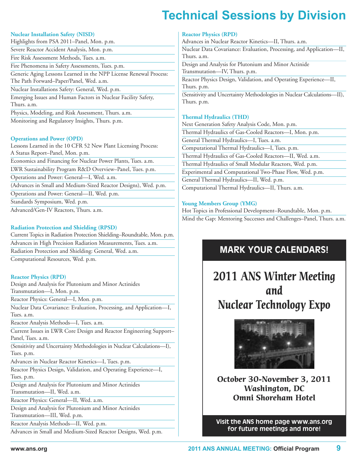# **technical Sessions by Division**

#### **Nuclear Installation Safety (NISD)**

| Highlights from PSA 2011–Panel, Mon. p.m.                                                                    |
|--------------------------------------------------------------------------------------------------------------|
| Severe Reactor Accident Analysis, Mon. p.m.                                                                  |
| Fire Risk Assessment Methods, Tues. a.m.                                                                     |
| Fire Phenomena in Safety Assessments, Tues. p.m.                                                             |
| Generic Aging Lessons Learned in the NPP License Renewal Process:<br>The Path Forward–Paper/Panel, Wed. a.m. |
| Nuclear Installations Safety: General, Wed. p.m.                                                             |
| Emerging Issues and Human Factors in Nuclear Facility Safety,<br>Thurs. a.m.                                 |
| Physics, Modeling, and Risk Assessment, Thurs. a.m.                                                          |

Monitoring and Regulatory Insights, Thurs. p.m.

#### **Operations and Power (OPD)**

Lessons Learned in the 10 CFR 52 New Plant Licensing Process: A Status Report–Panel, Mon. p.m. Economics and Financing for Nuclear Power Plants, Tues. a.m. LWR Sustainability Program R&D Overview–Panel, Tues. p.m. Operations and Power: General—I, Wed. a.m. (Advances in Small and Medium-Sized Reactor Designs), Wed. p.m. Operations and Power: General—II, Wed. p.m. Standards Symposium, Wed. p.m.

Advanced/Gen-IV Reactors, Thurs. a.m.

#### **Radiation Protection and Shielding (RPSD)**

Current Topics in Radiation Protection Shielding–Roundtable, Mon. p.m. Advances in High Precision Radiation Measurements, Tues. a.m. Radiation Protection and Shielding: General, Wed. a.m. Computational Resources, Wed. p.m.

#### **Reactor Physics (RPD)**

Design and Analysis for Plutonium and Minor Actinides Transmutation—I, Mon. p.m.

Reactor Physics: General—I, Mon. p.m.

Nuclear Data Covariance: Evaluation, Processing, and Application—I, Tues. a.m.

Reactor Analysis Methods—I, Tues. a.m.

Current Issues in LWR Core Design and Reactor Engineering Support– Panel, Tues. a.m.

(Sensitivity and Uncertainty Methodologies in Nuclear Calculations—I), Tues. p.m.

Advances in Nuclear Reactor Kinetics—I, Tues. p.m.

Reactor Physics Design, Validation, and Operating Experience—I, Tues. p.m.

Design and Analysis for Plutonium and Minor Actinides Transmutation—II, Wed. a.m.

Reactor Physics: General—II, Wed. a.m.

Design and Analysis for Plutonium and Minor Actinides Transmutation—III, Wed. p.m.

Reactor Analysis Methods—II, Wed. p.m.

Advances in Small and Medium-Sized Reactor Designs, Wed. p.m.

#### **Reactor Physics (RPD)**

Advances in Nuclear Reactor Kinetics—II, Thurs. a.m. Nuclear Data Covariance: Evaluation, Processing, and Application—II, Thurs. a.m. Design and Analysis for Plutonium and Minor Actinide Transmutation—IV, Thurs. p.m. Reactor Physics Design, Validation, and Operating Experience—II, Thurs. p.m. (Sensitivity and Uncertainty Methodologies in Nuclear Calculations—II), Thurs. p.m.

#### **Thermal Hydraulics (THD)**

Next Generation Safety Analysis Code, Mon. p.m. Thermal Hydraulics of Gas-Cooled Reactors—I, Mon. p.m. General Thermal Hydraulics—I, Tues. a.m. Computational Thermal Hydraulics—I, Tues. p.m. Thermal Hydraulics of Gas-Cooled Reactors—II, Wed. a.m. Thermal Hydraulics of Small Modular Reactors, Wed. p.m. Experimental and Computational Two-Phase Flow, Wed. p.m. General Thermal Hydraulics—II, Wed. p.m. Computational Thermal Hydraulics—II, Thurs. a.m.

#### **Young Members Group (YMG)**

Hot Topics in Professional Development–Roundtable, Mon. p.m. Mind the Gap: Mentoring Successes and Challenges–Panel, Thurs. a.m.

# **MARK YOUR CALENDARS!**

**2011 ANS Winter Meeting and Nuclear Technology Expo**



**October 30-November 3, 2011 Washington, DC Omni Shoreham Hotel**

**Visit the ANS home page www.ans.org for future meetings and more!**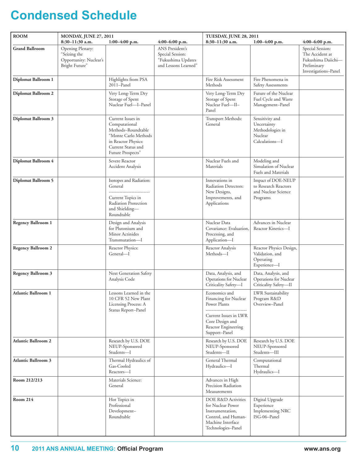# **Condensed Schedule**

| <b>ROOM</b>                | <b>MONDAY, JUNE 27, 2011</b>                                                 |                                                                                                                                                    | TUESDAY, JUNE 28, 2011                                                            |                                                                                                                               |                                                                                 |                                                                                                  |
|----------------------------|------------------------------------------------------------------------------|----------------------------------------------------------------------------------------------------------------------------------------------------|-----------------------------------------------------------------------------------|-------------------------------------------------------------------------------------------------------------------------------|---------------------------------------------------------------------------------|--------------------------------------------------------------------------------------------------|
|                            | 8:30-11:30 a.m.                                                              | $1:00-4:00$ p.m.                                                                                                                                   | $4:00-6:00$ p.m.                                                                  | 8:30-11:30 a.m.                                                                                                               | $1:00-4:00$ p.m.                                                                | $4:00-6:00$ p.m.                                                                                 |
| <b>Grand Ballroom</b>      | Opening Plenary:<br>"Seizing the<br>Opportunity: Nuclear's<br>Bright Future" |                                                                                                                                                    | ANS President's<br>Special Session:<br>"Fukushima Updates<br>and Lessons Learned" |                                                                                                                               |                                                                                 | Special Session:<br>The Accident at<br>Fukushima Daiichi-<br>Preliminary<br>Investigations-Panel |
| Diplomat Ballroom 1        |                                                                              | Highlights from PSA<br>2011-Panel                                                                                                                  |                                                                                   | Fire Risk Assessment<br>Methods                                                                                               | Fire Phenomena in<br>Safety Assessments                                         |                                                                                                  |
| Diplomat Ballroom 2        |                                                                              | Very Long-Term Dry<br>Storage of Spent<br>Nuclear Fuel-I-Panel                                                                                     |                                                                                   | Very Long-Term Dry<br>Storage of Spent<br>Nuclear Fuel-II-<br>Panel                                                           | Future of the Nuclear<br>Fuel Cycle and Waste<br>Management-Panel               |                                                                                                  |
| Diplomat Ballroom 3        |                                                                              | Current Issues in<br>Computational<br>Methods-Roundtable<br>"Monte Carlo Methods<br>in Reactor Physics:<br>Current Status and<br>Future Prospects" |                                                                                   | Transport Methods:<br>General                                                                                                 | Sensitivity and<br>Uncertainty<br>Methodologies in<br>Nuclear<br>Calculations-I |                                                                                                  |
| Diplomat Ballroom 4        |                                                                              | Severe Reactor<br><b>Accident Analysis</b>                                                                                                         |                                                                                   | Nuclear Fuels and<br>Materials                                                                                                | Modeling and<br>Simulation of Nuclear<br><b>Fuels and Materials</b>             |                                                                                                  |
| <b>Diplomat Ballroom 5</b> |                                                                              | Isotopes and Radiation:<br>General<br>Current Topics in<br>Radiation Protection<br>and Shielding-<br>Roundtable                                    |                                                                                   | Innovations in<br>Radiation Detectors:<br>New Designs,<br>Improvements, and<br>Applications                                   | Impact of DOE-NEUP<br>to Research Reactors<br>and Nuclear Science<br>Programs   |                                                                                                  |
| <b>Regency Ballroom 1</b>  |                                                                              | Design and Analysis<br>for Plutonium and<br>Minor Actinides<br>Transmutation-I                                                                     |                                                                                   | Nuclear Data<br>Covariance: Evaluation,<br>Processing, and<br>Application-I                                                   | Advances in Nuclear<br>Reactor Kinetics-I                                       |                                                                                                  |
| <b>Regency Ballroom 2</b>  |                                                                              | Reactor Physics:<br>General—I                                                                                                                      |                                                                                   | Reactor Analysis<br>Methods-I                                                                                                 | Reactor Physics Design,<br>Validation, and<br>Operating<br>Experience-I         |                                                                                                  |
| <b>Regency Ballroom 3</b>  |                                                                              | Next Generation Safety<br>Analysis Code                                                                                                            |                                                                                   | Data, Analysis, and<br>Operations for Nuclear<br>Criticality Safety-I                                                         | Data, Analysis, and<br>Operations for Nuclear<br>Criticality Safety-II          |                                                                                                  |
| <b>Atlantic Ballroom 1</b> |                                                                              | Lessons Learned in the<br>10 CFR 52 New Plant<br>Licensing Process: A<br>Status Report-Panel                                                       |                                                                                   | Economics and<br>Financing for Nuclear<br>Power Plants                                                                        | LWR Sustainability<br>Program R&D<br>Overview-Panel                             |                                                                                                  |
|                            |                                                                              |                                                                                                                                                    |                                                                                   | Current Issues in LWR<br>Core Design and<br>Reactor Engineering<br>Support-Panel                                              |                                                                                 |                                                                                                  |
| <b>Atlantic Ballroom 2</b> |                                                                              | Research by U.S. DOE<br>NEUP-Sponsored<br>Students-I                                                                                               |                                                                                   | Research by U.S. DOE<br>NEUP-Sponsored<br>Students-II                                                                         | Research by U.S. DOE<br>NEUP-Sponsored<br>Students-III                          |                                                                                                  |
| <b>Atlantic Ballroom 3</b> |                                                                              | Thermal Hydraulics of<br>Gas-Cooled<br>Reactors-I                                                                                                  |                                                                                   | General Thermal<br>Hydraulics-I                                                                                               | Computational<br>Thermal<br>Hydraulics-I                                        |                                                                                                  |
| Room 212/213               |                                                                              | Materials Science:<br>General                                                                                                                      |                                                                                   | Advances in High<br>Precision Radiation<br>Measurements                                                                       |                                                                                 |                                                                                                  |
| <b>Room 214</b>            |                                                                              | Hot Topics in<br>Professional<br>Development-<br>Roundtable                                                                                        |                                                                                   | DOE R&D Activities<br>for Nuclear Power<br>Instrumentation,<br>Control, and Human-<br>Machine Interface<br>Technologies-Panel | Digital Upgrade<br>Experience<br>Implementing NRC<br>ISG-06-Panel               |                                                                                                  |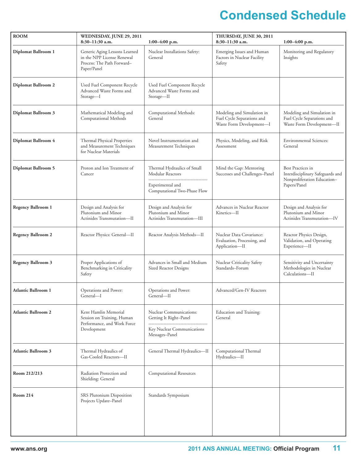# **Condensed Schedule**

| <b>ROOM</b>                                | WEDNESDAY, JUNE 29, 2011<br>8:30-11:30 a.m.<br>$1:00-4:00$ p.m.                                          |                                                                                         | THURSDAY, JUNE 30, 2011<br>8:30-11:30 a.m.<br>$1:00-4:00$ p.m.                       |                                                                                       |  |
|--------------------------------------------|----------------------------------------------------------------------------------------------------------|-----------------------------------------------------------------------------------------|--------------------------------------------------------------------------------------|---------------------------------------------------------------------------------------|--|
| Diplomat Ballroom 1                        | Generic Aging Lessons Learned<br>in the NPP License Renewal<br>Process: The Path Forward-<br>Paper/Panel | Nuclear Installations Safety:<br>General                                                | Emerging Issues and Human<br>Factors in Nuclear Facility<br>Safety                   | Monitoring and Regulatory<br>Insights                                                 |  |
| Diplomat Ballroom 2                        | Used Fuel Component Recycle<br>Advanced Waste Forms and<br>Storage-I                                     | Used Fuel Component Recycle<br>Advanced Waste Forms and<br>Storage-II                   |                                                                                      |                                                                                       |  |
| Diplomat Ballroom 3                        | Mathematical Modeling and<br>Computational Methods                                                       | Computational Methods:<br>General                                                       | Modeling and Simulation in<br>Fuel Cycle Separations and<br>Waste Form Development-I | Modeling and Simulation in<br>Fuel Cycle Separations and<br>Waste Form Development-II |  |
| Diplomat Ballroom 4                        | Thermal Physical Properties<br>and Measurement Techniques<br>for Nuclear Materials                       | Novel Instrumentation and<br>Measurement Techniques                                     | Physics, Modeling, and Risk<br>Assessment                                            | <b>Environmental Sciences:</b><br>General                                             |  |
| <b>Diplomat Ballroom 5</b>                 | Proton and Ion Treatment of<br>Cancer                                                                    | Thermal Hydraulics of Small<br>Modular Reactors                                         | Mind the Gap: Mentoring<br>Successes and Challenges-Panel                            | Best Practices in<br>Interdisciplinary Safeguards and                                 |  |
|                                            |                                                                                                          | Experimental and<br>Computational Two-Phase Flow                                        |                                                                                      | Nonproliferation Education-<br>Papers/Panel                                           |  |
| <b>Regency Ballroom 1</b>                  | Design and Analysis for<br>Plutonium and Minor<br>Actinides Transmutation-II                             | Design and Analysis for<br>Plutonium and Minor<br>Actinides Transmutation-III           | Advances in Nuclear Reactor<br>Kinetics-II                                           | Design and Analysis for<br>Plutonium and Minor<br>Actinides Transmutation-IV          |  |
| <b>Regency Ballroom 2</b>                  | Reactor Physics: General-II                                                                              | Reactor Analysis Methods-II                                                             | Nuclear Data Covariance:<br>Evaluation, Processing, and<br>Application-II            | Reactor Physics Design,<br>Validation, and Operating<br>Experience-II                 |  |
| Regency Ballroom 3                         | Proper Applications of<br>Benchmarking in Criticality<br>Safety                                          | Advances in Small and Medium<br>Sized Reactor Designs                                   | Nuclear Criticality Safety<br>Standards-Forum                                        | Sensitivity and Uncertainty<br>Methodologies in Nuclear<br>Calculations-II            |  |
| <b>Atlantic Ballroom 1</b>                 | Operations and Power:<br>General—I                                                                       | Operations and Power:<br>General—II                                                     | Advanced/Gen-IV Reactors                                                             |                                                                                       |  |
| <b>Atlantic Ballroom 2</b>                 | Kent Hamlin Memorial<br>Session on Training, Human                                                       | Nuclear Communications:<br>Education and Training:<br>Getting It Right-Panel<br>General |                                                                                      |                                                                                       |  |
| Performance, and Work Force<br>Development |                                                                                                          | Key Nuclear Communications<br>Messages-Panel                                            |                                                                                      |                                                                                       |  |
| <b>Atlantic Ballroom 3</b>                 | Thermal Hydraulics of<br>Gas-Cooled Reactors-II                                                          | General Thermal Hydraulics-II                                                           | Computational Thermal<br>Hydraulics-II                                               |                                                                                       |  |
| Room 212/213                               | Radiation Protection and<br>Shielding: General                                                           | Computational Resources                                                                 |                                                                                      |                                                                                       |  |
| <b>Room 214</b>                            | SRS Plutonium Disposition<br>Projects Update-Panel                                                       | Standards Symposium                                                                     |                                                                                      |                                                                                       |  |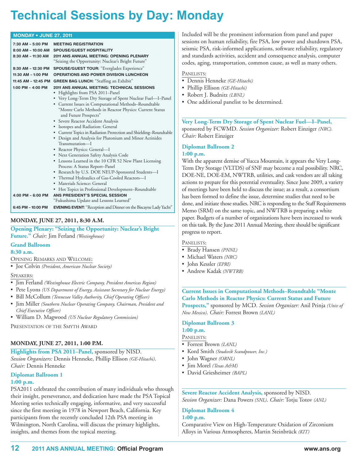# **technical Sessions by Day: Monday**

| <b>MONDAY • JUNE 27, 2011</b> |                                                                                  |  |
|-------------------------------|----------------------------------------------------------------------------------|--|
| 7:30 AM - 5:00 PM             | <b>MEETING REGISTRATION</b>                                                      |  |
| 8:00 AM - 10:00 AM            | <b>SPOUSE/GUEST HOSPITALITY</b>                                                  |  |
| 8:30 AM - 11:30 AM            | <b>2011 ANS ANNUAL MEETING: OPENING PLENARY</b>                                  |  |
|                               | "Seizing the Opportunity: Nuclear's Bright Future"                               |  |
| 8:30 AM - 12:30 PM            | SPOUSE/GUEST TOUR: "Everglades Experience"                                       |  |
| 11:30 AM - 1:00 PM            | <b>OPERATIONS AND POWER DIVISION LUNCHEON</b>                                    |  |
| 11:45 AM - 12:45 PM           | <b>GREEN BAG LUNCH:</b> "Staffing an Exhibit"                                    |  |
| 1:00 PM - 4:00 PM             | 2011 ANS ANNUAL MEETING: TECHNICAL SESSIONS                                      |  |
|                               | Highlights from PSA 2011-Panel                                                   |  |
|                               | • Very Long-Term Dry Storage of Spent Nuclear Fuel-I-Panel                       |  |
|                               | • Current Issues in Computational Methods-Roundtable                             |  |
|                               | "Monte Carlo Methods in Reactor Physics: Current Status<br>and Future Prospects" |  |
|                               | • Severe Reactor Accident Analysis                                               |  |
|                               | • Isotopes and Radiation: General                                                |  |
|                               | • Current Topics in Radiation Protection and Shielding-Roundtable                |  |
|                               | • Design and Analysis for Plutonium and Minor Actinides                          |  |
|                               | Transmutation-I                                                                  |  |
|                               | • Reactor Physics: General-I                                                     |  |
|                               | • Next Generation Safety Analysis Code                                           |  |
|                               | • Lessons Learned in the 10 CFR 52 New Plant Licensing                           |  |
|                               | Process: A Status Report-Panel                                                   |  |
|                               | • Research by U.S. DOE NEUP-Sponsored Students-I                                 |  |
|                               | • Thermal Hydraulics of Gas-Cooled Reactors-I<br>• Materials Science: General    |  |
|                               | • Hot Topics in Professional Development-Roundtable                              |  |
| 4:00 PM - 6:00 PM             | ANS PRESIDENT'S SPECIAL SESSION                                                  |  |
|                               | "Fukushima Update and Lessons Learned"                                           |  |
| 6:45 PM - 10:00 PM            | <b>EVENING EVENT:</b> "Reception and Dinner on the Biscayne Lady Yacht"          |  |

#### **MONDAY, JUNE 27, 2011, 8:30 A.M.**

**Opening Plenary: "Seizing the Opportunity: Nuclear's Bright Future."** *Chair:* Jim Ferland *(Westinghouse)*

### **Grand Ballroom**

**8:30 a.m.**

OPENING REMARKS AND WELCOME:

• Joe Colvin *(President, American Nuclear Society)*

#### SPEAKERS:

- Jim Ferland *(Westinghouse Electric Company, President Americas Region)*
- Pete Lyons *(US Department of Energy, Assistant Secretary for Nuclear Energy)*
- Bill McCollum *(Tennessee Valley Authority, Chief Operating Officer)*
- Jim Miller *(Southern Nuclear Operating Company, Chairman, President and Chief Executive Officer)*
- William D. Magwood *(US Nuclear Regulatory Commission)*

PRESENTATION OF THE SMYTH AWARD

#### **MONDAY, JUNE 27, 2011, 1:00 P.M.**

**Highlights from PSA 2011–Panel,** sponsored by NISD.

*Session Organizers:* Dennis Henneke, Phillip Ellison *(GE-Hitachi)*. *Chair:* Dennis Henneke

#### **Diplomat Ballroom 1 1:00 p.m.**

PSA2011 celebrated the contribution of many individuals who through their insight, perseverance, and dedication have made the PSA Topical Meeting series technically engaging, informative, and very successful since the first meeting in 1978 in Newport Beach, California. Key participants from the recently concluded 12th PSA meeting in Wilmington, North Carolina, will discuss the primary highlights, insights, and themes from the topical meeting.

Included will be the prominent information from panel and paper sessions on human reliability, fire PSA, low power and shutdown PSA, seismic PSA, risk-informed applications, software reliability, regulatory and standards activities, accident and consequence analysis, computer codes, aging, transportation, common cause, as well as many others.

#### PANELISTS:

- Dennis Henneke *(GE-Hitachi)*
- Phillip Ellison *(GE-Hitachi)*
- Robert J. Budnitz *(LBNL)*
- One additional panelist to be determined.

**Very Long-Term Dry Storage of Spent Nuclear Fuel—I–Panel,** sponsored by FCWMD. *Session Organizer:* Robert Einziger *(NRC). Chair:* Robert Einziger

#### **Diplomat Ballroom 2 1:00 p.m.**

With the apparent demise of Yucca Mountain, it appears the Very Long-Term Dry Storage (VLTDS) of SNF may become a real possibility. NRC, DOE-NE, DOE-EM, NWTRB, utilities, and cask vendors are all taking actions to prepare for this potential eventuality. Since June 2009, a variety of meetings have been held to discuss the issue; as a result, a consortium has been formed to define the issue, determine studies that need to be done, and initiate those studies. NRC is responding to the Staff Requirements Memo (SRM) on the same topic, and NWTRB is preparing a white paper. Budgets of a number of organizations have been increased to work on this task. By the June 2011 Annual Meeting, there should be significant progress to report.

#### PANELISTS:

- Brady Hansen *(PNNL)*
- Michael Waters *(NRC)*
- John Kessler *(EPRI)*
- Andrew Kadak *(NWTRB)*

**Current Issues in Computational Methods–Roundtable "Monte Carlo Methods in Reactor Physics: Current Status and Future Prospects,"** sponsored by MCD. *Session Organizer:* Anil Prinja *(Univ of New Mexico)*. *Chair:* Forrest Brown *(LANL)*

#### **Diplomat Ballroom 3**

#### **1:00 p.m.**

#### PANELISTS:

- Forrest Brown *(LANL)*
- Kord Smith *(Studsvik Scandpower, Inc.)*
- John Wagner *(ORNL)*
- Jim Morel *(Texas A&M)*
- David Griesheimer *(BAPL)*

**Severe Reactor Accident Analysis,** sponsored by NISD. *Session Organizer:* Dana Powers *(SNL)*. *Chair:* Totju Totov *(ANL)*

#### **Diplomat Ballroom 4 1:00 p.m.**

Comparative View on High-Temperature Oxidation of Zirconium Alloys in Various Atmospheres, Martin Steinbrück *(KIT)*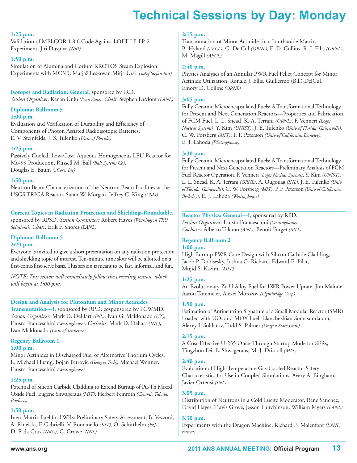# **technical Sessions by Day: Monday**

#### **1:25 p.m.**

Validation of MELCOR 1.8.6 Code Against LOFT LP-FP-2 Experiment, Jiri Duspiva *(NRI)*

#### **1:50 p.m.**

Simulation of Alumina and Corium KROTOS Steam Explosion Experiments with MC3D, Matjaž Leskovar, Mitja Urši *(Jožef Stefan Inst)*

**Isotopes and Radiation: General,** sponsored by IRD. *Session Organizer:* Kenan Ünlü *(Penn State)*. *Chair:* Stephen LaMont *(LANL)*

### **Diplomat Ballroom 5**

#### **1:00 p.m.**

Evaluation and Verification of Durability and Efficiency of Components of Photon Assisted Radioisotopic Batteries, E. V. Steinfelds, J. S. Tulenko *(Univ of Florida)*

#### **1:25 p.m.**

Passively Cooled, Low-Cost, Aqueous Homogeneous LEU Reactor for Mo-99 Production, Russell M. Ball *(Ball Systems Co)*, Douglas E. Baum *(nCore, Inc)*

#### **1:50 p.m.**

Neutron Beam Characterization of the Neutron Beam Facilities at the USGS TRIGA Reactor, Sarah W. Morgan, Jeffrey C. King *(CSM)*

**Current Topics in Radiation Protection and Shielding–Roundtable,** sponsored by RPSD. *Session Organizer:* Robert Hayes *(Washington TRU Solutions)*. *Chair:* Erik F. Shores *(LANL)*

#### **Diplomat Ballroom 5**

#### **2:20 p.m.**

Everyone is invited to give a short presentation on any radiation protection and shielding topic of interest. Ten-minute time slots will be allotted on a first-come/first-serve basis. This session is meant to be fast, informal, and fun.

*NOTE: This session will immediately follow the preceding session, which will begin at 1:00 p.m.*

#### **Design and Analysis for Plutonium and Minor Actinides**

**Transmutation—I,** sponsored by RPD; cosponsored by FCWMD. *Session Organizer:* Mark D. DeHart *(INL)*, Ivan G. Maldonado *(UT)*, Fausto Franceschini *(Westinghouse)*. *Cochairs:* Mark D. Dehart *(INL)*, Ivan Maldonado *(Univ of Tennessee)*

# **Regency Ballroom 1**

### **1:00 p.m.**

Minor Actinides in Discharged Fuel of Alternative Thorium Cycles, L. Michael Huang, Bojan Petrovic *(Georgia Tech)*, Michael Wenner, Fausto Franceschini *(Westinghouse)*

#### **1:25 p.m.**

Potential of Silicon Carbide Cladding to Extend Burnup of Pu-Th Mixed Oxide Fuel, Eugene Shwageraus *(MIT)*, Herbert Feinroth *(Ceramic Tubular Products)*

#### **1:50 p.m.**

Inert Matrix Fuel for LWRs: Preliminary Safety Assessment, B. Vezzoni, A. Rineiski, F. Gabrielli, V. Romanello *(KIT),* O. Schitthelm *(FzJ)*, D. F. da Cruz *(NRG)*, C. Growe *(NNL)*

#### **2:15 p.m.**

Transmutation of Minor Actinides in a Lanthanide Matrix, B. Hyland *(AECL)*, G. DelCul *(ORNL),* E. D. Collins, R. J. Ellis *(ORNL)*, M. Magill *(AECL)*

#### **2:40 p.m.**

Physics Analyses of an Annular PWR Fuel Pellet Concept for Minor Actinide Utilization, Ronald J. Ellis, Guillermo (Bill) DelCul, Emory D. Collins *(ORNL)*

#### **3:05 p.m.**

Fully Ceramic Microencapsulated Fuels: A Transformational Technology for Present and Next Generation Reactors—Properties and Fabrication of FCM Fuel, L. L. Snead, K. A. Terrani *(ORNL)*, F. Venneri *(Logos Nuclear Systems)*, Y. Kim *(UNIST)*, J. E. Tulenko *(Univ of Florida, Gainesville)*, C. W. Forsberg *(MIT)*, P. F. Peterson *(Univ of California, Berkeley)*, E. J. Lahoda *(Westinghouse)*

#### **3:30 p.m.**

Fully Ceramic Microencapsulated Fuels: A Transformational Technology for Present and Next Generation Reactors—Preliminary Analysis of FCM Fuel Reactor Operation, F. Venneri *(Logos Nuclear Systems)*, Y. Kim *(UNIST)*, L. L. Snead, K. A. Terrani *(ORNL)*, A. Ougouag *(INL)*, J. E. Tulenko *(Univ of Florida, Gainesville)*, C. W. Forsberg *(MIT)*, P. F. Peterson *(Univ of California, Berkeley)*, E. J. Lahoda *(Westinghouse)*

#### **Reactor Physics: General—I,** sponsored by RPD. *Session Organizer:* Fausto Franceschini *(Westinghouse). Cochairs:* Alberto Talamo *(ANL)*, Benoit Forget *(MIT)*

#### **Regency Ballroom 2 1:00 p.m.**

High Burnup PWR Core Design with Silicon Carbide Cladding, Jacob P. Dobisesky, Joshua G. Richard, Edward E. Pilat, Mujid S. Kazimi *(MIT)*

#### **1:25 p.m.**

An Evolutionary Zr-U Alloy Fuel for LWR Power Uprate, Jim Malone, Aaron Totemeier, Alexei Morozov *(Lightbridge Corp)*

#### **1:50 p.m.**

Estimation of Antineutrino Signature of a Small Modular Reactor (SMR) Loaded with UO<sub>2</sub> and MOX Fuel, Elanchezhian Somasundaram, Alexey I. Soldatov, Todd S. Palmer *(Oregon State Univ)*

#### **2:15 p.m.**

A Cost-Effective U-235 Once-Through Startup Mode for SFRs, Tingzhou Fei, E. Shwageraus, M. J. Driscoll *(MIT)*

#### **2:40 p.m.**

Evaluation of High-Temperature Gas-Cooled Reactor Safety Characteristics for Use in Coupled Simulations, Avery A. Bingham, Javier Ortensi *(INL)*

#### **3:05 p.m.**

Distribution of Neutrons in a Cold Lucite Moderator, Rene Sanchez, David Hayes, Travis Grove, Jesson Hutchinson, William Myers *(LANL)*

#### **3:30 p.m.**

Experiments with the Dragon Machine, Richard E. Malenfant *(LANL, retired)*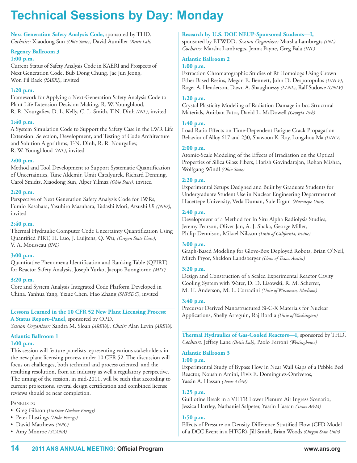# **technical Sessions by Day: Monday**

**Next Generation Safety Analysis Code,** sponsored by THD. *Cochairs:* Xiaodong Sun *(Ohio State)*, David Aumiller *(Bettis Lab)*

#### **Regency Ballroom 3 1:00 p.m.**

Current Status of Safety Analysis Code in KAERI and Prospects of Next Generation Code, Bub Dong Chung, Jae Jun Jeong, Won Pil Baek *(KAERI)*, invited

#### **1:20 p.m.**

Framework for Applying a Next-Generation Safety Analysis Code to Plant Life Extension Decision Making, R. W. Youngblood, R. R. Nourgaliev, D. L. Kelly, C. L. Smith, T-N. Dinh *(INL)*, invited

#### **1:40 p.m.**

A System Simulation Code to Support the Safety Case in the LWR Life Extension: Selection, Development, and Testing of Code Architecture and Solution Algorithms, T-N. Dinh, R. R. Nourgaliev, R. W. Youngblood *(INL)*, invited

#### **2:00 p.m.**

Method and Tool Development to Support Systematic Quantification of Uncertainties, Tunc Aldemir, Umit Catalyurek, Richard Denning, Carol Smidts, Xiaodong Sun, Alper Yilmaz *(Ohio State)*, invited

#### **2:20 p.m.**

Perspective of Next Generation Safety Analysis Code for LWRs, Fumio Kasahara, Yasuhiro Masuhara, Tadashi Mori, Atsushi Ui *(JNES)*, invited

Thermal Hydraulic Computer Code Uncertainty Quantification Using Quantified PIRT, H. Luo, J. Luijtens, Q. Wu, *(Oregon State Univ)*, V. A. Mousseau *(INL)*

Quantitative Phenomena Identification and Ranking Table (QPIRT) for Reactor Safety Analysis, Joseph Yurko, Jacopo Buongiorno *(MIT)*

#### **3:20 p.m.**

Core and System Analysis Integrated Code Platform Developed in China, Yanhua Yang, Yixue Chen, Hao Zhang *(SNPSDC)*, invited

#### **Lessons Learned in the 10 CFR 52 New Plant Licensing Process: A Status Report–Panel,** sponsored by OPD.

*Session Organizer:* Sandra M. Sloan *(AREVA)*. *Chair:* Alan Levin *(AREVA)*

#### **Atlantic Ballroom 1**

#### **1:00 p.m.**

This session will feature panelists representing various stakeholders in the new plant licensing process under 10 CFR 52. The discussion will focus on challenges, both technical and process oriented, and the resulting resolution, from an industry as well a regulatory perspective. The timing of the session, in mid-2011, will be such that according to current projections, several design certification and combined license reviews should be near completion.

#### PANELISTS:

- Greg Gibson *(UniStar Nuclear Energy)*
- Peter Hastings *(Duke Energy)*
- David Matthews *(NRC)*
- Amy Monroe *(SCANA)*

#### **2:40 p.m.**

#### **3:00 p.m.**

### **14 2011 ANS ANNuAl MeetiNg: Official Program www.ans.org**

#### **Research by U.S. DOE NEUP-Sponsored Students—I,**

sponsored by ETWDD. *Session Organizer:* Marsha Lambregts *(INL)*. *Cochairs:* Marsha Lambregts, Jenna Payne, Greg Bala *(INL)*

#### **Atlantic Ballroom 2**

#### **1:00 p.m.**

Extraction Chromatographic Studies of Rf Homologs Using Crown Ether Based Resins, Megan E. Bennett, John D. Despotopulos *(UNLV)*, Roger A. Henderson, Dawn A. Shaughnessy *(LLNL)*, Ralf Sudowe *(UNLV)*

#### **1:20 p.m.**

Crystal Plasticity Modeling of Radiation Damage in bcc Structural Materials, Anirban Patra, David L. McDowell *(Georgia Tech)*

#### **1:40 p.m.**

Load Ratio Effects on Time-Dependent Fatigue Crack Propagation Behavior of Alloy 617 and 230, Shawoon K. Roy, Longzhou Ma *(UNLV)*

#### **2:00 p.m.**

Atomic-Scale Modeling of the Effects of Irradiation on the Optical Properties of Silica Glass Fibers, Harish Govindarajan, Rohan Mishra, Wolfgang Windl *(Ohio State)*

#### **2:20 p.m.**

Experimental Setups Designed and Built by Graduate Students for Undergraduate Student Use in Nuclear Engineering Department of Hacettepe University, Veda Duman, Sule Ergün *(Hacettepe Univ)*

#### **2:40 p.m.**

Development of a Method for In Situ Alpha Radiolysis Studies, Jeremy Pearson, Oliver Jan, A. J. Shaka, George Miller, Philip Dennison, Mikael Nilsson *(Univ of California, Irvine)*

#### **3:00 p.m.**

Graph-Based Modeling for Glove-Box Deployed Robots, Brian O'Neil, Mitch Pryor, Sheldon Landsberger *(Univ of Texas, Austin)*

#### **3:20 p.m.**

Design and Construction of a Scaled Experimental Reactor Cavity Cooling System with Water, D. D. Lisowski, R. M. Scherrer, M. H. Anderson, M. L. Corradini *(Univ of Wisconsin, Madison)*

#### **3:40 p.m.**

Precursor Derived Nanostructured Si-C-X Materials for Nuclear Applications, Shelly Arreguin, Raj Bordia *(Univ of Washington)*

**Thermal Hydraulics of Gas-Cooled Reactors—I,** sponsored by THD. *Cochairs:* Jeffrey Lane *(Bettis Lab)*, Paolo Ferroni *(Westinghouse)*

#### **Atlantic Ballroom 3 1:00 p.m.**

Experimental Study of Bypass Flow in Near Wall Gaps of a Pebble Bed Reactor, Noushin Amini, Elvis E. Dominguez-Ontiveros, Yassin A. Hassan *(Texas A&M)*

#### **1:25 p.m.**

Guillotine Break in a VHTR Lower Plenum Air Ingress Scenario, Jessica Hartley, Nathaniel Salpeter, Yassin Hassan *(Texas A&M)*

#### **1:50 p.m.**

Effects of Pressure on Density Difference Stratified Flow (CFD Model of a DCC Event in a HTGR), Jill Smith, Brian Woods *(Oregon State Univ)*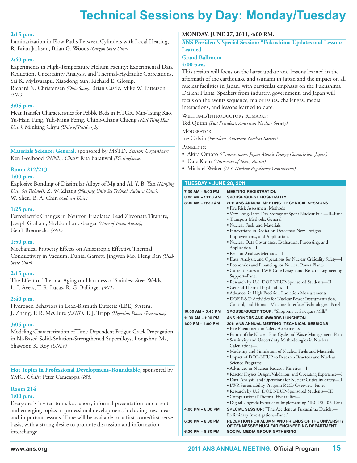#### **2:15 p.m.**

Laminarization in Flow Paths Between Cylinders with Local Heating, R. Brian Jackson, Brian G. Woods *(Oregon State Univ)*

#### **2:40 p.m.**

Experiments in High-Temperature Helium Facility: Experimental Data Reduction, Uncertainty Analysis, and Thermal-Hydraulic Correlations, Sai K. Mylavarapu, Xiaodong Sun, Richard E. Glosup, Richard N. Christensen *(Ohio State),* Brian Castle, Mike W. Patterson *(INL)*

#### **3:05 p.m.**

Heat Transfer Characteristics for Pebble Beds in HTGR, Min-Tsung Kao, Yu-Hsin Tung, Yuh-Ming Ferng, Ching-Chang Chieng *(Natl Tsing Hua Univ)*, Minking Chyu *(Univ of Pittsburgh)*

**Materials Science: General,** sponsored by MSTD. *Session Organizer:* Ken Geelhood *(PNNL)*. *Chair:* Rita Baranwal *(Westinghouse)*

#### **Room 212/213**

#### **1:00 p.m.**

Explosive Bonding of Dissimilar Alloys of Mg and Al, Y. B. Yan *(Nanjing Univ Sci Technol)*, Z. W. Zhang *(Nanjing Univ Sci Technol, Auburn Univ)*, W. Shen, B. A. Chin *(Auburn Univ)*

#### **1:25 p.m.**

Ferroelectric Changes in Neutron Irradiated Lead Zirconate Titanate, Joseph Graham, Sheldon Landsberger *(Univ of Texas, Austin)*, Geoff Brennecka *(SNL)*

#### **1:50 p.m.**

Mechanical Property Effects on Anisotropic Effective Thermal Conductivity in Vacuum, Daniel Garrett, Jingwen Mo, Heng Ban *(Utah State Univ)*

#### **2:15 p.m.**

The Effect of Thermal Aging on Hardness of Stainless Steel Welds, L. J. Ayers, T. R. Lucas, R. G. Ballinger *(MIT)*

#### **2:40 p.m.**

Hydrogen Behaviors in Lead-Bismuth Eutectic (LBE) System, J. Zhang, P. R. McClure *(LANL)*, T. J. Trapp *(Hyperion Power Generation)*

#### **3:05 p.m.**

Modeling Characterization ofTime-Dependent Fatigue Crack Propagation in Ni-Based Solid-Solution-Strengthened Superalloys, Longzhou Ma, Shawoon K. Roy *(UNLV)*

**Hot Topics in Professional Development–Roundtable,** sponsored by YMG. *Chair:* Peter Caracappa *(RPI)*

### **Room 214**

#### **1:00 p.m.**

Everyone is invited to make a short, informal presentation on current and emerging topics in professional development, including new ideas and important lessons. Time will be available on a first-come/first-serve basis, with a strong desire to promote discussion and information interchange.

#### **MONDAY, JUNE 27, 2011, 4:00 P.M.**

**ANS President's Special Session: "Fukushima Updates and Lessons Learned**

#### **Grand Ballroom**

#### **4:00 p.m.**

This session will focus on the latest update and lessons learned in the aftermath of the earthquake and tsunami in Japan and the impact on all nuclear facilities in Japan, with particular emphasis on the Fukushima Daiichi Plants. Speakers from industry, government, and Japan will focus on the events sequence, major issues, challenges, media interactions, and lessons learned to date.

## WELCOME/INTRODUCTORY REMARKS:

Ted Quinn *(Past President, American Nuclear Society)*

#### MODERATOR:

Joe Colvin *(President, American Nuclear Society)*

#### PANELISTS:

- Akira Omoto *(Commissioner, Japan Atomic Energy Commission–Japan)*
- Dale Klein *(University of Texas, Austin)*
- Michael Weber *(U.S. Nuclear Regulatory Commission)*

#### **TUESDAY • JUNE 28, 2011**

| 7:30 AM - 5:00 PM<br>8:00 AM - 10:00 AM<br>8:30 AM - 11:30 AM | <b>MEETING REGISTRATION</b><br><b>SPOUSE/GUEST HOSPITALITY</b><br><b>2011 ANS ANNUAL MEETING: TECHNICAL SESSIONS</b><br>• Fire Risk Assessment Methods<br>• Very Long-Term Dry Storage of Spent Nuclear Fuel—II–Panel<br>• Transport Methods: General<br>• Nuclear Fuels and Materials<br>· Innovations in Radiation Detectors: New Designs,<br>Improvements, and Applications<br>· Nuclear Data Covariance: Evaluation, Processing, and<br>Application—I<br>• Reactor Analysis Methods-I<br>• Data, Analysis, and Operations for Nuclear Criticality Safety-I<br>• Economics and Financing for Nuclear Power Plants<br>• Current Issues in LWR Core Design and Reactor Engineering<br>Support–Panel<br>• Research by U.S. DOE NEUP-Sponsored Students-II<br>• General Thermal Hydraulics-I<br>• Advances in High Precision Radiation Measurements<br>· DOE R&D Activities for Nuclear Power Instrumentation,<br>Control, and Human-Machine Interface Technologies-Panel |
|---------------------------------------------------------------|--------------------------------------------------------------------------------------------------------------------------------------------------------------------------------------------------------------------------------------------------------------------------------------------------------------------------------------------------------------------------------------------------------------------------------------------------------------------------------------------------------------------------------------------------------------------------------------------------------------------------------------------------------------------------------------------------------------------------------------------------------------------------------------------------------------------------------------------------------------------------------------------------------------------------------------------------------------------------|
| 10:00 AM - 3:45 PM                                            | <b>SPOUSE/GUEST TOUR:</b> "Shopping at Sawgrass Mills"                                                                                                                                                                                                                                                                                                                                                                                                                                                                                                                                                                                                                                                                                                                                                                                                                                                                                                                   |
| 11:30 AM - 1:00 PM                                            | ANS HONORS AND AWARDS LUNCHEON                                                                                                                                                                                                                                                                                                                                                                                                                                                                                                                                                                                                                                                                                                                                                                                                                                                                                                                                           |
| 1:00 PM - 4:00 PM                                             | <b>2011 ANS ANNUAL MEETING: TECHNICAL SESSIONS</b><br>• Fire Phenomena in Safety Assessments<br>• Future of the Nuclear Fuel Cycle and Waste Management-Panel<br>• Sensitivity and Uncertainty Methodologies in Nuclear<br>Calculations—I<br>• Modeling and Simulation of Nuclear Fuels and Materials<br>. Impact of DOE-NEUP to Research Reactors and Nuclear<br>Science Programs<br>• Advances in Nuclear Reactor Kinetics—I<br>· Reactor Physics Design, Validation, and Operating Experience-I<br>· Data, Analysis, and Operations for Nuclear Criticality Safety-II<br>• LWR Sustainability Program R&D Overview-Panel<br>• Research by U.S. DOE NEUP-Sponsored Students-III<br>• Computational Thermal Hydraulics-I<br>• Digital Upgrade Experience Implementing NRC ISG-06–Panel                                                                                                                                                                                  |
| 4:00 PM - 6:00 PM                                             | <b>SPECIAL SESSION:</b> "The Accident at Fukushima Daiichi-<br>Preliminary Investigations-Panel"                                                                                                                                                                                                                                                                                                                                                                                                                                                                                                                                                                                                                                                                                                                                                                                                                                                                         |
| 6:30 PM - 8:30 PM                                             | RECEPTION FOR ALUMNI AND FRIENDS OF THE UNIVERSITY<br>OF TENNESSEE NUCLEAR ENGINEERING DEPARTMENT                                                                                                                                                                                                                                                                                                                                                                                                                                                                                                                                                                                                                                                                                                                                                                                                                                                                        |
| 6:30 PM - 8:30 PM                                             | <b>SOCIAL MEDIA GROUP GATHERING</b>                                                                                                                                                                                                                                                                                                                                                                                                                                                                                                                                                                                                                                                                                                                                                                                                                                                                                                                                      |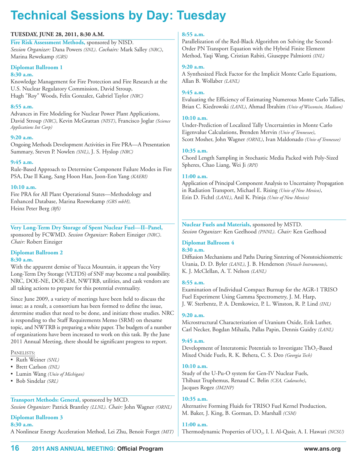#### **TUESDAY, JUNE 28, 2011, 8:30 A.M.**

**Fire Risk Assessment Methods,** sponsored by NISD. *Session Organizer:* Dana Powers *(SNL)*. *Cochairs:* Mark Salley *(NRC)*, Marina Rewekamp *(GRS)*

#### **Diplomat Ballroom 1**

#### **8:30 a.m.**

Knowledge Management for Fire Protection and Fire Research at the U.S. Nuclear Regulatory Commission, David Stroup, Hugh "Roy" Woods, Felix Gonzalez, Gabriel Taylor *(NRC)*

#### **8:55 a.m.**

Advances in Fire Modeling for Nuclear Power Plant Applications, David Stroup *(NRC)*, Kevin McGrattan *(NIST)*, Francisco Joglar *(Science Applications Int Corp)*

#### **9:20 a.m.**

Ongoing Methods Development Activities in Fire PRA—A Presentation Summary, Steven P. Nowlen *(SNL)*, J. S. Hyslop *(NRC)*

#### **9:45 a.m.**

Rule-Based Approach to Determine Component Failure Modes in Fire PSA, Dae Il Kang, Sang Hoon Han, Joon-Eon Yang *(KAERI)*

#### **10:10 a.m.**

Fire PRA for All Plant Operational States—Methodology and Enhanced Database, Marina Roewekamp *(GRS mbH),* Heinz Peter Berg *(BfS)*

**Very Long-Term Dry Storage of Spent Nuclear Fuel—II–Panel,** sponsored by FCWMD. *Session Organizer:* Robert Einziger *(NRC)*. *Chair:* Robert Einziger

#### **Diplomat Ballroom 2 8:30 a.m.**

With the apparent demise of Yucca Mountain, it appears the Very Long-Term Dry Storage (VLTDS) of SNF may become a real possibility. NRC, DOE-NE, DOE-EM, NWTRB, utilities, and cask vendors are all taking actions to prepare for this potential eventuality.

Since June 2009, a variety of meetings have been held to discuss the issue; as a result, a consortium has been formed to define the issue, determine studies that need to be done, and initiate those studies. NRC is responding to the Staff Requirements Memo (SRM) on thesame topic, and NWTRB is preparing a white paper. The budgets of a number of organizations have been increased to work on this task. By the June 2011 Annual Meeting, there should be significant progress to report.

#### PANELISTS:

- Ruth Weiner *(SNL)*
- Brett Carlson *(INL)*
- Lumin Wang *(Univ of Michigan)*
- Bob Sindelar *(SRL)*

### **Transport Methods: General,** sponsored by MCD.

*Session Organizer:* Patrick Brantley *(LLNL)*. *Chair:* John Wagner *(ORNL)*

#### **Diplomat Ballroom 3 8:30 a.m.**

A Nonlinear Energy Acceleration Method, Lei Zhu, Benoit Forget *(MIT)*

#### **8:55 a.m.**

Parallelization of the Red-Black Algorithm on Solving the Second-Order PN Transport Equation with the Hybrid Finite Element Method, Yaqi Wang, Cristian Rabiti, Giuseppe Palmiotti *(INL)*

#### **9:20 a.m.**

A Synthesized Fleck Factor for the Implicit Monte Carlo Equations, Allan B. Wollaber *(LANL)*

#### **9:45 a.m.**

Evaluating the Efficiency of Estimating Numerous Monte Carlo Tallies, Brian C. Kiedrowski *(LANL)*, Ahmad Ibrahim *(Univ of Wisconsin, Madison)*

#### **10:10 a.m.**

Under-Prediction of Localized Tally Uncertainties in Monte Carlo Eigenvalue Calculations, Brenden Mervin *(Univ of Tennessee)*, Scott Mosher, John Wagner *(ORNL)*, Ivan Maldonado *(Univ of Tennessee)*

#### **10:35 a.m.**

Chord Length Sampling in Stochastic Media Packed with Poly-Sized Spheres, Chao Liang, Wei Ji *(RPI)*

#### **11:00 a.m.**

Application of Principal Component Analysis to Uncertainty Propagation in Radiation Transport, Michael E. Rising *(Univ of New Mexico)*, Erin D. Fichtl *(LANL)*, Anil K. Prinja *(Univ of New Mexico)*

**Nuclear Fuels and Materials,** sponsored by MSTD. *Session Organizer:* Ken Geelhood *(PNNL)*. *Chair:* Ken Geelhood

#### **Diplomat Ballroom 4 8:30 a.m.**

Diffusion Mechanisms and Paths During Sintering of Nonstoichiometric Urania, D. D. Byler *(LANL)*, J. B. Henderson *(Netzsch Instruments)*, K. J. McClellan, A. T. Nelson *(LANL)*

#### **8:55 a.m.**

Examination of Individual Compact Burnup for the AGR-1 TRISO Fuel Experiment Using Gamma Spectrometry, J. M. Harp, J. W. Sterbentz, P. A. Demkowicz, P. L. Winston, R. P. Lind *(INL)*

#### **9:20 a.m.**

Microstructural Characterization of Uranium Oxide, Erik Luther, Carl Necker, Bogdan Mihaila, Pallas Papin, Dennis Guidry *(LANL)*

#### **9:45 a.m.**

Development of Interatomic Potentials to Investigate ThO<sub>2</sub>-Based Mixed Oxide Fuels, R. K. Behera, C. S. Deo *(Georgia Tech)*

#### **10:10 a.m.**

Study of the U-Pu-O system for Gen-IV Nuclear Fuels, Thibaut Truphemus, Renaud C. Belin *(CEA, Cadarache)*, Jacques Rogez *(IM2NP)*

#### **10:35 a.m.**

Alternative Forming Fluids for TRISO Fuel Kernel Production, M. Baker, J. King, B. Gorman, D. Marshall *(CSM)*

#### **11:00 a.m.**

Thermodynamic Properties of UO<sub>2</sub>, I. I. Al-Qasir, A. I. Hawari *(NCSU)*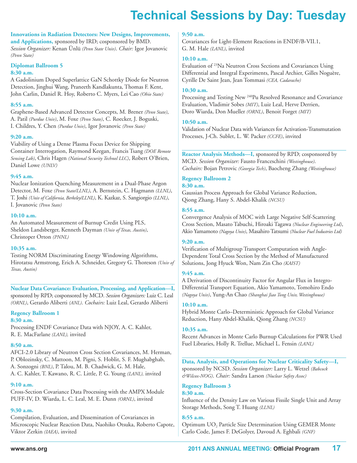#### **Innovations in Radiation Detectors: New Designs, Improvements,**

**and Applications,** sponsored by IRD; cosponsored by BMD. *Session Organizer:* Kenan Ünlü *(Penn State Univ)*. *Chair:* Igor Jovanovic *(Penn State)*

#### **Diplomat Ballroom 5**

#### **8:30 a.m.**

A Gadolinium Doped Superlattice GaN Schottky Diode for Neutron Detection, Jinghui Wang, Praneeth Kandlakunta, Thomas F. Kent, John Carlin, Daniel R. Hoy, Roberto C. Myers, Lei Cao *(Ohio State)*

#### **8:55 a.m.**

Graphene-Based Advanced Detector Concepts, M. Brener *(Penn State)*, A. Patil *(Purdue Univ)*, M. Foxe *(Penn State)*, C. Roecker, J. Boguski, I. Childres, Y. Chen *(Purdue Univ)*, Igor Jovanovic *(Penn State)*

#### **9:20 a.m.**

Viability of Using a Dense Plasma Focus Device for Shipping Container Interrogation, Raymond Keegan, Francis Tsang *(DOE Remote Sensing Lab)*, Chris Hagen *(National Security Technol LLC)*, Robert O'Brien, Daniel Lowe *(UNLV)*

#### **9:45 a.m.**

Nuclear Ionization Quenching Measurement in a Dual-Phase Argon Detector, M. Foxe *(Penn State/LLNL)*, A. Bernstein, C. Hagmann *(LLNL)*, T. Joshi *(Univ of California, Berkeley/LLNL)*, K. Kazkaz, S. Sangiorgio *(LLNL)*, I. Jovanovic *(Penn State)*

#### **10:10 a.m.**

An Automated Measurement of Burnup Credit Using PLS, Sheldon Landsberger, Kenneth Dayman *(Univ of Texas, Austin)*, Christoper Orton *(PNNL)*

#### **10:35 a.m.**

Testing NORM Discriminating Energy Windowing Algorithms, Hirotatsu Armstrong, Erich A. Schneider, Gregory G. Thoreson *(Univ of Texas, Austin)*

# **Nuclear Data Covariance: Evaluation, Processing, and Application—I,**

sponsored by RPD; cosponsored by MCD. *Session Organizers:* Luiz C. Leal *(ORNL)*, Gerardo Aliberti *(ANL)*. *Cochairs:* Luiz Leal, Gerardo Aliberti

#### **Regency Ballroom 1**

#### **8:30 a.m.**

Processing ENDF Covariance Data with NJOY, A. C. Kahler, R. E. MacFarlane *(LANL),* invited

#### **8:50 a.m.**

AFCI-2.0 Library of Neutron Cross Section Covariances, M. Herman, P. Oblozinsky, C. Mattoon, M. Pigni, S. Hoblit, S. F. Mughabghab, A. Sonzogni *(BNL)*, P. Talou, M. B. Chadwick, G. M. Hale, A. C. Kahler, T. Kawano, R. C. Little, P. G. Young *(LANL),* invited

#### **9:10 a.m.**

Cross-Section Covariance Data Processing with the AMPX Module PUFF-IV, D. Wiarda, L. C. Leal, M. E. Dunn *(ORNL)*, invited

#### **9:30 a.m.**

Compilation, Evaluation, and Dissemination of Covariances in Microscopic Nuclear Reaction Data, Naohiko Otsuka, Roberto Capote, Viktor Zerkin *(IAEA)*, invited

#### **9:50 a.m.**

Covariances for Light-Element Reactions in ENDF/B-VII.1, G. M. Hale *(LANL)*, invited

#### **10:10 a.m.**

Evaluation of <sup>23</sup> Na Neutron Cross Sections and Covariances Using Differential and Integral Experiments, Pascal Archier, Gilles Noguère, Cyrille De Saint Jean, Jean Tommasi *(CEA, Cadarache)*

#### **10:30 a.m.**

Processing and Testing New <sup>240</sup>Pu Resolved Resonance and Covariance Evaluation, Vladimir Sobes *(MIT)*, Luiz Leal, Herve Derrien, Doro Wiarda, Don Mueller *(ORNL)*, Benoit Forget *(MIT)*

#### **10:50 a.m.**

Validation of Nuclear Data with Variances for Activation-Transmutation Processes, J-Ch. Sublet, L. W. Packer *(CCFE)*, invited

**Reactor Analysis Methods—I,** sponsored by RPD; cosponsored by MCD. *Session Organizer:* Fausto Franceschini *(Westinghouse)*. *Cochairs:* Bojan Petrovic *(Georgia Tech)*, Baocheng Zhang *(Westinghouse)*

### **Regency Ballroom 2**

**8:30 a.m.**

Gaussian Process Approach for Global Variance Reduction, Qiong Zhang, Hany S. Abdel-Khalik *(NCSU)*

#### **8:55 a.m.**

Convergence Analysis of MOC with Large Negative Self-Scattering Cross Section, Masato Tabuchi, Hiroaki Tagawa *(Nuclear Engineering Ltd)*, Akio Yamamoto *(Nagoya Univ)*, Masahiro Tatsumi *(Nuclear Fuel Industries Ltd)*

#### **9:20 a.m.**

Verification of Multigroup Transport Computation with Angle-Dependent Total Cross Section by the Method of Manufactured Solutions, Jong Hyuck Won, Nam Zin Cho *(KAIST)*

#### **9:45 a.m.**

A Derivation of Discontinuity Factor for Angular Flux in Integro-Differential Transport Equation, Akio Yamamoto, Tomohiro Endo *(Nagoya Univ)*, Yung-An Chao *(Shanghai Jiao Tong Univ, Westinghouse)*

#### **10:10 a.m.**

Hybrid Monte Carlo–Deterministic Approach for Global Variance Reduction, Hany Abdel-Khalik, Qiong Zhang *(NCSU)*

#### **10:35 a.m.**

Recent Advances in Monte Carlo Burnup Calculations for PWR Used Fuel Libraries, Holly R. Trellue, Michael L. Fensin *(LANL)*

**Data, Analysis, and Operations for Nuclear Criticality Safety—I,** sponsored by NCSD. *Session Organizer:* Larry L. Wetzel *(Babcock &Wilcox-NOG)*. *Chair:* Sandra Larson *(Nuclear Safety Assoc)*

#### **Regency Ballroom 3**

#### **8:30 a.m.**

Influence of the Density Law on Various Fissile Single Unit and Array Storage Methods, Song T. Huang *(LLNL)*

#### **8:55 a.m.**

Optimum UO2 Particle Size Determination Using GEMER Monte Carlo Code, James F. DeGolyer, Davoud A. Eghbali *(GNF)*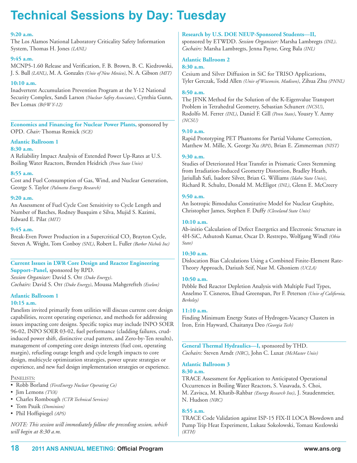#### **9:20 a.m.**

The Los Alamos National Laboratory Criticality Safety Information System, Thomas H. Jones *(LANL)*

#### **9:45 a.m.**

MCNP5-1.60 Release and Verification, F. B. Brown, B. C. Kiedrowski, J. S. Bull *(LANL)*, M. A. Gonzales *(Univ of New Mexico)*, N. A. Gibson *(MIT)*

#### **10:10 a.m.**

Inadvertent Accumulation Prevention Program at the Y-12 National Security Complex, Sandi Larson *(Nuclear Safety Associates)*, Cynthia Gunn, Bev Lomax *(B&W Y-12)*

**Economics and Financing for Nuclear Power Plants,** sponsored by OPD. *Chair:* Thomas Remick *(SCE)*

#### **Atlantic Ballroom 1**

#### **8:30 a.m.**

A Reliability Impact Analysis of Extended Power Up-Rates at U.S. Boiling Water Reactors, Brenden Heidrich *(Penn State Univ)*

#### **8:55 a.m.**

Cost and Fuel Consumption of Gas, Wind, and Nuclear Generation, George S. Taylor *(Palmetto Energy Research)*

#### **9:20 a.m.**

An Assessment of Fuel Cycle Cost Sensitivity to Cycle Length and Number of Batches, Rodney Busquim e Silva, Mujid S. Kazimi, Edward E. Pilat *(MIT)*

#### **9:45 a.m.**

Break-Even Power Production in a Supercritical CO<sub>2</sub> Brayton Cycle, Steven A. Wright, Tom Conboy *(SNL)*, Robert L. Fuller *(Barber Nichols Inc)*

#### **Current Issues in LWR Core Design and Reactor Engineering Support–Panel,** sponsored by RPD.

*Session Organizer:* David S. Orr *(Duke Energy)*. *Cochairs:* David S. Orr *(Duke Energy)*, Moussa Mahgerefteh *(Exelon)*

# **Atlantic Ballroom 1**

### **10:15 a.m.**

Panelists invited primarily from utilities will discuss current core design capabilities, recent operating experience, and methods for addressing issues impacting core designs. Specific topics may include INPO SOER 96-02, INPO SOER 03-02, fuel performance (cladding failures, crudinduced power shift, distinctive crud pattern, and Zero-by-Ten results), management of competing core design interests (fuel cost, operating margin), refueling outage length and cycle length impacts to core design, multicycle optimization strategies, power uprate strategies or experience, and new fuel design implementation strategies or experience.

#### PANELISTS:

- Robb Borland *(FirstEnergy Nuclear Operating Co)*
- Jim Lemons *(TVA)*
- Charles Rombough *(CTR Technical Services)*
- Tom Psuik *(Dominion)*
- Phil Hoffspiegel *(APS)*

*NOTE: This session will immediately follow the preceding session, which will begin at 8:30 a.m.*

#### **Research by U.S. DOE NEUP-Sponsored Students—II,**

sponsored by ETWDD. *Session Organizer:* Marsha Lambregts *(INL)*. *Cochairs:* Marsha Lambregts, Jenna Payne, Greg Bala *(INL)*

#### **Atlantic Ballroom 2**

#### **8:30 a.m.**

Cesium and Silver Diffusion in SiC for TRISO Applications, Tyler Gerczak, Todd Allen *(Univ of Wisconsin, Madison)*, Zihua Zhu *(PNNL)*

#### **8:50 a.m.**

The JFNK Method for the Solution of the K-Eigenvalue Transport Problem in Tetrahedral Geometry, Sebastian Schunert *(NCSU)*, Rodolfo M. Ferrer *(INL)*, Daniel F. Gill *(Penn State)*, Yousry Y. Azmy *(NCSU)*

#### **9:10 a.m.**

Rapid Prototyping PET Phantoms for Partial Volume Correction, Matthew M. Mille, X. George Xu *(RPI)*, Brian E. Zimmerman *(NIST)*

#### **9:30 a.m.**

Studies of Deteriorated Heat Transfer in Prismatic Cores Stemming from Irradiation-Induced Geometry Distortion, Bradley Heath, Jariullah Safi, Isadore Silver, Brian G. Williams *(Idaho State Univ)*, Richard R. Schultz, Donald M. McEligot *(INL)*, Glenn E. McCreery

#### **9:50 a.m.**

An Isotropic Bimodulus Constitutive Model for Nuclear Graphite, Christopher James, Stephen F. Duffy *(Cleveland State Univ)*

#### **10:10 a.m.**

Ab-initio Calculation of Defect Energetics and Electronic Structure in 4H-SiC, Ashutosh Kumar, Oscar D. Restrepo, Wolfgang Windl *(Ohio State)*

#### **10:30 a.m.**

Dislocation Bias Calculations Using a Combined Finite-Element Rate-Theory Approach, Dariush Seif, Nasr M. Ghoniem *(UCLA)*

#### **10:50 a.m.**

Pebble Bed Reactor Depletion Analysis with Multiple Fuel Types, Anselmo T. Cisneros, Ehud Greenspan, Per F. Peterson *(Univ of California, Berkeley)*

#### **11:10 a.m.**

Finding Minimum Energy States of Hydrogen-Vacancy Clusters in Iron, Erin Hayward, Chaitanya Deo *(Georgia Tech)*

**General Thermal Hydraulics—I,** sponsored by THD. *Cochairs:* Steven Arndt *(NRC)*, John C. Luxat *(McMaster Univ)*

#### **Atlantic Ballroom 3**

#### **8:30 a.m.**

TRACE Assessment for Application to Anticipated Operational Occurrences in Boiling Water Reactors, S. Vasavada, S. Choi, M. Zavisca, M. Khatib-Rahbar *(Energy Research Inx)*, J. Staudenmeier, N. Hudson *(NRC)*

#### **8:55 a.m.**

TRACE Code Validation against ISP-15 FIX-II LOCA Blowdown and Pump Trip Heat Experiment, Lukasz Sokolowski, Tomasz Kozlowski *(KTH)*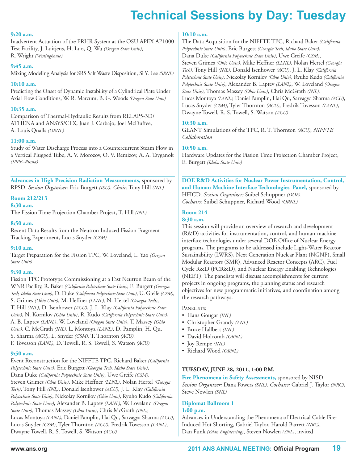#### **9:20 a.m.**

Inadvertent Actuation of the PRHR System at the OSU APEX AP1000 Test Facility, J. Luitjens, H. Luo, Q. Wu *(Oregon State Univ)*, R. Wright *(Westinghouse)*

#### **9:45 a.m.**

Mixing Modeling Analysis for SRS Salt Waste Disposition, Si Y. Lee *(SRNL)*

#### **10:10 a.m.**

Predicting the Onset of Dynamic Instability of a Cylindrical Plate Under Axial Flow Conditions, W. R. Marcum, B. G. Woods *(Oregon State Univ)*

#### **10:35 a.m.**

Comparison of Thermal-Hydraulic Results from RELAP5-3D/ ATHENA and ANSYS/CFX, Juan J. Carbajo, Joel McDuffee, A. Louis Qualls *(ORNL)*

#### **11:00 a.m.**

Study of Water Discharge Process into a Countercurrent Steam Flow in a Vertical Plugged Tube, A. V. Morozov, O. V. Remizov, A. A. Tsyganok *(IPPE–Russia)*

**Advances in High Precision Radiation Measurements,** sponsored by RPSD. *Session Organizer:* Eric Burgett *(ISU)*. *Chair:* Tony Hill *(INL)*

#### **Room 212/213**

#### **8:30 a.m.**

The Fission Time Projection Chamber Project, T. Hill *(INL)*

#### **8:50 a.m.**

Recent Data Results from the Neutron Induced Fission Fragment Tracking Experiment, Lucas Snyder *(CSM)*

#### **9:10 a.m.**

Target Preparation for the Fission TPC, W. Loveland, L. Yao *(Oregon State Univ)*

#### **9:30 a.m.**

Fission TPC Prototype Commissioning at a Fast Neutron Beam of the WNR Facility, R. Baker *(California Polytechnic State Univ),* E. Burgett *(Georgia Tech, Idaho State Univ)*, D. Duke *(California Polytechnic State Univ)*, U. Greife *(CSM),* S. Grimes *(Ohio Univ)*, M. Heffner *(LLNL),* N. Hertel *(Georgia Tech)*, T. Hill *(INL)*, D. Isenhower *(ACU)*, J. L. Klay *(California Polytechnic State Univ)*, N. Kornilov *(Ohio Univ)*, R. Kudo *(California Polytechnic State Univ)*, A. B. Laptev *(LANL)*, W. Loveland *(Oregon State Univ)*, T. Massey *(Ohio Univ)*, C. McGrath *(INL),* L. Montoya *(LANL)*, D. Pamplin, H. Qu, S. Sharma *(ACU)*, L. Snyder *(CSM)*, T. Thornton *(ACU),* F. Tovesson *(LANL)*, D. Towell, R. S. Towell, S. Watson *(ACU)*

#### **9:50 a.m.**

Event Reconstruction for the NIFFTE TPC, Richard Baker *(California Polytechnic State Univ)*, Eric Burgett *(Georgia Tech, Idaho State Univ)*, Dana Duke *(California Polytechnic State Univ)*, Uwe Greife *(CSM),* Steven Grimes *(Ohio Univ)*, Mike Heffner *(LLNL)*, Nolan Hertel *(Georgia Tech)*, Tony Hill *(INL)*, Donald Isenhower *(ACU)*, J. L. Klay *(California Polytechnic State Univ)*, Nickolay Kornilov *(Ohio Univ)*, Ryuho Kudo *(California Polytechnic State Univ)*, Alexander B. Laptev *(LANL)*, W. Loveland *(Oregon State Univ)*, Thomas Massey *(Ohio Univ)*, Chris McGrath *(INL),* Lucas Montoya *(LANL)*, Daniel Pamplin, Hai Qu, Sarvagya Sharma *(ACU)*, Lucas Snyder *(CSM)*, Tyler Thornton *(ACU)*, Fredrik Tovesson *(LANL)*, Dwayne Towell, R. S. Towell, S. Watson *(ACU)*

#### **10:10 a.m.**

The Data Acquisition for the NIFFTE TPC, Richard Baker *(California Polytechnic State Univ)*, Eric Burgett *(Georgia Tech, Idaho State Univ)*, Dana Duke *(California Polytechnic State Univ)*, Uwe Greife *(CSM)*, Steven Grimes *(Ohio Univ)*, Mike Heffner *(LLNL)*, Nolan Hertel *(Georgia Tech)*, Tony Hill *(INL)*, Donald Isenhower *(ACU)*, J. L. Klay *(California Polytechnic State Univ)*, Nickolay Kornilov *(Ohio Univ)*, Ryuho Kudo *(California Polytechnic State Univ)*, Alexander B. Laptev *(LANL)*, W. Loveland *(Oregon State Univ)*, Thomas Massey *(Ohio Univ)*, Chris McGrath *(INL),* Lucas Montoya *(LANL),* Daniel Pamplin, Hai Qu, Sarvagya Sharma *(ACU)*, Lucas Snyder *(CSM)*, Tyler Thornton *(ACU)*, Fredrik Tovesson *(LANL)*, Dwayne Towell, R. S. Towell, S. Watson *(ACU)*

#### **10:30 a.m.**

GEANT Simulations of the TPC, R. T. Thornton *(ACU)*, *NIFFTE Collaboration*

#### **10:50 a.m.**

Hardware Updates for the Fission Time Projection Chamber Project, E. Burgett *(Idaho State Univ)*

**DOE R&D Activities for Nuclear Power Instrumentation, Control, and Human-Machine Interface Technologies–Panel,** sponsored by HFICD. *Session Organizer:* Suibel Schuppner *(DOE)*. *Cochairs:* Suibel Schuppner, Richard Wood *(ORNL)*

### **Room 214**

#### **8:30 a.m.**

This session will provide an overview of research and development (R&D) activities for instrumentation, control, and human-machine interface technologies under several DOE Office of Nuclear Energy programs. The programs to be addressed include Light-Water Reactor Sustainability (LWRS), Next Generation Nuclear Plant (NGNP), Small Modular Reactors (SMR), Advanced Reactor Concepts (ARC), Fuel Cycle R&D (FCR&D), and Nuclear Energy Enabling Technologies (NEET). The panelists will discuss accomplishments for current projects in ongoing programs, the planning status and research objectives for new programmatic initiatives, and coordination among the research pathways.

#### PANELISTS:

- Hans Gougar *(INL)*
- Christopher Grandy *(ANL)*
- Bruce Hallbert *(INL)*
- David Holcomb *(ORNL)*
- Joy Rempe *(INL)*
- Richard Wood *(ORNL)*

#### **TUESDAY, JUNE 28, 2011, 1:00 P.M.**

**Fire Phenomena in Safety Assessments,** sponsored by NISD. *Session Organizer:* Dana Powers *(SNL)*. *Cochairs:* Gabriel J. Taylor *(NRC)*, Steve Nowlen *(SNL)*

#### **Diplomat Ballroom 1 1:00 p.m.**

Advances in Understanding the Phenomena of Electrical Cable Fire-Induced Hot Shorting, Gabriel Taylor, Harold Barrett *(NRC)*, Dan Funk *(Edan Engineering)*, Steven Nowlen *(SNL)*, invited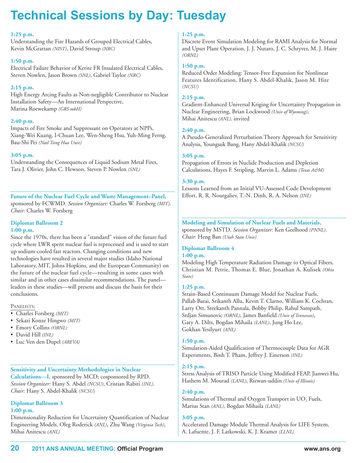#### **1:25 p.m.**

Understanding the Fire Hazards of Grouped Electrical Cables, Kevin McGrattan *(NIST)*, David Stroup *(NRC)*

#### **1:50 p.m.**

Electrical Failure Behavior of Kerite FR Insulated Electrical Cables, Steven Nowlen, Jason Brown *(SNL)*, Gabriel Taylor *(NRC)*

#### **2:15 p.m.**

High Energy Arcing Faults as Non-negligible Contributor to Nuclear Installation Safety—An International Perspective, Marina Roewekamp *(GRS mbH)*

#### **2:40 p.m.**

Impacts of Fire Smoke and Suppressant on Operators at NPPs, Xiang-Wei Kuang, I-Chuan Lee, Wen-Sheng Hsu, Yuh-Ming Ferng, Bau-Shi Pei *(Natl Tsing Hua Univ)*

#### **3:05 p.m.**

Understanding the Consequences of Liquid Sodium Metal Fires, Tara J. Olivier, John C. Hewson, Steven P. Nowlen *(SNL)*

**Future of the Nuclear Fuel Cycle and Waste Management–Panel,** sponsored by FCWMD. *Session Organizer:* Charles W. Forsberg *(MIT)*. *Chair:* Charles W. Forsberg

# **Diplomat Ballroom 2**

#### **1:00 p.m.**

Since the 1970s, there has been a "standard" vision of the future fuel cycle where LWR spent nuclear fuel is reprocessed and is used to start up sodium-cooled fast reactors. Changing conditions and new technologies have resulted in several major studies (Idaho National Laboratory, MIT, Johns Hopkins, and the European Community) on the future of the nuclear fuel cycle—resulting in some cases with similar and in other cases dissimilar recommendations. The panel leaders in these studies—will present and discuss the basis for their conclusions.

#### PANELISTS:

- Charles Forsberg *(MIT)*
- Sekazi Konze Hingwo *(MIT)*
- Emory Collins *(ORNL)*
- David Hill *(INL)*
- Luc Ven den Dupel *(AREVA)*

#### **Sensitivity and Uncertainty Methodologies in Nuclear**

**Calculations—I,** sponsored by MCD; cosponsored by RPD. *Session Organizer:* Hany S. Abdel *(NCSU)*, Cristian Rabiti *(INL)*. *Chair:* Hany S. Abdel-Khalik *(NCSU)*

### **Diplomat Ballroom 3**

### **1:00 p.m.**

Dimensionality Reduction for Uncertainty Quantification of Nuclear Engineering Models, Oleg Roderick *(ANL)*, Zhu Wang *(Virginia Tech)*, Mihai Anitescu *(ANL)*

#### **1:25 p.m.**

Discrete Event Simulation Modeling for RAMI Analysis for Normal and Upset Plant Operation, J. J. Nutaro, J. C. Schryver, M. J. Haire *(ORNL)*

#### **1:50 p.m.**

Reduced Order Modeling: Tensor-Free Expansion for Nonlinear Features Identification, Hany S. Abdel-Khalik, Jason M. Hite *(NCSU)*

#### **2:15 p.m.**

Gradient-Enhanced Universal Kriging for Uncertainty Propagation in Nuclear Engineering, Brian Lockwood *(Univ of Wyoming)*, Mihai Anitescu *(ANL),* invited

#### **2:40 p.m.**

A Pseudo-Generalized Perturbation Theory Approach for Sensitivity Analysis, Youngsuk Bang, Hany Abdel-Khalik *(NCSU)*

#### **3:05 p.m.**

Propagation of Errors in Nuclide Production and Depletion Calculations, Hayes F. Stripling, Marvin L. Adams *(Texas A&M)*

#### **3:30 p.m.**

Lessons Learned from an Initial VU-Assessed Code Development Effort, R. R. Nourgaliev, T.-N. Dinh, R. A. Nelson *(INL)*

#### **Modeling and Simulation of Nuclear Fuels and Materials,** sponsored by MSTD. *Session Organizer:* Ken Geelhood *(PNNL)*. *Chair:* Heng Ban *(Utah State Univ)*

# **Diplomat Ballroom 4**

### **1:00 p.m.**

Modeling High Temperature Radiation Damage to Optical Fibers, Christian M. Petrie, Thomas E. Blue, Jonathan A. Kulisek *(Ohio State)*

#### **1:25 p.m.**

Strain-Based Continuum Damage Model for Nuclear Fuels, Pallab Barai, Srikanth Allu, Kevin T. Clarno, William K. Cochran, Larry Ott, Sreekanth Pannala, Bobby Philip, Rahul Sampath, Srdjan Simunovic *(ORNL)*, James Banfield *(Univ of Tennessee)*, Gary A. Dilts, Bogdan Mihaila *(LANL)*, Jung Ho Lee, Gokhan Yesilyurt *(ANL)*

#### **1:50 p.m.**

Simulation-Aided Qualification of Thermocouple Data for AGR Experiments, Binh T. Pham, Jeffrey J. Einerson *(INL)*

#### **2:15 p.m.**

Stress Analysis of TRISO Particle Using Modified FEAP, Jianwei Hu, Hashem M. Mourad *(LANL)*, Rizwan-uddin *(Univ of Illinois)*

**2:40 p.m.**

Simulations of Thermal and Oxygen Transport in  $UO<sub>2</sub>$  Fuels, Marius Stan *(ANL)*, Bogdan Mihaila *(LANL)*

#### **3:05 p.m.**

Accelerated Damage Module Thermal Analysis for LIFE System, A. Lafuente, J. F. Latkowski, K. J. Kramer *(LLNL)*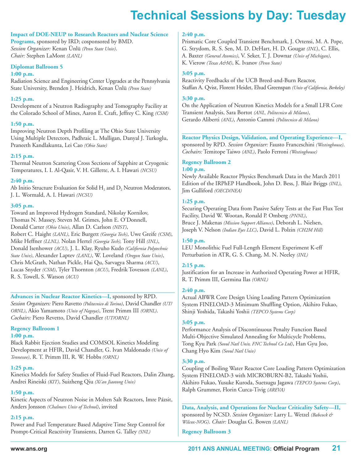#### **Impact of DOE-NEUP to Research Reactors and Nuclear Science**

**Programs,** sponsored by IRD; cosponsored by BMD. *Session Organizer:* Kenan Ünlü *(Penn State Univ)*. *Chair:* Stephen LaMont *(LANL)*

#### **Diplomat Ballroom 5**

#### **1:00 p.m.**

Radiation Science and Engineering Center Upgrades at the Pennsylvania State University, Brenden J. Heidrich, Kenan Ünlü *(Penn State)*

#### **1:25 p.m.**

Development of a Neutron Radiography and Tomography Facility at the Colorado School of Mines, Aaron E. Craft, Jeffrey C. King *(CSM)*

#### **1:50 p.m.**

Improving Neutron Depth Profiling at The Ohio State University Using Multiple Detectors, Padhraic L. Mulligan, Danyal J. Turkoglu, Praneeth Kandlakunta, Lei Cao *(Ohio State)*

#### **2:15 p.m.**

Thermal Neutron Scattering Cross Sections of Sapphire at Cryogenic Temperatures, I. I. Al-Qasir, V. H. Gillette, A. I. Hawari *(NCSU)*

#### **2:40 p.m.**

Ab Initio Structure Evaluation for Solid  $H_2$  and  $D_2$  Neutron Moderators, J. L. Wormald, A. I. Hawari *(NCSU)*

#### **3:05 p.m.**

Toward an Improved Hydrogen Standard, Nikolay Kornilov, Thomas N. Massey, Steven M. Grimes, John E. O'Donnell, Donald Carter *(Ohio Univ)*, Allan D. Carlson *(NIST)*, Robert C. Haight *(LANL)*, Eric Burgett *(Georgia Tech)*, Uwe Greife *(CSM)*, Mike Heffner *(LLNL),* Nolan Hertel *(Georgia Tech),* Tony Hill *(INL)*, Donald Isenhower *(ACU)*, J. L. Klay, Ryuho Kudo *(California Polytechnic State Univ)*, Alexander Laptev *(LANL)*, W. Loveland *(Oregon State Univ)*, Chris McGrath, Nathan Pickle, Hai Qu, Sarvagya Sharma *(ACU)*, Lucas Snyder *(CSM)*, Tyler Thornton *(ACU)*, Fredrik Tovesson *(LANL)*, R. S. Towell, S. Watson *(ACU)*

#### **Advances in Nuclear Reactor Kinetics—I,** sponsored by RPD.

*Session Organizers:* Piero Ravetto *(Politecnico di Torino)*, David Chandler *(UT/ ORNL)*, Akio Yamamoto *(Univ of Nagoya)*, Trent Primm III *(ORNL)*. *Cochairs:* Piero Revetto, David Chandler *(UT/ORNL)*

#### **Regency Ballroom 1**

#### **1:00 p.m.**

Black Rabbit Ejection Studies and COMSOL Kinetics Modeling Development at HFIR, David Chandler, G. Ivan Maldonado *(Univ of Tennessee)*, R. T. Primm III, R. W. Hobbs *(ORNL)*

#### **1:25 p.m.**

Kinetics Models for Safety Studies of Fluid-Fuel Reactors, Dalin Zhang, Andrei Rineiski *(KIT)*, Suizheng Qiu *(Xi'an Jiaotong Univ)*

#### **1:50 p.m.**

Kinetic Aspects of Neutron Noise in Molten Salt Reactors, Imre Pázsit, Anders Jonsson *(Chalmers Univ of Technol)*, invited

#### **2:15 p.m.**

Power and Fuel Temperature Based Adaptive Time Step Control for Prompt-Critical Reactivity Transients, Darren G. Talley *(SNL)*

#### **2:40 p.m.**

Prismatic Core Coupled Transient Benchmark, J. Ortensi, M. A. Pope, G. Strydom, R. S. Sen, M. D. DeHart, H. D. Gougar *(INL*), C. Ellis, A. Baxter *(General Atomics)*, V. Seker, T. J. Downar *(Univ of Michigan)*, K. Vierow *(Texas A&M)*, K. Ivanov *(Penn State)*

#### **3:05 p.m.**

Reactivity Feedbacks of the UCB Breed-and-Burn Reactor, Staffan A. Qvist, Florent Heidet, Ehud Greenspan *(Univ of California, Berkeley)*

#### **3:30 p.m.**

On the Application of Neutron Kinetics Models for a Small LFR Core Transient Analysis, Sara Bortot *(ANL, Politecnico di Milano)*, Gerardo Aliberti *(ANL)*, Antonio Cammi *(Politecnico di Milano)*

### **Reactor Physics Design, Validation, and Operating Experience—I,**

sponsored by RPD. *Session Organizer:* Fausto Franceschini *(Westinghouse)*. *Cochairs:* Temitope Taiwo *(ANL)*, Paolo Ferroni *(Westinghouse)*

#### **Regency Ballroom 2 1:00 p.m.**

Newly Available Reactor Physics Benchmark Data in the March 2011 Edition of the IRPhEP Handbook, John D. Bess, J. Blair Briggs *(INL)*, Jim Gulliford *(OECD/NEA)*

#### **1:25 p.m.**

Securing Operating Data from Passive Safety Tests at the Fast Flux Test Facility, David W. Wootan, Ronald P. Omberg *(PNNL)*, Bruce J. Makenas *(Mission Support Alliance)*, Deborah L. Nielsen, Joseph V. Nelson *(Indian Eyes LLC)*, David L. Polzin *(CH2M Hill)*

#### **1:50 p.m.**

LEU Monolithic Fuel Full-Length Element Experiment K-eff Perturbation in ATR, G. S. Chang, M. N. Neeley *(INL)*

#### **2:15 p.m.**

Justification for an Increase in Authorized Operating Power at HFIR, R. T. Primm III, Germina Ilas *(ORNL)*

#### **2:40 p.m.**

Actual ABWR Core Design Using Loading Pattern Optimization System FINELOAD-3 Minimum Shuffling Option, Akihiro Fukao, Shinji Yoshida, Takashi Yoshii *(TEPCO Systems Corp)*

#### **3:05 p.m.**

Performance Analysis of Discontinuous Penalty Function Based Multi-Objective Simulated Annealing for Multicycle Problems, Tong Kyu Park *(Seoul Natl Univ, FNC Technol Co Ltd)*, Han Gyu Joo, Chang Hyo Kim *(Seoul Natl Univ)*

#### **3:30 p.m.**

Coupling of Boiling Water Reactor Core Loading Pattern Optimization System FINELOAD-3 with MICROBURN-B2, Takashi Yoshii, Akihiro Fukao, Yusuke Kuroda, Suetsugu Jagawa *(TEPCO Systems Corp)*, Ralph Grummer, Florin Curca-Tivig *(AREVA)*

**Data, Analysis, and Operations for Nuclear Criticality Safety—II,** sponsored by NCSD. *Session Organizer:* Larry L. Wetzel *(Babcock & Wilcox-NOG)*. *Chair:* Douglas G. Bowen *(LANL)*

#### **Regency Ballroom 3**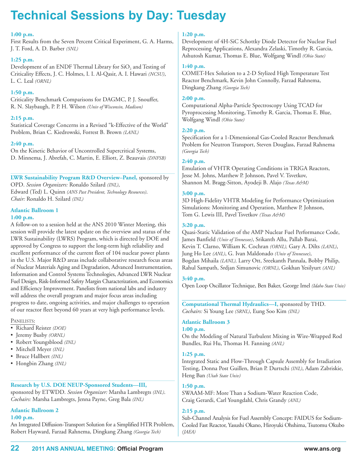#### **1:00 p.m.**

First Results from the Seven Percent Critical Experiment, G. A. Harms, J. T. Ford, A. D. Barber *(SNL)*

#### **1:25 p.m.**

Development of an ENDF Thermal Library for  $SiO<sub>2</sub>$  and Testing of Criticality Effects, J. C. Holmes, I. I. Al-Qasir, A. I. Hawari *(NCSU)*, L. C. Leal *(ORNL)*

#### **1:50 p.m.**

Criticality Benchmark Comparisons for DAGMC, P. J. Snouffer, R. N. Slaybaugh, P. P. H. Wilson *(Univ of Wisconsin, Madison)*

#### **2:15 p.m.**

Statistical Coverage Concerns in a Revised "k-Effective of the World" Problem, Brian C. Kiedrowski, Forrest B. Brown *(LANL)*

#### **2:40 p.m.**

On the Kinetic Behavior of Uncontrolled Supercritical Systems, D. Minnema, J. Abrefah, C. Martin, E. Elliott, Z. Beauvais *(DNFSB)*

## **LWR Sustainability Program R&D Overview–Panel,** sponsored by

OPD. *Session Organizers:* Ronaldo Szilard *(INL)*, Edward (Ted) L. Quinn *(ANS Past President, Technology Resources)*. *Chair:* Ronaldo H. Szilard *(INL)*

#### **Atlantic Ballroom 1 1:00 p.m.**

A follow-on to a session held at the ANS 2010 Winter Meeting, this session will provide the latest update on the overview and status of the LWR Sustainability (LWRS) Program, which is directed by DOE and approved by Congress to support the long-term high reliability and excellent performance of the current fleet of 104 nuclear power plants in the U.S. Major R&D areas include collaborative research focus areas of Nuclear Materials Aging and Degradation, Advanced Instrumentation, Information and Control Systems Technologies, Advanced LWR Nuclear Fuel Design, Risk-Informed Safety Margin Characterization, and Economics and Efficiency Improvement. Panelists from national labs and industry will address the overall program and major focus areas including progress to date, ongoing activities, and major challenges to operation of our reactor fleet beyond 60 years at very high performance levels.

#### PANELISTS:

- Richard Reister *(DOE)*
- Jeremy Busby *(ORNL)*
- Robert Youngsblood *(INL)*
- Mitchell Meyer *(INL)*
- Bruce Hallbert *(INL)*
- Hongbin Zhang *(INL)*

#### **Research by U.S. DOE NEUP-Sponsored Students—III,**

sponsored by ETWDD. *Session Organizer:* Marsha Lambregts *(INL)*. *Cochairs:* Marsha Lambregts, Jenna Payne, Greg Bala *(INL)*

#### **Atlantic Ballroom 2**

#### **1:00 p.m.**

An Integrated Diffusion-Transport Solution for a Simplified HTR Problem, Robert Hayward, Farzad Rahnema, Dingkang Zhang *(Georgia Tech)*

#### **1:20 p.m.**

Development of 4H-SiC Schottky Diode Detector for Nuclear Fuel Reprocessing Applications, Alexandra Zelaski, Timothy R. Garcia, Ashutosh Kumar, Thomas E. Blue, Wolfgang Windl *(Ohio State)*

#### **1:40 p.m.**

COMET-Hex Solution to a 2-D Stylized High Temperature Test Reactor Benchmark, Kevin John Connolly, Farzad Rahnema, Dingkang Zhang *(Georgia Tech)*

#### **2:00 p.m.**

Computational Alpha-Particle Spectroscopy Using TCAD for Pyroprocessing Monitoring, Timothy R. Garcia, Thomas E. Blue, Wolfgang Windl *(Ohio State)*

#### **2:20 p.m.**

Specification for a 1-Dimensional Gas-Cooled Reactor Benchmark Problem for Neutron Transport, Steven Douglass, Farzad Rahnema *(Georgia Tech)*

#### **2:40 p.m.**

Emulation of VHTR Operating Conditions in TRIGA Reactors, Jesse M. Johns, Matthew P. Johnson, Pavel V. Tsvetkov, Shannon M. Bragg-Sitton, Ayodeji B. Alajo *(Texas A&M)*

#### **3:00 p.m.**

3D High-Fidelity VHTR Modeling for Performance Optimization Simulations: Monitoring and Operation, Matthew P. Johnson, Tom G. Lewis III, Pavel Tsvetkov *(Texas A&M)*

#### **3:20 p.m.**

Quasi-Static Validation of the AMP Nuclear Fuel Performance Code, James Banfield *(Univ of Tennessee)*, Srikanth Allu, Pallab Barai, Kevin T. Clarno, William K. Cochran *(ORNL),* Gary A. Dilts *(LANL)*, Jung Ho Lee *(ANL)*, G. Ivan Maldonado *(Univ of Tennessee)*, Bogdan Mihaila *(LANL),* Larry Ott, Sreekanth Pannala, Bobby Philip, Rahul Sampath, Srdjan Simunovic *(ORNL)*, Gokhan Yesilyurt *(ANL)*

#### **3:40 p.m.**

Open Loop Oscillator Technique, Ben Baker, George Imel *(Idaho State Univ)*

**Computational Thermal Hydraulics—I,** sponsored by THD. *Cochairs:* Si Young Lee *(SRNL)*, Eung Soo Kim *(INL)*

#### **Atlantic Ballroom 3**

#### **1:00 p.m.**

On the Modeling of Natural Turbulent Mixing in Wire-Wrapped Rod Bundles, Rui Hu, Thomas H. Fanning *(ANL)*

#### **1:25 p.m.**

Integrated Static and Flow-Through Capsule Assembly for Irradiation Testing, Donna Post Guillen, Brian P. Durtschi *(INL)*, Adam Zabriskie, Heng Ban *(Utah State Univ)*

#### **1:50 p.m.**

SWAAM-MF: More Than a Sodium-Water Reaction Code, Craig Gerardi, Carl Youngdahl, Chris Grandy *(ANL)*

#### **2:15 p.m.**

Sub-Channel Analysis for Fuel Assembly Concept: FAIDUS for Sodium-Cooled Fast Reactor, Yasushi Okano, Hiroyuki Ohshima, Tsutomu Okubo *(JAEA)*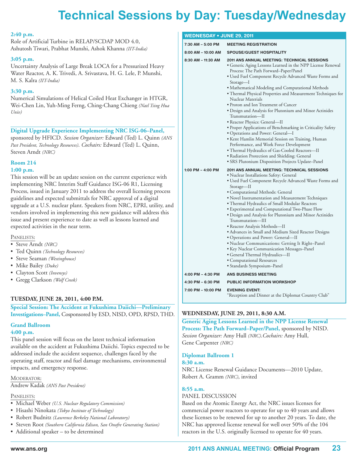# **technical Sessions by Day: tuesday/Wednesday**

#### **2:40 p.m.**

Role of Artificial Turbine in RELAP/SCDAP MOD 4.0, Ashutosh Tiwari, Prabhat Munshi, Ashok Khanna *(IIT-India)*

#### **3:05 p.m.**

Uncertainty Analysis of Large Break LOCA for a Pressurized Heavy Water Reactor, A. K. Trivedi, A. Srivastava, H. G. Lele, P. Munshi, M. S. Kalra *(IIT-India)*

#### **3:30 p.m.**

Numerical Simulations of Helical Coiled Heat Exchanger in HTGR, Wei-Chen Lin, Yuh-Ming Ferng, Ching-Chang Chieng *(Natl Tsing Hua Univ)*

#### **Digital Upgrade Experience Implementing NRC ISG-06–Panel,**

sponsored by HFICD. *Session Organizer:* Edward (Ted) L. Quinn *(ANS Past President, Technology Resources)*. *Cochairs:* Edward (Ted) L. Quinn, Steven Arndt *(NRC)*

### **Room 214**

#### **1:00 p.m.**

This session will be an update session on the current experience with implementing NRC Interim Staff Guidance ISG-06 R1, Licensing Process, issued in January 2011 to address the overall licensing process guidelines and expected submittals for NRC approval of a digital upgrade at a U.S. nuclear plant. Speakers from NRC, EPRI, utility, and vendors involved in implementing this new guidance will address this issue and present experience to date as well as lessons learned and expected activities in the near term.

#### PANELISTS:

- Steve Arndt *(NRC)*
- Ted Quinn *(Technology Resources)*
- Steve Seaman *(Westinghouse)*
- Mike Bailey *(Duke)*
- Clayton Scott *(Invensys)*
- Gregg Clarkson *(Wolf Creek)*

#### **TUESDAY, JUNE 28, 2011, 4:00 P.M.**

**Special Session: The Accident at Fukushima Daiichi—Preliminary Investigations–Panel,** Cosponsored by ESD, NISD, OPD, RPSD, THD.

### **Grand Ballroom**

#### **4:00 p.m.**

This panel session will focus on the latest technical information available on the accident at Fukushima Daiichi. Topics expected to be addressed include the accident sequence, challenges faced by the operating staff, reactor and fuel damage mechanisms, environmental impacts, and emergency response.

#### MODERATOR:

Andrew Kadak *(ANS Past President)*

#### PANELISTS:

- Michael Weber *(U.S. Nuclear Regulatory Commission)*
- Hisashi Ninokata *(Tokyo Institute of Technology)*
- Robert Budnitz *(Lawrence Berkeley National Laboratory)*
- Steven Root *(Southern California Edison, San Onofre Generating Station)*
- Additional speaker to be determined

#### **WEDNESDAY • JUNE 29, 2011**

| 7:30 AM - 5:00 PM  | <b>MEETING REGISTRATION</b>                                                                                                                                                                                                                                                                                                                                                                                                                                                                                                                                                                                                                                                                                                                                                                                                                                                                    |  |  |
|--------------------|------------------------------------------------------------------------------------------------------------------------------------------------------------------------------------------------------------------------------------------------------------------------------------------------------------------------------------------------------------------------------------------------------------------------------------------------------------------------------------------------------------------------------------------------------------------------------------------------------------------------------------------------------------------------------------------------------------------------------------------------------------------------------------------------------------------------------------------------------------------------------------------------|--|--|
| 8:00 AM - 10:00 AM | <b>SPOUSE/GUEST HOSPITALITY</b>                                                                                                                                                                                                                                                                                                                                                                                                                                                                                                                                                                                                                                                                                                                                                                                                                                                                |  |  |
| 8:30 AM - 11:30 AM | <b>2011 ANS ANNUAL MEETING: TECHNICAL SESSIONS</b><br>· Generic Aging Lessons Learned in the NPP License Renewal<br>Process: The Path Forward-Paper/Panel<br>• Used Fuel Component Recycle Advanced Waste Forms and<br>Storage—I<br>• Mathematical Modeling and Computational Methods<br>• Thermal Physical Properties and Measurement Techniques for<br>Nuclear Materials<br>• Proton and Ion Treatment of Cancer<br>· Design and Analysis for Plutonium and Minor Actinides<br>Transmutation—II<br>• Reactor Physics: General—II<br>• Proper Applications of Benchmarking in Criticality Safety<br>• Operations and Power: General-I<br>• Kent Hamlin Memorial Session on Training, Human<br>Performance, and Work Force Development<br>• Thermal Hydraulics of Gas-Cooled Reactors-II<br>· Radiation Protection and Shielding: General<br>• SRS Plutonium Disposition Projects Update-Panel |  |  |
| 1:00 PM - 4:00 PM  | <b>2011 ANS ANNUAL MEETING: TECHNICAL SESSIONS</b><br>· Nuclear Installations Safety: General<br>• Used Fuel Component Recycle Advanced Waste Forms and<br>Storage—II<br>• Computational Methods: General<br>• Novel Instrumentation and Measurement Techniques<br>• Thermal Hydraulics of Small Modular Reactors<br>• Experimental and Computational Two-Phase Flow<br>· Design and Analysis for Plutonium and Minor Actinides<br>Transmutation-III<br>· Reactor Analysis Methods-II<br>• Advances in Small and Medium Sized Reactor Designs<br>• Operations and Power: General-II<br>· Nuclear Communications: Getting It Right-Panel<br>• Key Nuclear Communication Messages–Panel<br>• General Thermal Hydraulics-II<br>• Computational Resources<br>· Standards Symposium-Panel                                                                                                           |  |  |
| 4:00 PM - 4:30 PM  | <b>ANS BUSINESS MEETING</b>                                                                                                                                                                                                                                                                                                                                                                                                                                                                                                                                                                                                                                                                                                                                                                                                                                                                    |  |  |
| 4:30 PM - 6:30 PM  | <b>PUBLIC INFORMATION WORKSHOP</b>                                                                                                                                                                                                                                                                                                                                                                                                                                                                                                                                                                                                                                                                                                                                                                                                                                                             |  |  |
| 7:00 PM - 10:00 PM | <b>EVENING EVENT:</b><br>"Reception and Dinner at the Diplomat Country Club"                                                                                                                                                                                                                                                                                                                                                                                                                                                                                                                                                                                                                                                                                                                                                                                                                   |  |  |

#### **WEDNESDAY, JUNE 29, 2011, 8:30 A.M.**

**Generic Aging Lessons Learned in the NPP License Renewal Process: The Path Forward–Paper/Panel,** sponsored by NISD. *Session Organizer:* Amy Hull *(NRC)*.*Cochairs:* Amy Hull, Gene Carpenter *(NRC)*

#### **Diplomat Ballroom 1**

#### **8:30 a.m.**

NRC License Renewal Guidance Documents—2010 Update, Robert A. Gramm *(NRC)*, invited

#### **8:55 a.m.**

#### PANEL DISCUSSION

Based on the Atomic Energy Act, the NRC issues licenses for commercial power reactors to operate for up to 40 years and allows these licenses to be renewed for up to another 20 years. To date, the NRC has approved license renewal for well over 50% of the 104 reactors in the U.S. originally licensed to operate for 40 years.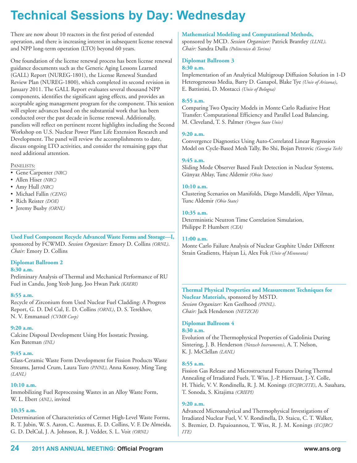There are now about 10 reactors in the first period of extended operation, and there is increasing interest in subsequent license renewal and NPP long-term operation (LTO) beyond 60 years.

One foundation of the license renewal process has been license renewal guidance documents such as the Generic Aging Lessons Learned (GALL) Report (NUREG-1801), the License Renewal Standard Review Plan (NUREG-1800), which completed its second revision in January 2011. The GALL Report evaluates several thousand NPP components, identifies the significant aging effects, and provides an acceptable aging management program for the component. This session will explore advances based on the substantial work that has been conducted over the past decade in license renewal. Additionally, panelists will reflect on pertinent recent highlights including the Second Workshop on U.S. Nuclear Power Plant Life Extension Research and Development. The panel will review the accomplishments to date, discuss ongoing LTO activities, and consider the remaining gaps that need additional attention.

#### PANELISTS:

- Gene Carpenter *(NRC)*
- Allen Hiser *(NRC)*
- Amy Hull *(NRC)*
- Michael Fallin *(CENG)*
- Rich Reister *(DOE)*
- Jeremy Busby *(ORNL)*

**Used Fuel Component Recycle Advanced Waste Forms and Storage—I,** sponsored by FCWMD. *Session Organizer:* Emory D. Collins *(ORNL)*. *Chair:* Emory D. Collins

### **Diplomat Ballroom 2**

#### **8:30 a.m.**

Preliminary Analysis of Thermal and Mechanical Performance of RU Fuel in Candu, Jong Yeob Jung, Joo Hwan Park *(KAERI)*

#### **8:55 a.m.**

Recycle of Zirconium from Used Nuclear Fuel Cladding: A Progress Report, G. D. Del Cul, E. D. Collins *(ORNL)*, D. S. Terekhov, N. V. Emmanuel *(CVMR Corp)*

#### **9:20 a.m.**

Calcine Disposal Development Using Hot Isostatic Pressing, Ken Bateman *(INL)*

#### **9:45 a.m.**

Glass-Ceramic Waste Form Development for Fission Products Waste Streams, Jarrod Crum, Laura Turo *(PNNL),* Anna Kossoy, Ming Tang *(LANL)*

#### **10:10 a.m.**

Immobilizing Fuel Reprocessing Wastes in an Alloy Waste Form, W. L. Ebert *(ANL)*, invited

#### **10:35 a.m.**

Determination of Characteristics of Cermet High-Level Waste Forms, R. T. Jubin, W. S. Aaron, C. Ausmus, E. D. Collins, V. F. De Almeida, G. D. DelCul, J. A. Johnson, R. J. Vedder, S. L. Voit *(ORNL)*

#### **Mathematical Modeling and Computational Methods,**

sponsored by MCD. *Session Organizer:* Patrick Brantley *(LLNL)*. *Chair:* Sandra Dulla *(Politecnico di Torino)*

#### **Diplomat Ballroom 3**

#### **8:30 a.m.**

Implementation of an Analytical Multigroup Diffusion Solution in 1-D Heterogeneous Media, Barry D. Ganapol, Blake Tye *(Univ of Arizona)*, E. Battistini, D. Mostacci *(Univ of Bologna)*

#### **8:55 a.m.**

Comparing Two Opacity Models in Monte Carlo Radiative Heat Transfer: Computational Efficiency and Parallel Load Balancing, M. Cleveland, T. S. Palmer *(Oregon State Univ)*

#### **9:20 a.m.**

Convergence Diagnostics Using Auto-Correlated Linear Regression Model on Cycle-Based Mesh Tally, Bo Shi, Bojan Petrovic *(Georgia Tech)*

#### **9:45 a.m.**

Sliding Mode Observer Based Fault Detection in Nuclear Systems, Günyaz Ablay, Tunc Aldemir *(Ohio State)*

#### **10:10 a.m.**

Clustering Scenarios on Manifolds, Diego Mandelli, Alper Yilmaz, Tunc Aldemir *(Ohio State)*

#### **10:35 a.m.**

Deterministic Neutron Time Correlation Simulation, Philippe P. Humbert *(CEA)*

#### **11:00 a.m.**

Monte Carlo Failure Analysis of Nuclear Graphite Under Different Strain Gradients, Haiyan Li, Alex Fok *(Univ of Minnesota)*

#### **Thermal Physical Properties and Measurement Techniques for Nuclear Materials,** sponsored by MSTD. *Session Organizer:* Ken Geelhood *(PNNL)*.

*Chair:* Jack Henderson *(NETZCH)*

### **Diplomat Ballroom 4**

#### **8:30 a.m.**

Evolution of the Thermophysical Properties of Gadolinia During Sintering, J. B. Henderson *(Netzsch Instruments)*, A. T. Nelson, K. J. McClellan *(LANL)*

#### **8:55 a.m.**

Fission Gas Release and Microstructural Features During Thermal Annealing of Irradiated Fuels, T. Wiss, J.-P. Hiernaut, J.-Y. Colle, H. Thiele, V. V. Rondinella, R. J. M. Konings *(EC/JRC/ITE)*, A. Sasahara, T. Sonoda, S. Kitajima *(CRIEPI)*

#### **9:20 a.m.**

Advanced Microanalytical and Thermophysical Investigations of Irradiated Nuclear Fuel, V. V. Rondinella, D. Staicu, C. T. Walker, S. Bremier, D. Papaioannou, T. Wiss, R. J. M. Konings *(EC/JRC/ ITE)*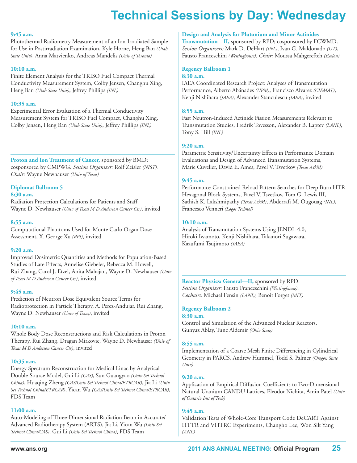#### **9:45 a.m.**

Photothermal Radiometry Measurement of an Ion-Irradiated Sample for Use in Postirradiation Examination, Kyle Horne, Heng Ban *(Utah State Univ)*, Anna Matvienko, Andreas Mandelis *(Univ of Toronto)*

#### **10:10 a.m.**

Finite Element Analysis for the TRISO Fuel Compact Thermal Conductivity Measurement System, Colby Jensen, Changhu Xing, Heng Ban *(Utah State Univ)*, Jeffrey Phillips *(INL)*

#### **10:35 a.m.**

Experimental Error Evaluation of a Thermal Conductivity Measurement System for TRISO Fuel Compact, Changhu Xing, Colby Jensen, Heng Ban *(Utah State Univ)*, Jeffrey Phillips *(INL)*

**Proton and Ion Treatment of Cancer,** sponsored by BMD; cosponsored by CMPWG. *Session Organizer:* Rolf Zeisler *(NIST). Chair:* Wayne Newhauser *(Univ of Texas)*

### **Diplomat Ballroom 5**

#### **8:30 a.m.**

Radiation Protection Calculations for Patients and Staff, Wayne D. Newhauser *(Univ of Texas M D Anderson Cancer Ctr)*, invited

#### **8:55 a.m.**

Computational Phantoms Used for Monte Carlo Organ Dose Assessment, X. George Xu *(RPI)*, invited

#### **9:20 a.m.**

Improved Dosimetric Quantities and Methods for Population-Based Studies of Late Effects, Annelise Giebeler, Rebecca M. Howell, Rui Zhang, Carol J. Etzel, Anita Mahajan, Wayne D. Newhauser *(Univ of Texas M D Anderson Cancer Ctr)*, invited

#### **9:45 a.m.**

Prediction of Neutron Dose Equivalent Source Terms for Radioprotection in Particle Therapy, A. Perez-Andujar, Rui Zhang, Wayne D. Newhauser *(Univ of Texas)*, invited

#### **10:10 a.m.**

Whole Body Dose Reconstructions and Risk Calculations in Proton Therapy, Rui Zhang, Dragan Mirkovic, Wayne D. Newhauser *(Univ of Texas M D Anderson Cancer Ctr)*, invited

#### **10:35 a.m.**

Energy Spectrum Reconstruction for Medical Linac by Analytical Double-Source Model, Gui Li *(CAS)*, Sun Guangyao *(Univ Sci Technol China)*, Huaqing Zheng *(CAS/Univ Sci Technol China/ETRCAR)*, Jia Li *(Univ Sci Technol China/ETRCAR)*, Yican Wu *(CAS/Univ Sci Technol China/ETRCAR)*, FDS Team

#### **11:00 a.m.**

Auto-Modeling of Three-Dimensional Radiation Beam in Accurate/ Advanced Radiotherapy System (ARTS), Jia Li, Yican Wu *(Univ Sci Technol China/CAS)*, Gui Li *(Univ Sci Technol China)*, FDS Team

#### **Design and Analysis for Plutonium and Minor Actinides**

**Transmutation—II,** sponsored by RPD; cosponsored by FCWMD. *Session Organizers:* Mark D. DeHart *(INL)*, Ivan G. Maldonado *(UT)*, Fausto Franceschini *(Westinghouse)*. *Chair:* Moussa Mahgerefteh *(Exelon)*

#### **Regency Ballroom 1 8:30 a.m.**

IAEA Coordinated Research Project: Analyses of Transmutation Performance, Alberto Abánades *(UPM)*, Francisco Alvarez *(CIEMAT)*, Kenji Nishihara *(JAEA)*, Alexander Stanculescu *(IAEA)*, invited

#### **8:55 a.m.**

Fast Neutron-Induced Actinide Fission Measurements Relevant to Transmutation Studies, Fredrik Tovesson, Alexander B. Laptev *(LANL)*, Tony S. Hill *(INL)*

#### **9:20 a.m.**

Parametric Sensitivity/Uncertainty Effects in Performance Domain Evaluations and Design of Advanced Transmutation Systems, Marie Cuvelier, David E. Ames, Pavel V. Tsvetkov *(Texas A&M)*

#### **9:45 a.m.**

Performance-Constrained Reload Pattern Searches for Deep Burn HTR Hexagonal Block Systems, Pavel V. Tsvetkov, Tom G. Lewis III, Sathish K. Lakshmipathy *(Texas A&M)*, Abderrafi M. Ougouag *(INL)*, Francesco Venneri *(Logos Technol)*

#### **10:10 a.m.**

Analysis of Transmutation Systems Using JENDL-4.0, Hiroki Iwamoto, Kenji Nishihara, Takanori Sugawara, Kazufumi Tsujimoto *(JAEA)*

**Reactor Physics: General—II,** sponsored by RPD. *Session Organizer:* Fausto Franceschini *(Westinghouse)*. *Cochairs:* Michael Fensin *(LANL),* Benoit Forget *(MIT)*

#### **Regency Ballroom 2**

#### **8:30 a.m.**

Control and Simulation of the Advanced Nuclear Reactors, Gunyaz Ablay, Tunc Aldemir *(Ohio State)*

#### **8:55 a.m.**

Implementation of a Coarse Mesh Finite Differencing in Cylindrical Geometry in PARCS, Andrew Hummel, Todd S. Palmer *(Oregon State Univ)*

#### **9:20 a.m.**

Application of Empirical Diffusion Coefficients to Two-Dimensional Natural-Uranium CANDU Lattices, Eleodor Nichita, Amin Patel *(Univ of Ontario Inst of Tech)*

#### **9:45 a.m.**

Validation Tests of Whole-Core Transport Code DeCART Against HTTR and VHTRC Experiments, Changho Lee, Won Sik Yang *(ANL)*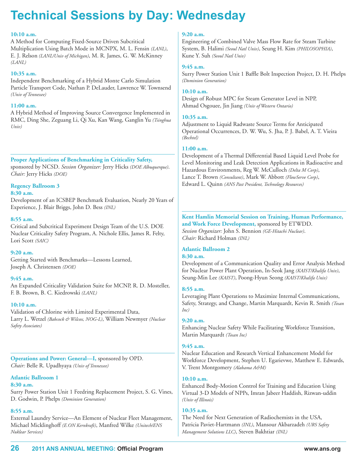#### **10:10 a.m.**

A Method for Computing Fixed-Source Driven Subcritical Multiplication Using Batch Mode in MCNPX, M. L. Fensin *(LANL)*, E. J. Relson *(LANL/Univ of Michigan)*, M. R. James, G. W. McKinney *(LANL)*

#### **10:35 a.m.**

Independent Benchmarking of a Hybrid Monte Carlo Simulation Particle Transport Code, Nathan P. DeLauder, Lawrence W. Townsend *(Univ of Tennessee)*

#### **11:00 a.m.**

A Hybrid Method of Improving Source Convergence Implemented in RMC, Ding She, Zeguang Li, Qi Xu, Kan Wang, Ganglin Yu *(Tsinghua Univ)*

**Proper Applications of Benchmarking in Criticality Safety,** sponsored by NCSD. *Session Organizer:* Jerry Hicks *(DOE Albuquerque)*. *Chair:* Jerry Hicks *(DOE)*

### **Regency Ballroom 3**

#### **8:30 a.m.**

Development of an ICSBEP Benchmark Evaluation, Nearly 20 Years of Experience, J. Blair Briggs, John D. Bess *(INL)*

#### **8:55 a.m.**

Critical and Subcritical Experiment Design Team of the U.S. DOE Nuclear Criticality Safety Program, A. Nichole Ellis, James R. Felty, Lori Scott *(SAIC)*

#### **9:20 a.m.**

Getting Started with Benchmarks—Lessons Learned, Joseph A. Christensen *(DOE)*

#### **9:45 a.m.**

An Expanded Criticality Validation Suite for MCNP, R. D. Mosteller, F. B. Brown, B. C. Kiedrowski *(LANL)*

#### **10:10 a.m.**

Validation of Chlorine with Limited Experimental Data, Larry L. Wetzel *(Babcock & Wilcox, NOG-L)*, William Newmyer *(Nuclear Safety Associates)*

**Operations and Power: General—I,** sponsored by OPD. *Chair:* Belle R. Upadhyaya *(Univ of Tennessee)*

#### **Atlantic Ballroom 1 8:30 a.m.**

Surry Power Station Unit 1 Feedring Replacement Project, S. G. Vines, D. Godwin, P. Phelps *(Dominion Generation)*

#### **8:55 a.m.**

External Laundry Service—An Element of Nuclear Fleet Management, Michael Micklinghoff *(E.ON Kernkraft)*, Manfred Wilke *(Unitech/ENS Nuklear Services)*

#### **9:20 a.m.**

Engineering of Combined Valve Mass Flow Rate for Steam Turbine System, B. Halimi *(Seoul Natl Univ)*, Seung H. Kim *(PHILOSOPHIA)*, Kune Y. Suh *(Seoul Natl Univ)*

#### **9:45 a.m.**

Surry Power Station Unit 1 Baffle Bolt Inspection Project, D. H. Phelps *(Dominion Generation)*

#### **10:10 a.m.**

Design of Robust MPC for Steam Generator Level in NPP, Ahmad Osgouee, Jin Jiang *(Univ of Western Ontario)*

#### **10:35 a.m.**

Adjustment to Liquid Radwaste Source Terms for Anticipated Operational Occurrences, D. W. Wu, S. Jha, P. J. Babel, A. T. Vieira *(Bechtel)*

#### **11:00 a.m.**

Development of a Thermal Differential Based Liquid Level Probe for Level Monitoring and Leak Detection Applications in Radioactive and Hazardous Environments, Reg W. McCulloch *(Delta M Corp)*, Lance T. Brown *(Consultant)*, Mark W. Abbott *(FlowServe Corp)*, Edward L. Quinn *(ANS Past President, Technology Resources)*

#### **Kent Hamlin Memorial Session on Training, Human Performance, and Work Force Development,** sponsored by ETWDD. *Session Organizer:* John S. Bennion *(GE-Hitachi Nuclear)*. *Chair:* Richard Holman *(INL)*

## **Atlantic Ballroom 2**

### **8:30 a.m.**

Development of a Communication Quality and Error Analysis Method for Nuclear Power Plant Operation, In-Seok Jang *(KAIST/Khalifa Univ)*, Seung-Min Lee *(KAIST)*, Poong-Hyun Seong *(KAIST/Khalifa Univ)*

#### **8:55 a.m.**

Leveraging Plant Operations to Maximize Internal Communications, Safety, Strategy, and Change, Martin Marquardt, Kevin R. Smith *(Tosan Inc)*

#### **9:20 a.m.**

Enhancing Nuclear Safety While Facilitating Workforce Transition, Martin Marquardt *(Tosan Inc)*

#### **9:45 a.m.**

Nuclear Education and Research Vertical Enhancement Model for Workforce Development, Stephen U. Egarievwe, Matthew E. Edwards, V. Trent Montgomery *(Alabama A&M)*

#### **10:10 a.m.**

Enhanced Body-Motion Control for Training and Education Using Virtual 3-D Models of NPPs, Imran Jabeer Haddish, Rizwan-uddin *(Univ of Illinois)*

#### **10:35 a.m.**

The Need for Next Generation of Radiochemists in the USA, Patricia Paviet-Hartmann *(INL)*, Mansour Akbarzadeh *(URS Safety Management Solutions LLC)*, Steven Bakhtiar *(INL)*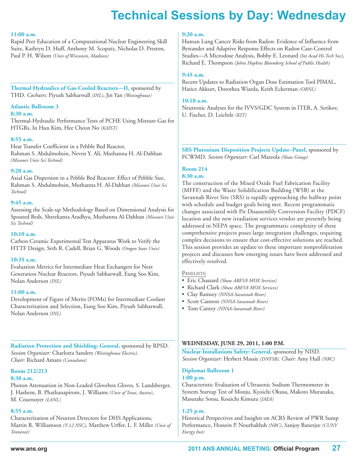#### **11:00 a.m.**

Rapid Peer Education of a Computational Nuclear Engineering Skill Suite, Kathryn D. Huff, Anthony M. Scopatz, Nicholas D. Preston, Paul P. H. Wilson *(Univ of Wisconsin, Madison)*

**Thermal Hydraulics of Gas-Cooled Reactors—II,** sponsored by THD. *Cochairs:* Piyush Sabharwall *(INL)*, Jin Yan *(Westinghouse)*

#### **Atlantic Ballroom 3**

#### **8:30 a.m.**

Thermal-Hydraulic Performance Tests of PCHE Using Mixture-Gas for HTGRs, In Hun Kim, Hee Cheon No *(KAIST)*

#### **8:55 a.m.**

Heat Transfer Coefficient in a Pebble Bed Reactor, Rahman S. Abdulmohsin, Neven Y. Ali, Muthanna H. Al-Dahhan *(Missouri Univ Sci Technol)*

#### **9:20 a.m.**

Axial Gas Dispersion in a Pebble Bed Reactor: Effect of Pebble Size, Rahman S. Abdulmohsin, Muthanna H. Al-Dahhan *(Missouri Univ Sci Technol)*

#### **9:45 a.m.**

Assessing the Scale-up Methodology Based on Dimensional Analysis for Spouted Beds, Shreekanta Aradhya, Muthanna Al-Dahhan *(Missouri Univ Sci Technol)*

#### **10:10 a.m.**

Carbon Ceramic Experimental Test Apparatus Work to Verify the HTTF Design, Seth R. Cadell, Brian G. Woods *(Oregon State Univ)*

#### **10:35 a.m.**

Evaluation Metrics for Intermediate Heat Exchangers for Next Generation Nuclear Reactors, Piyush Sabharwall, Eung Soo Kim, Nolan Anderson *(INL)*

#### **11:00 a.m.**

Development of Figure of Merits (FOMs) for Intermediate Coolant Characterization and Selection, Eung Soo Kim, Piyush Sabharwall, Nolan Anderson *(INL)*

**Radiation Protection and Shielding: General,** sponsored by RPSD. *Session Organizer:* Charlotta Sanders *(Westinghouse Electric)*. *Chair:* Richard Amato *(Consultant)*

#### **Room 212/213**

#### **8:30 a.m.**

Photon Attenuation in Non-Leaded Glovebox Gloves, S. Landsberger, J. Hashem, B. Phathanapirom, J. Williams *(Univ of Texas, Austin)*, M. Cournoyer *(LANL)*

#### **8:55 a.m.**

Characterization of Neutron Detectors for DHS Applications, Martin R. Williamson *(Y-12 NSC)*, Matthew Urffer, L. F. Miller *(Univ of Tennessee)*

#### **9:20 a.m.**

Human Lung Cancer Risks from Radon: Evidence of Influence from Bystander and Adaptive Response Effects on Radon Case-Control Studies—A Microdose Analysis, Bobby E. Leonard *(Int Acad Hi-Tech Svc)*, Richard E. Thompson *(Johns Hopkins Bloomberg School of Public Health)*

#### **9:45 a.m.**

Recent Updates to Radiation Organ Dose Estimation Tool PIMAL, Hatice Akkurt, Dorothea Wiarda, Keith Eckerman *(ORNL)*

#### **10:10 a.m.**

Neutronic Analyses for the IVVS/GDC System in ITER, A. Serikov, U. Fischer, D. Leichtle *(KIT)*

**SRS Plutonium Disposition Projects Update–Panel**, sponsored by FCWMD. *Session Organizer:* Carl Mazzola *(Shaw Group)*

### **Room 214**

#### **8:30 a.m.**

The construction of the Mixed Oxide Fuel Fabrication Facility (MFFF) and the Waste Solidification Building (WSB) at the Savannah River Site (SRS) is rapidly approaching the halfway point with schedule and budget goals being met. Recent programmatic changes associated with Pit Disassembly Conversion Facility (PDCF) location and the new irradiation services vendor are presently being addressed in NEPA space. The programmatic complexity of these comprehensive projects poses large integration challenges, requiring complex decisions to ensure that cost-effective solutions are reached. This session provides an update to these important nonproliferation projects and discusses how emerging issues have been addressed and effectively resolved.

#### PANELISTS:

- Eric Chassard *(Shaw AREVA MOX Services)*
- Richard Clark *(Shaw AREVA MOX Services)*
- Clay Ramsey *(NNSA-Savannah River)*
- Scott Cannon *(NNSA-Savannah River)*
- Tom Cantey *(NNSA-Savannah River)*

#### **WEDNESDAY, JUNE 29, 2011, 1:00 P.M.**

**Nuclear Installations Safety: General,** sponsored by NISD. *Session Organizer:* Herbert Massie *(DNFSB)*. *Chair:* Amy Hull *(NRC)*

#### **Diplomat Ballroom 1 1:00 p.m.**

Characteristic Evaluation of Ultrasonic Sodium Thermometer in System Startup Test of Monju, Kyoichi Okusa, Makoto Muranaka, Masutake Sotsu, Kouichi Kimura *(JAEA)*

#### **1:25 p.m.**

Historical Perspectives and Insights on ACRS Review of PWR Sump Performance, Hossein P. Nourbakhsh *(NRC)*, Sanjoy Banerjee *(CUNY Energy Inst)*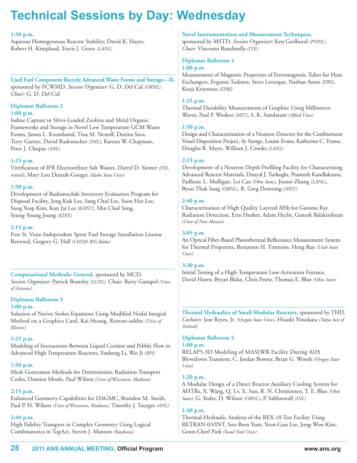#### **1:50 p.m.**

Aqueous Homogeneous Reactor Stability, David K. Hayes, Robert H. Kimpland, Travis J. Grove *(LANL)*

**Used Fuel Component Recycle Advanced Waste Forms and Storage—II,** sponsored by FCWMD. *Session Organizer:* G. D. Del Cul *(ORNL)*. *Chair:* G. D. Del Cul

### **Diplomat Ballroom 2**

#### **1:00 p.m.**

Iodine Capture in Silver-Loaded Zeolites and Metal Organic Frameworks and Storage in Novel Low Temperature GCM Waste Forms, James L. Krumhansl, Tina M. Nenoff, Dorina Sava, Terry Garino, David Rademacher *(SNL)*, Karena W. Chapman, Peter J. Chupas *(ANL)*

#### **1:25 p.m.**

Vitrification of IFR Electrorefiner Salt Wastes, Darryl D. Siemer *(INL, retired)*, Mary Lou Dunzik-Gougar *(Idaho State Univ)*

#### **1:50 p.m.**

Development of Radionuclide Inventory Evaluation Program for Disposal Facility, Jong Kuk Lee, Sang Chul Lee, Yoon Hee Lee, Sung Yeop Kim, Kun Jai Lee *(KAIST)*, Min Chul Song, Seung-Young Joung *(KINS)*

#### **2:15 p.m.**

Fort St. Vrain Independent Spent Fuel Storage Installation License Renewal, Gregory G. Hall *(CH2M-WG Idaho)*

**Computational Methods: General,** sponsored by MCD. *Session Organizer:* Patrick Brantley *(LLNL)*. Chair: Barry Ganapol *(Univ of Arizona)*

#### **Diplomat Ballroom 3**

#### **1:00 p.m.**

Solution of Navier-Stokes Equations Using Modified Nodal Integral Method on a Graphics Card, Kai Huang, Rizwan-uddin *(Univ of Illinois)*

#### **1:25 p.m.**

Modeling of Interactions Between Liquid Coolant and Pebble Flow in Advanced High Temperature Reactors, Yanheng Li, Wei Ji *(RPI)*

#### **1:50 p.m.**

Mesh Generation Methods for Deterministic Radiation Transport Codes, Damien Moule, Paul Wilson *(Univ of Wisconsin, Madison)*

#### **2:15 p.m.**

Enhanced Geometry Capabilities for DAGMC, Brandon M. Smith, Paul P. H. Wilson *(Univ of Wisconsin, Madison)*, Timothy J. Tautges *(ANL)*

#### **2:40 p.m.**

High Fidelity Transport in Complex Geometry Using Logical Combinatorics in TopAct, Steven J. Manson *(Raytheon)*

#### **Novel Instrumentation and Measurement Techniques,**

sponsored by MSTD. *Session Organizer*: Ken Geelhood *(PNNL)*. *Chair:* Vincenzo Rondinella *(ITE)*

### **Diplomat Ballroom 4**

#### **1:00 p.m.**

Measurement of Magnetic Properties of Ferromagnetic Tubes for Heat Exchangers, Evgueni Todorov, Steve Levesque, Nathan Ames *(EWI)*, Kenji Krzywosz *(EPRI)*

#### **1:25 p.m.**

Thermal Durability Measurements of Graphite Using Millimeter-Waves, Paul P. Woskov *(MIT)*, S. K. Sundaram *(Alfred Univ)*

#### **1:50 p.m.**

Design and Characterization of a Neutron Detector for the Confinement Vessel Disposition Project, Sy Stange, Louise Evans, Katherine C. Frame, Douglas R. Mayo, William J. Crooks *(LANL)*

#### **2:15 p.m.**

Development of a Neutron Depth Profiling Facility for Characterizing Advanced Reactor Materials, Danyal J. Turkoglu, Praneeth Kandlakunta, Padhraic L. Mulligan, Lei Cao *(Ohio State)*, Jinsuo Zhang *(LANL)*, Byun Thak Sang *(ORNL)*, R. Greg Downing *(NIST)*

#### **2:40 p.m.**

Characterization of High Quality Layered AlSb for Gamma Ray Radiation Detection, Erin Husher, Adam Hecht, Ganesh Balakrishnan *(Univ of New Mexico)*

#### **3:05 p.m.**

An Optical Fiber-Based Photothermal Reflectance Measurement System for Thermal Properties, Benjamin H. Timmins, Heng Ban *(Utah State Univ)*

#### **3:30 p.m.**

Initial Testing of a High-Temperature Low-Activation Furnace, David Hawn, Bryan Blake, Chris Petrie, Thomas E. Blue *(Ohio State)*

**Thermal Hydraulics of Small Modular Reactors,** sponsored by THD. *Cochairs:* Jose Reyes, Jr. *(Oregon State Univ)*, Hisashi Ninokata *(Tokyo Inst of Technol)*

#### **Diplomat Ballroom 5**

#### **1:00 p.m.**

RELAP5-3D Modeling of MASLWR Facility During ADS Blowdown Transient, C. Jordan Bowser, Brian G. Woods *(Oregon State Univ)*

#### **1:20 p.m.**

A Modular Design of a Direct Reactor Auxiliary Cooling System for AHTRs, X. Wang, Q. Lv, X. Sun, R. N. Christensen, T. E. Blue *(Ohio State)*, G. Yoder, D. Wilson *(ORNL)*, P. Sabharwall *(INL)*

#### **1:40 p.m.**

Thermal-Hydraulic Analysis of the REX-10 Test Facility Using RETRAN-03/INT, Soo-Been Yum, Yeon-Gun Lee, Jong-Won Kim, Goon-Cherl Park *(Seoul Natl Univ)*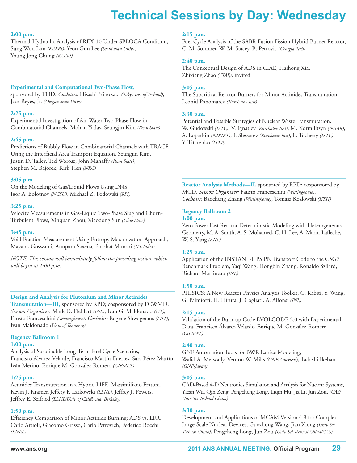#### **2:00 p.m.**

Thermal-Hydraulic Analysis of REX-10 Under SBLOCA Condition, Sung Won Lim *(KAERI)*, Yeon Gun Lee *(Seoul Natl Univ)*, Young Jong Chung *(KAERI)*

#### **Experimental and Computational Two-Phase Flow,**

sponsored by THD. *Cochairs:* Hisashi Ninokata *(Tokyo Inst of Technol)*, Jose Reyes, Jr. *(Oregon State Univ)*

#### **2:25 p.m.**

Experimental Investigation of Air-Water Two-Phase Flow in Combinatorial Channels, Mohan Yadav, Seungjin Kim *(Penn State)*

#### **2:45 p.m.**

Predictions of Bubbly Flow in Combinatorial Channels with TRACE Using the Interfacial Area Transport Equation, Seungjin Kim, Justin D. Talley, Ted Worosz, John Mahaffy *(Penn State)*, Stephen M. Bajorek, Kirk Tien *(NRC)*

#### **3:05 p.m.**

On the Modeling of Gas/Liquid Flows Using DNS, Igor A. Bolotnov *(NCSU)*, Michael Z. Podowski *(RPI)*

#### **3:25 p.m.**

Velocity Measurements in Gas-Liquid Two-Phase Slug and Churn-Turbulent Flows, Xinquan Zhou, Xiaodong Sun *(Ohio State)*

#### **3:45 p.m.**

Void Fraction Measurement Using Entropy Maximization Approach, Mayank Goswami, Anupam Saxena, Prabhat Munshi *(IIT-India)*

*NOTE: This session will immediately follow the preceding session, which will begin at 1:00 p.m.*

#### **Design and Analysis for Plutonium and Minor Actinides**

**Transmutation—III,** sponsored by RPD; cosponsored by FCWMD. *Session Organizer:* Mark D. DeHart *(INL)*, Ivan G. Maldonado *(UT),* Fausto Franceschini *(Westinghouse)*. *Cochairs:* Eugene Shwageraus *(MIT)*, Ivan Maldonado *(Univ of Tennessee)*

### **Regency Ballroom 1**

**1:00 p.m.**

Analysis of Sustainable Long-Term Fuel Cycle Scenarios, Francisco Álvarez-Velarde, Francisco Martín-Fuertes, Sara Pérez-Martín, Iván Merino, Enrique M. González-Romero *(CIEMAT)*

#### **1:25 p.m.**

Actinides Transmutation in a Hybrid LIFE, Massimiliano Fratoni, Kevin J. Kramer, Jeffery F. Latkowski *(LLNL),* Jeffrey J. Powers, Jeffrey E. Seifried *(LLNL/Univ of California, Berkeley)*

#### **1:50 p.m.**

Efficiency Comparison of Minor Actinide Burning: ADS vs. LFR, Carlo Artioli, Giacomo Grasso, Carlo Petrovich, Federico Rocchi *(ENEA)*

#### **2:15 p.m.**

Fuel Cycle Analysis of the SABR Fusion Fission Hybrid Burner Reactor, C. M. Sommer, W. M. Stacey, B. Petrovic *(Georgia Tech)*

#### **2:40 p.m.**

The Conceptual Design of ADS in CIAE, Haihong Xia, Zhixiang Zhao *(CIAE)*, invited

#### **3:05 p.m.**

The Subcritical Reactor-Burners for Minor Actinides Transmutation, Leonid Ponomarev *(Kurchatov Inst)*

#### **3:30 p.m.**

Potential and Possible Strategies of Nuclear Waste Transmutation, W. Gudowski *(ISTC)*, V. Ignatiev *(Kurchatov Inst)*, M. Kormilitsyn *(NIIAR)*, A. Lopatkin *(NIKIET)*, I. Slessarev *(Kurchatov Inst)*, L. Tocheny *(ISTC)*, Y. Titarenko *(ITEP)*

**Reactor Analysis Methods—II,** sponsored by RPD; cosponsored by MCD. *Session Organizer:* Fausto Franceschini *(Westinghouse)*. *Cochairs:* Baocheng Zhang *(Westinghouse)*, Tomasz Kozlowski *(KTH)*

### **Regency Ballroom 2**

**1:00 p.m.**

Zero Power Fast Reactor Deterministic Modeling with Heterogeneous Geometry, M. A. Smith, A. S. Mohamed, C. H. Lee, A. Marin-Lafleche, W. S. Yang *(ANL)*

#### **1:25 p.m.**

Application of the INSTANT-HPS PN Transport Code to the C5G7 Benchmark Problem, Yaqi Wang, Hongbin Zhang, Ronaldo Szilard, Richard Martineau *(INL)*

#### **1:50 p.m.**

PHISICS: A New Reactor Physics Analysis Toolkit, C. Rabiti, Y. Wang, G. Palmiotti, H. Hiruta, J. Cogliati, A. Alfonsi *(INL)*

#### **2:15 p.m.**

Validation of the Burn-up Code EVOLCODE 2.0 with Experimental Data, Francisco Álvarez-Velarde, Enrique M. González-Romero *(CIEMAT)*

#### **2:40 p.m.**

GNF Automation Tools for BWR Lattice Modeling, Walid A. Metwally, Vernon W. Mills *(GNF-Americas*), Tadashi Ikehara *(GNF-Japan)*

#### **3:05 p.m.**

CAD-Based 4-D Neutronics Simulation and Analysis for Nuclear Systems, Yican Wu, Qin Zeng, Pengcheng Long, Liqin Hu, Jia Li, Jun Zou, *(CAS/ Univ Sci Technol China)*

#### **3:30 p.m.**

Development and Applications of MCAM Version 4.8 for Complex Large-Scale Nuclear Devices, Guozhong Wang, Jian Xiong *(Univ Sci Technol China)*, Pengcheng Long, Jun Zou *(Univ Sci Technol China/CAS)*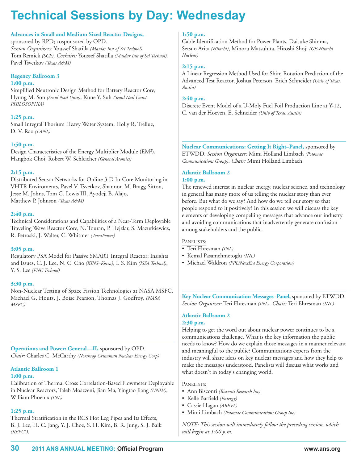#### **Advances in Small and Medium Sized Reactor Designs,**

sponsored by RPD; cosponsored by OPD. *Session Organizers:* Youssef Shatilla *(Masdar Inst of Sci Technol)*, Tom Remick *(SCE)*. *Cochairs:* Youssef Shatilla *(Masdar Inst of Sci Technol),* Pavel Tsvetkov *(Texas A&M)*

#### **Regency Ballroom 3**

#### **1:00 p.m.**

Simplified Neutronic Design Method for Battery Reactor Core, Hyung M. Son *(Seoul Natl Univ)*, Kune Y. Suh *(Seoul Natl Univ/ PHILOSOPHIA)*

#### **1:25 p.m.**

Small Integral Thorium Heavy Water System, Holly R. Trellue, D. V. Rao *(LANL)*

#### **1:50 p.m.**

Design Characteristics of the Energy Multiplier Module (EM<sup>2</sup>), Hangbok Choi, Robert W. Schleicher *(General Atomics)*

#### **2:15 p.m.**

Distributed Sensor Networks for Online 3-D In-Core Monitoring in VHTR Enviroments, Pavel V. Tsvetkov, Shannon M. Bragg-Sitton, Jesse M. Johns, Tom G. Lewis III, Ayodeji B. Alajo, Matthew P. Johnson *(Texas A&M)*

#### **2:40 p.m.**

Technical Considerations and Capabilities of a Near-Term Deployable Traveling Wave Reactor Core, N. Touran, P. Hejzlar, S. Mazurkiewicz, R. Petroski, J. Walter, C. Whitmer *(TerraPower)*

#### **3:05 p.m.**

Regulatory PSA Model for Passive SMART Integral Reactor: Insights and Issues, C. J. Lee, N. C. Cho *(KINS–Korea)*, I. S. Kim *(ISSA Technol)*, Y. S. Lee *(FNC Technol)*

#### **3:30 p.m.**

Non-Nuclear Testing of Space Fission Technologies at NASA MSFC, Michael G. Houts, J. Boise Pearson, Thomas J. Godfroy, *(NASA MSFC)*

**Operations and Power: General—II,** sponsored by OPD. *Chair:* Charles C. McCarthy *(Northrop Grumman Nuclear Energy Corp)*

#### **Atlantic Ballroom 1**

#### **1:00 p.m.**

Calibration of Thermal Cross Correlation-Based Flowmeter Deployable in Nuclear Reactors, Taleb Moazzeni, Jian Ma, Yingtao Jiang *(UNLV)*, William Phoenix *(INL)*

#### **1:25 p.m.**

Thermal Stratification in the RCS Hot Leg Pipes and Its Effects, B. J. Lee, H. C. Jang, Y. J. Choe, S. H. Kim, B. R. Jung, S. J. Baik *(KEPCO)*

#### **1:50 p.m.**

Cable Identification Method for Power Plants, Daisuke Shinma, Setsuo Arita *(Hitachi)*, Minoru Matsuhita, Hiroshi Shoji *(GE-Hitachi Nuclear)*

#### **2:15 p.m.**

A Linear Regression Method Used for Shim Rotation Prediction of the Advanced Test Reactor, Joshua Peterson, Erich Schneider *(Univ of Texas, Austin)*

#### **2:40 p.m.**

Discrete Event Model of a U-Moly Fuel Foil Production Line at Y-12, C. van der Hoeven, E. Schneider *(Univ of Texas, Austin)*

**Nuclear Communications: Getting It Right–Panel,** sponsored by ETWDD. *Session Organizer:* Mimi Holland Limbach *(Potomac Communications Group)*. *Chair:* Mimi Holland Limbach

#### **Atlantic Ballroom 2 1:00 p.m.**

The renewed interest in nuclear energy, nuclear science, and technology in general has many more of us telling the nuclear story than ever before. But what do we say? And how do we tell our story so that people respond to it positively? In this session we will discuss the key elements of developing compelling messages that advance our industry and avoiding communications that inadvertently generate confusion among stakeholders and the public.

#### PANELISTS:

- Teri Ehresman *(INL)*
- Kemal Pasamehmetoglu *(INL)*
- Michael Waldron *(FPL/NextEra Energy Corporation)*

**Key Nuclear Communication Messages–Panel,** sponsored by ETWDD. *Session Organizer:* Teri Ehresman *(INL)*. *Chair:* Teri Ehresman *(INL)*

#### **Atlantic Ballroom 2 2:30 p.m.**

Helping to get the word out about nuclear power continues to be a communications challenge. What is the key information the public needs to know? How do we explain those messages in a manner relevant and meaningful to the public? Communications experts from the industry will share ideas on key nuclear messages and how they help to make the messages understood. Panelists will discuss what works and what doesn't in today's changing world.

#### PANELISTS:

- Ann Bisconti *(Bisconti Research Inc)*
- Kelle Barfield *(Entergy)*
- Cassie Hagan *(AREVA)*
- Mimi Limbach *(Potomac Communications Group Inc)*

*NOTE: This session will immediately follow the preceding session, which will begin at 1:00 p.m.*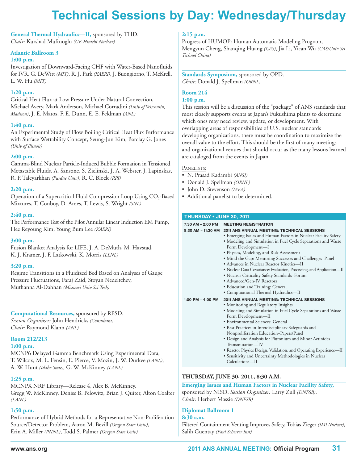# **technical Sessions by Day: Wednesday/thursday**

## **General Thermal Hydraulics—II,** sponsored by THD.

*Chair:* Kurshad Muftuoglu *(GE-Hitachi Nuclear)*

#### **Atlantic Ballroom 3**

#### **1:00 p.m.**

Investigation of Downward-Facing CHF with Water-Based Nanofluids for IVR, G. DeWitt *(MIT)*, R. J. Park *(KAERI)*, J. Buongiorno, T. McKrell, L. W. Hu *(MIT)*

#### **1:20 p.m.**

Critical Heat Flux at Low Pressure Under Natural Convection, Michael Avery, Mark Anderson, Michael Corradini *(Univ of Wisconsin, Madison)*, J. E. Matos, F. E. Dunn, E. E. Feldman *(ANL)*

#### **1:40 p.m.**

An Experimental Study of Flow Boiling Critical Heat Flux Performance with Surface Wettability Concept, Seung-Jun Kim, Barclay G. Jones *(Univ of Illinois)*

#### **2:00 p.m.**

Gamma-Blind Nuclear Particle-Induced Bubble Formation in Tensioned Metastable Fluids, A. Sansone, S. Zielinski, J. A. Webster, J. Lapinskas, R. P. Taleyarkhan *(Purdue Univ)*, R. C. Block *(RPI)*

#### **2:20 p.m.**

Operation of a Supercritical Fluid Compression Loop Using  $CO<sub>2</sub>$ -Based Mixtures, T. Conboy, D. Ames, T. Lewis, S. Wright *(SNL)*

#### **2:40 p.m.**

The Performance Test of the Pilot Annular Linear Induction EM Pump, Hee Reyoung Kim, Young Bum Lee *(KAERI)*

#### **3:00 p.m.**

Fusion Blanket Analysis for LIFE, J. A. DeMuth, M. Havstad, K. J. Kramer, J. F. Latkowski, K. Morris *(LLNL)*

#### **3:20 p.m.**

Regime Transitions in a Fluidized Bed Based on Analyses of Gauge Pressure Fluctuations, Faraj Zaid, Stoyan Nedeltchev, Muthanna Al-Dahhan *(Missouri Univ Sci Tech)*

**Computational Resources,** sponsored by RPSD. *Session Organizer:* John Hendricks *(Consultant)*. *Chair:* Raymond Klann *(ANL)*

#### **Room 212/213**

#### **1:00 p.m.**

MCNP6 Delayed Gamma Benchmark Using Experimental Data, T. Wilcox, M. L. Fensin, E. Pierce, V. Mozin, J. W. Durkee *(LANL)*, A. W. Hunt *(Idaho State),* G. W. McKinney *(LANL)*

#### **1:25 p.m.**

MCNPX NRF Library—Release 4, Alex B. McKinney, Gregg W. McKinney, Denise B. Pelowitz, Brian J. Quiter, Alton Coalter *(LANL)*

#### **1:50 p.m.**

Performance of Hybrid Methods for a Representative Non-Proliferation Source/Detector Problem, Aaron M. Bevill *(Oregon State Univ)*, Erin A. Miller *(PNNL)*, Todd S. Palmer *(Oregon State Univ)*

#### **2:15 p.m.**

Progress of HUMOP: Human Automatic Modeling Program, Mengyun Cheng, Shanqing Huang *(CAS)*, Jia Li, Yican Wu *(CAS/Univ Sci Technol China)*

**Standards Symposium,** sponsored by OPD. *Chair:* Donald J. Spellman *(ORNL)*

#### **Room 214**

#### **1:00 p.m.**

This session will be a discussion of the "package" of ANS standards that most closely supports events at Japan's Fukushima plants to determine which ones may need review, update, or development. With overlapping areas of responsibilities of U.S. nuclear standards developing organizations, there must be coordination to maximize the overall value to the effort. This should be the first of many meetings and organizational venues that should occur as the many lessons learned are cataloged from the events in Japan.

#### PANELISTS:

- N. Prasad Kadambi *(ANSI)*
- Donald J. Spellman *(ORNL)*
- John D. Stevenson *(IAEA)*
- Additional panelist to be determined.

#### **THURSDAY • JUNE 30, 2011**

| $7:30$ AM $- 2:00$ PM | <b>MEETING REGISTRATION</b>                                           |  |
|-----------------------|-----------------------------------------------------------------------|--|
| $8:30$ AM - 11:30 AM  | <b>2011 ANS ANNUAL MEETING: TECHNICAL SESSIONS</b>                    |  |
|                       | • Emerging Issues and Human Factors in Nuclear Facility Safety        |  |
|                       | • Modeling and Simulation in Fuel Cycle Separations and Waste         |  |
|                       | Form Development-I                                                    |  |
|                       | • Physics, Modeling, and Risk Assessment                              |  |
|                       | • Mind the Gap: Mentoring Successes and Challenges-Panel              |  |
|                       | • Advances in Nuclear Reactor Kinetics-II                             |  |
|                       | • Nuclear Data Covariance: Evaluation, Processing, and Application—II |  |
|                       | • Nuclear Criticality Safety Standards-Forum                          |  |
|                       | • Advanced/Gen-IV Reactors                                            |  |
|                       | • Education and Training: General                                     |  |
|                       | • Computational Thermal Hydraulics-II                                 |  |
| 1:00 PM - 4:00 PM     | 2011 ANS ANNUAL MEETING: TECHNICAL SESSIONS                           |  |
|                       | • Monitoring and Regulatory Insights                                  |  |
|                       | • Modeling and Simulation in Fuel Cycle Separations and Waste         |  |
|                       | Form Development-II                                                   |  |
|                       | • Environmental Sciences: General                                     |  |
|                       | • Best Practices in Interdisciplinary Safeguards and                  |  |
|                       | Nonproliferation Education-Papers/Panel                               |  |
|                       | • Design and Analysis for Plutonium and Minor Actinides               |  |
|                       | Transmutation—IV                                                      |  |
|                       | • Reactor Physics Design, Validation, and Operating Experience—II     |  |
|                       | · Sensitivity and Uncertainty Methodologies in Nuclear                |  |
|                       | Calculations—II                                                       |  |

#### **THURSDAY, JUNE 30, 2011, 8:30 A.M.**

**Emerging Issues and Human Factors in Nuclear Facility Safety,** sponsored by NISD. *Session Organizer:* Larry Zull *(DNFSB)*. *Chair:* Herbert Massie *(DNFSB)*

#### **Diplomat Ballroom 1**

#### **8:30 a.m.**

Filtered Containment Venting Improves Safety, Tobias Zieger *(IMI Nuclear)*, Salih Guentay *(Paul Scherrer Inst)*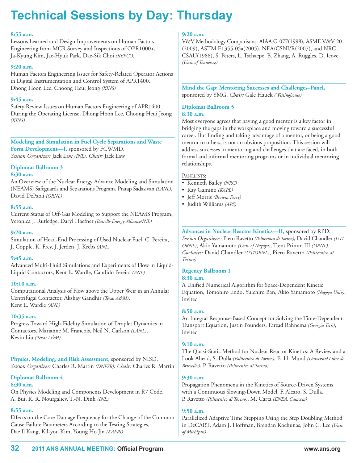#### **8:55 a.m.**

Lessons Learned and Design Improvements on Human Factors Engineering from MCR Survey and Inspections of OPR1000+, Ja-Kyung Kim, Jae-Hyuk Park, Dae-Sik Choi *(KEPCO)*

#### **9:20 a.m.**

Human Factors Engineering Issues for Safety-Related Operator Actions in Digital Instrumentation and Control System of APR1400, Dhong Hoon Lee, Choong Heui Jeong *(KINS)*

#### **9:45 a.m.**

Safety Review Issues on Human Factors Engineering of APR1400 During the Operating License, Dhong Hoon Lee, Choong Heui Jeong *(KINS)*

**Modeling and Simulation in Fuel Cycle Separations and Waste Form Development—I,** sponsored by FCWMD. *Session Organizer:* Jack Law *(INL)*. *Chair:* Jack Law

### **Diplomat Ballroom 3**

#### **8:30 a.m.**

An Overview of the Nuclear Energy Advance Modeling and Simulation (NEAMS) Safeguards and Separations Program, Pratap Sadasivan *(LANL)*, David DePaoli *(ORNL)*

#### **8:55 a.m.**

Current Status of Off-Gas Modeling to Support the NEAMS Program, Veronica J. Rutledge, Daryl Haefner *(Battelle Energy Alliance/INL)*

#### **9:20 a.m.**

Simulation of Head-End Processing of Used Nuclear Fuel, C. Pereira, J. Copple, K. Frey, J. Jerden, J. Krebs *(ANL)*

#### **9:45 a.m.**

Advanced Multi-Fluid Simulations and Experiments of Flow in Liquid-Liquid Contactors, Kent E. Wardle, Candido Pereira *(ANL)*

#### **10:10 a.m.**

Computational Analysis of Flow above the Upper Weir in an Annular Centrifugal Contactor, Akshay Gandhir *(Texas A&M)*, Kent E. Wardle *(ANL)*

#### **10:35 a.m.**

Progress Toward High-Fidelity Simulation of Droplet Dynamics in Contactors, Marianne M. Francois, Neil N. Carlson *(LANL)*, Kevin Liu *(Texas A&M)*

**Physics, Modeling, and Risk Assessment,** sponsored by NISD. *Session Organizer:* Charles R. Martin *(DNFSB)*. *Chair:* Charles R. Martin

#### **Diplomat Ballroom 4 8:30 a.m.**

On Physics Modeling and Components Development in R7 Code, A. Bui, R. R. Nourgaliev, T.-N. Dinh *(INL)*

#### **8:55 a.m.**

Effects on the Core Damage Frequency for the Change of the Common Cause Failure Parameters According to the Testing Strategies, Dae Il Kang, Kil-you Kim, Young Ho Jin *(KAERI)*

#### **9:20 a.m.**

V&V Methodology Comparisons: AIAA G-077(1998), ASME V&V 20 (2009), ASTM E1355-05a(2005), NEA/CSNI/R(2007), and NRC CSAU(1988), S. Peters, L. Tschaepe, B. Zhang, A. Ruggles, D. Icove *(Univ of Tennessee)*

**Mind the Gap: Mentoring Successes and Challenges–Panel,** sponsored by YMG. *Chair:* Gale Hauck *(Westinghouse)*

#### **Diplomat Ballroom 5**

#### **8:30 a.m.**

Most everyone agrees that having a good mentor is a key factor in bridging the gaps in the workplace and moving toward a successful career. But finding and taking advantage of a mentor, or being a good mentor to others, is not an obvious proposition. This session will address successes in mentoring and challenges that are faced, in both formal and informal mentoring programs or in individual mentoring relationships.

#### PANELISTS:

- Kenneth Bailey *(NRC)*
- Ray Gamino *(KAPL)*
- Jeff Morris *(Browns Ferry)*
- Judith Williams *(APS)*

### **Advances in Nuclear Reactor Kinetics—II,** sponsored by RPD.

*Session Organizers:* Piero Ravetto *(Politecnico di Torino)*, David Chandler *(UT/ ORNL)*, Akio Yamamoto *(Univ of Nagoya)*, Trent Primm III *(ORNL)*. *Cochairs:* David Chandler *(UT/ORNL)*, Piero Ravetto *(Politecnico di Torino)*

#### **Regency Ballroom 1**

#### **8:30 a.m.**

A Unified Numerical Algorithm for Space-Dependent Kinetic Equation, Tomohiro Endo, Yuichiro Ban, Akio Yamamoto *(Nagoya Univ)*, invited

#### **8:50 a.m.**

An Integral Response-Based Concept for Solving the Time-Dependent Transport Equation, Justin Pounders, Farzad Rahnema *(Georgia Tech)*, invited

#### **9:10 a.m.**

The Quasi-Static Method for Nuclear Reactor Kinetics: A Review and a Look Ahead, S. Dulla *(Politecnico di Torino)*, E. H. Mund *(Université Libre de Bruxelles)*, P. Ravetto *(Politecnico di Torino)*

#### **9:30 a.m.**

Propagation Phenomena in the Kinetics of Source-Driven Systems with a Continuous Slowing-Down Model, F. Alcaro, S. Dulla, P. Ravetto *(Politecnico di Torino)*, M. Carta *(ENEA, Casaccia)*

#### **9:50 a.m.**

Parallelized Adaptive Time Stepping Using the Step Doubling Method in DeCART, Adam J. Hoffman, Brendan Kochunas, John C. Lee *(Univ of Michigan)*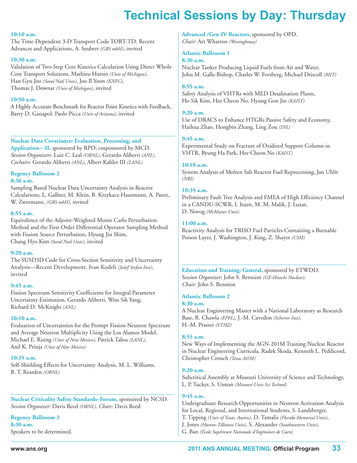#### **10:10 a.m.**

The Time-Dependent 3-D Transport Code TORT-TD: Recent Advances and Applications, A. Seubert *(GRS mbH)*, invited

#### **10:30 a.m.**

Validation of Two-Step Core Kinetics Calculation Using Direct Whole Core Transport Solutions, Mathieu Hursin *(Univ of Michigan)*, Han Gyu Joo *(Seoul Natl Univ)*, Joo Il Yoon *(KNFC)*, Thomas J. Downar *(Univ of Michigan)*, invited

#### **10:50 a.m.**

A Highly Accurate Benchmark for Reactor Point Kinetics with Feedback, Barry D. Ganapol, Paolo Picca *(Univ of Arizona)*, invited

**Nuclear Data Covariance: Evaluation, Processing, and Application—II,** sponsored by RPD; cosponsored by MCD. *Session Organizers:* Luiz C. Leal *(ORNL)*, Gerardo Aliberti *(ANL)*.

*Cochairs:* Gerardo Aliberti *(ANL)*, Albert Kahler III *(LANL)*

#### **Regency Ballroom 2 8:30 a.m.**

Sampling Based Nuclear Data Uncertainty Analysis in Reactor Calculations, L. Gallner, M. Klein, B. Krzykacz-Hausmann, A. Pautz, W. Zwermann, *(GRS mbH)*, invited

#### **8:55 a.m.**

Equivalence of the Adjoint-Weighted Monte Carlo Perturbation Method and the First Order Differential Operator Sampling Method with Fission Source Perturbation, Hyung Jin Shim, Chang Hyo Kim *(Seoul Natl Univ)*, invited

#### **9:20 a.m.**

The SUSD3D Code for Cross-Section Sensitivity and Uncertainty Analysis—Recent Development, Ivan Kodeli *(Jožef Stefan Inst)*, invited

#### **9:45 a.m.**

Fission Spectrum Sensitivity Coefficients for Integral Parameter Uncertainty Estimation, Gerardo Aliberti, Won Sik Yang, Richard D. McKnight *(ANL)*

#### **10:10 a.m.**

Evaluation of Uncertainties for the Prompt Fission Neutron Spectrum and Average Neutron Multiplicity Using the Los Alamos Model, Michael E. Rising *(Univ of New Mexico)*, Patrick Talou *(LANL)*, Anil K. Prinja *(Univ of New Mexico)*

#### **10:35 a.m.**

Self-Shielding Effects for Uncertainty Analysis, M. L. Williams, B. T. Rearden *(ORNL)*

**Nuclear Criticality Safety Standards–Forum,** sponsored by NCSD. *Session Organizer:* Davis Reed *(ORNL)*. *Chair:* Davis Reed

**Regency Ballroom 3 8:30 a.m.** Speakers to be determined. **Advanced /Gen-IV Reactors,** sponsored by OPD. *Chair:* Art Wharton *(Westinghouse)*

#### **Atlantic Ballroom 1**

#### **8:30 a.m.**

Nuclear Tanker Producing Liquid Fuels from Air and Water, John M. Galle-Bishop, Charles W. Forsberg, Michael Driscoll *(MIT)*

#### **8:55 a.m.**

Safety Analysis of VHTRs with MED Desalination Plants, Ho Sik Kim, Hee Cheon No, Hyung Gon Jin *(KAIST)*

#### **9:20 a.m.**

Use of DRACS to Enhance HTGRs Passive Safety and Economy, Haihua Zhao, Hongbin Zhang, Ling Zou *(INL)*

#### **9:45 a.m.**

Experimental Study on Fracture of Oxidized Support Column in VHTR, Byung Ha Park, Hee Cheon No *(KAIST)*

#### **10:10 a.m.**

System Analysis of Molten Salt Reactor Fuel Reprocessing, Jan Uhlír *(NRI)*

#### **10:35 a.m.**

Preliminary Fault Tree Analysis and FMEA of High Efficiency Channel in a CANDU-SCWR, I. Ituen, M. M. Malik, J. Luxat, D. Novog *(McMaster Univ)*

#### **11:00 a.m.**

Reactivity Analysis for TRISO Fuel Particles Containing a Burnable Poison Layer, J. Washington, J. King, Z. Shayer *(CSM)*

**Education and Training: General,** sponsored by ETWDD. S*ession Organizer*: John S. Bennion *(GE-Hitachi Nuclear)*. *Chair:* John S. Bennion

#### **Atlantic Ballroom 2**

#### **8:30 a.m.**

A Nuclear Engineering Master with a National Laboratory as Research Base, R. Chawla *(EPFL)*, J.-M. Cavedon *(Scherrer Inst)*, H.-M. Prasser *(ETHZ)*

#### **8:55 a.m.**

New Ways of Implementing the AGN-201M Training Nuclear Reactor in Nuclear Engineering Curricula, Radek Škoda, Kenneth L. Peddicord, Christopher Crouch *(Texas A&M)*

#### **9:20 a.m.**

Subcritical Assembly at Missouri University of Science and Technology, L. P. Tucker, S. Usman *(Missouri Univ Sci Technol)*

#### **9:45 a.m.**

Undergraduate Research Opportunities in Neutron Activation Analysis for Local, Regional, and International Students, S. Landsberger,

- T. Tipping *(Univ of Texas, Austin)*, D. Tamalis *(Florida Memorial Univ)*,
- J. Jones *(Huston-Tillotson Univ)*, S. Alexander *(Southwestern Univ)*,
- G. Ban *(École Supérieure Nationale d'Ingénieurs de Caen)*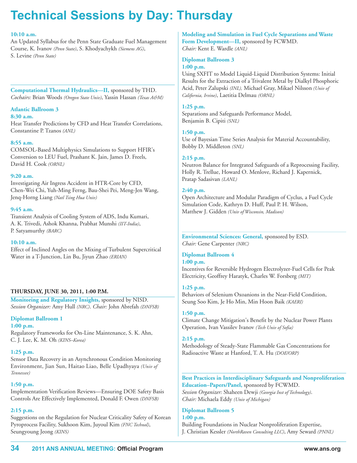#### **10:10 a.m.**

An Updated Syllabus for the Penn State Graduate Fuel Management Course, K. Ivanov *(Penn State)*, S. Khodyachykh *(Siemens AG)*, S. Levine *(Penn State)*

**Computational Thermal Hydraulics—II,** sponsored by THD. *Cochairs:* Brian Woods *(Oregon State Univ)*, Yassin Hassan *(Texas A&M)*

### **Atlantic Ballroom 3**

#### **8:30 a.m.**

Heat Transfer Predictions by CFD and Heat Transfer Correlations, Constantine P. Tzanos *(ANL)*

#### **8:55 a.m.**

COMSOL-Based Multiphysics Simulations to Support HFIR's Conversion to LEU Fuel, Prashant K. Jain, James D. Freels, David H. Cook *(ORNL)*

#### **9:20 a.m.**

Investigating Air Ingress Accident in HTR-Core by CFD, Chen-Wei Chi, Yuh-Ming Ferng, Bau-Shei Pei, Meng-Jen Wang, Jenq-Horng Liang *(Natl Tsing Hua Univ)*

#### **9:45 a.m.**

Transient Analysis of Cooling System of ADS, Indu Kumari, A. K. Trivedi, Ashok Khanna, Prabhat Munshi *(IIT-India)*, P. Satyamurthy *(BARC)*

#### **10:10 a.m.**

Effect of Inclined Angles on the Mixing of Turbulent Supercritical Water in a T-Junction, Lin Bu, Jiyun Zhao *(ERIAN)*

#### **THURSDAY, JUNE 30, 2011, 1:00 P.M.**

**Monitoring and Regulatory Insights,** sponsored by NISD. *Session Organizer:* Amy Hull *(NRC)*. *Chair:* John Abrefah *(DNFSB)*

#### **Diplomat Ballroom 1**

**1:00 p.m.**

Regulatory Frameworks for On-Line Maintenance, S. K. Ahn, C. J. Lee, K. M. Oh *(KINS–Korea)*

#### **1:25 p.m.**

Sensor Data Recovery in an Asynchronous Condition Monitoring Environment, Jian Sun, Haitao Liao, Belle Upadhyaya *(Univ of Tennessee)*

#### **1:50 p.m.**

Implementation Verification Reviews—Ensuring DOE Safety Basis Controls Are Effectively Implemented, Donald F. Owen *(DNFSB)*

#### **2:15 p.m.**

Suggestions on the Regulation for Nuclear Criticality Safety of Korean Pyroprocess Facility, Sukhoon Kim, Juyoul Kim *(FNC Technol)*, Seungyoung Jeong *(KINS)*

**Modeling and Simulation in Fuel Cycle Separations and Waste Form Development—II,** sponsored by FCWMD. *Chair:* Kent E. Wardle *(ANL)*

#### **Diplomat Ballroom 3**

#### **1:00 p.m.**

Using SXFIT to Model Liquid-Liquid Distribution Systems: Initial Results for the Extraction of a Trivalent Metal by Dialkyl Phosphoric Acid, Peter Zalupski *(INL),* Michael Gray, Mikael Nilsson *(Univ of California, Irvine)*, Laetitia Delmau *(ORNL)*

#### **1:25 p.m.**

Separations and Safeguards Performance Model, Benjamin B. Cipiti *(SNL)*

#### **1:50 p.m.**

Use of Bayesian Time Series Analysis for Material Accountability, Bobby D. Middleton *(SNL)*

#### **2:15 p.m.**

Neutron Balance for Integrated Safeguards of a Reprocessing Facility, Holly R. Trellue, Howard O. Menlove, Richard J. Kapernick, Pratap Sadasivan *(LANL)*

#### **2:40 p.m.**

Open Architecture and Modular Paradigm of Cyclus, a Fuel Cycle Simulation Code, Kathryn D. Huff, Paul P. H. Wilson, Matthew J. Gidden *(Univ of Wisconsin, Madison)*

**Environmental Sciences: General,** sponsored by ESD. *Chair:* Gene Carpenter *(NRC)*

### **Diplomat Ballroom 4**

#### **1:00 p.m.**

Incentives for Reversible Hydrogen Electrolyzer-Fuel Cells for Peak Electricity, Geoffrey Haratyk, Charles W. Forsberg *(MIT)*

#### **1:25 p.m.**

Behaviors of Selenium Oxoanions in the Near-Field Condition, Seung Soo Kim, Je Ho Min, Min Hoon Baik *(KAERI)*

**1:50 p.m.**

Climate Change Mitigation's Benefit by the Nuclear Power Plants Operation, Ivan Vassilev Ivanov *(Tech Univ of Sofia)*

#### **2:15 p.m.**

Methodology of Steady-State Flammable Gas Concentrations for Radioactive Waste at Hanford, T. A. Hu *(DOE/ORP)*

**Best Practices in Interdisciplinary Safeguards and Nonproliferation Education–Papers/Panel,** sponsored by FCWMD. *Session Organizer:* Shaheen Dewji *(Georgia Inst of Technology)*. *Chair:* Michaela Eddy *(Univ of Michigan)*

#### **Diplomat Ballroom 5 1:00 p.m.**

Building Foundations in Nuclear Nonproliferation Expertise, J. Christian Kessler *(NorthRaven Consulting LLC)*, Amy Seward *(PNNL)*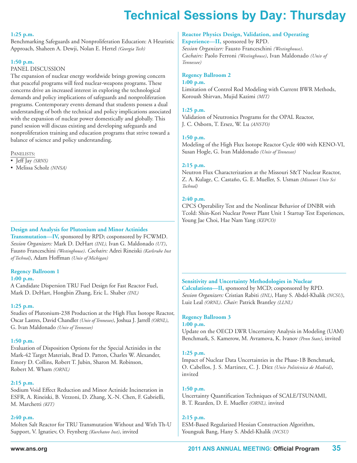#### **1:25 p.m.**

Benchmarking Safeguards and Nonproliferation Education: A Heuristic Approach, Shaheen A. Dewji, Nolan E. Hertel *(Georgia Tech)*

#### **1:50 p.m.**

#### PANEL DISCUSSION

The expansion of nuclear energy worldwide brings growing concern that peaceful programs will feed nuclear-weapons programs. These concerns drive an increased interest in exploring the technological demands and policy implications of safeguards and nonproliferation programs. Contemporary events demand that students possess a dual understanding of both the technical and policy implications associated with the expansion of nuclear power domestically and globally. This panel session will discuss existing and developing safeguards and nonproliferation training and education programs that strive toward a balance of science and policy understanding.

PANELISTS:

- Jeff Jay *(SRNS)*
- Melissa Scholz *(NNSA)*

#### **Design and Analysis for Plutonium and Minor Actinides**

**Transmutation—IV,** sponsored by RPD; cosponsored by FCWMD. *Session Organizers:* Mark D. DeHart *(INL),* Ivan G. Maldonado *(UT)*, Fausto Franceschini *(Westinghouse)*. *Cochairs:* Adrei Rineiski *(Karlsruhe Inst of Technol)*, Adam Hoffman *(Univ of Michigan)*

#### **Regency Ballroom 1**

#### **1:00 p.m.**

A Candidate Dispersion TRU Fuel Design for Fast Reactor Fuel, Mark D. DeHart, Hongbin Zhang, Eric L. Shaber *(INL)*

#### **1:25 p.m.**

Studies of Plutonium-238 Production at the High Flux Isotope Reactor, Oscar Lastres, David Chandler *(Univ of Tennessee)*, Joshua J. Jarrell *(ORNL)*, G. Ivan Maldonado *(Univ of Tennessee)*

#### **1:50 p.m.**

Evaluation of Disposition Options for the Special Actinides in the Mark-42 Target Materials, Brad D. Patton, Charles W. Alexander, Emory D. Collins, Robert T. Jubin, Sharon M. Robinson, Robert M. Wham *(ORNL)*

#### **2:15 p.m.**

Sodium Void Effect Reduction and Minor Actinide Incineration in ESFR, A. Rineiski, B. Vezzoni, D. Zhang, X.-N. Chen, F. Gabrielli, M. Marchetti *(KIT)*

#### **2:40 p.m.**

Molten Salt Reactor for TRU Transmutation Without and With Th-U Support, V. Ignatiev, O. Feynberg *(Kurchatov Inst)*, invited

### **Reactor Physics Design, Validation, and Operating**

**Experience—II,** sponsored by RPD. *Session Organizer:* Fausto Franceschini *(Westinghouse)*. *Cochairs:* Paolo Ferroni *(Westinghouse)*, Ivan Maldonado *(Univ of Tennessee)*

#### **Regency Ballroom 2**

#### **1:00 p.m.**

Limitation of Control Rod Modeling with Current BWR Methods, Koroush Shirvan, Mujid Kazimi *(MIT)*

#### **1:25 p.m.**

Validation of Neutronics Programs for the OPAL Reactor, J. C. Osborn, T. Ersez, W. Lu *(ANSTO)*

#### **1:50 p.m.**

Modeling of the High Flux Isotope Reactor Cycle 400 with KENO-VI, Susan Hogle, G. Ivan Maldonado *(Univ of Tennessee)*

#### **2:15 p.m.**

Neutron Flux Characterization at the Missouri S&T Nuclear Reactor, Z. A. Kulage, C. Castaño, G. E. Mueller, S. Usman *(Missouri Univ Sci Technol)*

#### **2:40 p.m.**

CPCS Operability Test and the Nonlinear Behavior of DNBR with Tcold: Shin-Kori Nuclear Power Plant Unit 1 Startup Test Experiences, Young Jae Choi, Hae Nam Yang *(KEPCO)*

#### **Sensitivity and Uncertainty Methodologies in Nuclear**

**Calculations—II,** sponsored by MCD; cosponsored by RPD. *Session Organizers:* Cristian Rabiti *(INL)*, Hany S. Abdel-Khalik *(NCSU)*, Luiz Leal *(ORNL)*. *Chair:* Patrick Brantley *(LLNL)*

#### **Regency Ballroom 3**

#### **1:00 p.m.**

Update on the OECD LWR Uncertainty Analysis in Modeling (UAM) Benchmark, S. Kamerow, M. Avramova, K. Ivanov *(Penn State)*, invited

#### **1:25 p.m.**

Impact of Nuclear Data Uncertainties in the Phase-1B Benchmark, O. Cabellos, J. S. Martinez, C. J. Díez *(Univ Politécnica de Madrid)*, invited

#### **1:50 p.m.**

Uncertainty Quantification Techniques of SCALE/TSUNAMI, B. T. Rearden, D. E. Mueller *(ORNL),* invited

#### **2:15 p.m.**

ESM-Based Regularized Hessian Construction Algorithm, Youngsuk Bang, Hany S. Abdel-Khalik *(NCSU)*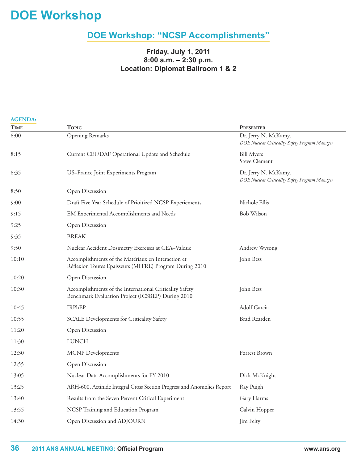# **DOe Workshop**

# **DOe Workshop: "NCSP Accomplishments"**

### **Friday, July 1, 2011 8:00 a.m. – 2:30 p.m. location: Diplomat Ballroom 1 & 2**

| <b>AGENDA:</b> |                                                                                                               |                                                                        |  |  |
|----------------|---------------------------------------------------------------------------------------------------------------|------------------------------------------------------------------------|--|--|
| <b>TIME</b>    | <b>TOPIC</b>                                                                                                  | <b>PRESENTER</b>                                                       |  |  |
| 8:00           | <b>Opening Remarks</b>                                                                                        | Dr. Jerry N. McKamy,<br>DOE Nuclear Criticality Safety Program Manager |  |  |
| 8:15           | Current CEF/DAF Operational Update and Schedule                                                               | <b>Bill Myers</b><br><b>Steve Clement</b>                              |  |  |
| 8:35           | US-France Joint Experiments Program                                                                           | Dr. Jerry N. McKamy,<br>DOE Nuclear Criticality Safety Program Manager |  |  |
| 8:50           | Open Discussion                                                                                               |                                                                        |  |  |
| 9:00           | Draft Five Year Schedule of Prioitized NCSP Experiements                                                      | Nichole Ellis                                                          |  |  |
| 9:15           | EM Experimental Accomplishments and Needs                                                                     | <b>Bob Wilson</b>                                                      |  |  |
| 9:25           | Open Discussion                                                                                               |                                                                        |  |  |
| 9:35           | <b>BREAK</b>                                                                                                  |                                                                        |  |  |
| 9:50           | Nuclear Accident Dosimetry Exercises at CEA-Valduc                                                            | Andrew Wysong                                                          |  |  |
| 10:10          | Accomplishments of the Matériaux en Interaction et<br>Réflexion Toutes Epaisseurs (MITRE) Program During 2010 | John Bess                                                              |  |  |
| 10:20          | Open Discussion                                                                                               |                                                                        |  |  |
| 10:30          | Accomplishments of the International Criticality Safety<br>Benchmark Evaluation Project (ICSBEP) During 2010  | John Bess                                                              |  |  |
| 10:45          | <b>IRPHEP</b>                                                                                                 | Adolf Garcia                                                           |  |  |
| 10:55          | <b>SCALE Developments for Criticality Safety</b>                                                              | <b>Brad Rearden</b>                                                    |  |  |
| 11:20          | Open Discussion                                                                                               |                                                                        |  |  |
| 11:30          | <b>LUNCH</b>                                                                                                  |                                                                        |  |  |
| 12:30          | <b>MCNP</b> Developments                                                                                      | Forrest Brown                                                          |  |  |
| 12:55          | Open Discussion                                                                                               |                                                                        |  |  |
| 13:05          | Nuclear Data Accomplishments for FY 2010                                                                      | Dick McKnight                                                          |  |  |
| 13:25          | ARH-600, Actinide Integral Cross Section Progress and Anomolies Report                                        | Ray Puigh                                                              |  |  |
| 13:40          | Results from the Seven Percent Critical Experiment                                                            | Gary Harms                                                             |  |  |
| 13:55          | NCSP Training and Education Program                                                                           | Calvin Hopper                                                          |  |  |
| 14:30          | Open Discussion and ADJOURN                                                                                   | Jim Felty                                                              |  |  |
|                |                                                                                                               |                                                                        |  |  |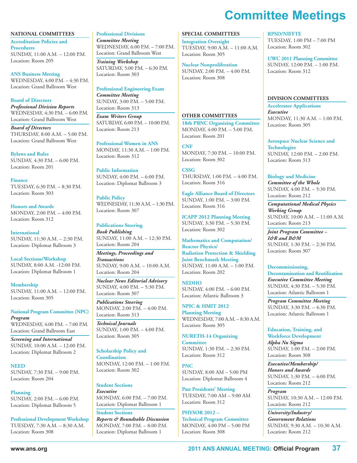# **Committee Meetings**

**NATIONAL COMMITTEES Accreditation Policies and Procedures** SUNDAY, 11:00 A.M. – 12:00 P.M. Location: Room 205

**ANS Business Meeting** WEDNESDAY, 4:00 P.M. – 4:30 P.M. Location: Grand Ballroom West

**Board of Directors** *Professional Division Reports* WEDNESDAY, 4:30 P.M. – 6:00 P.M. Location: Grand Ballroom West

*Board of Directors* THURSDAY, 8:00 A.M. – 5:00 P.M. Location: Grand Ballroom West

**Bylaws and Rules** SUNDAY, 4:30 P.M. – 6:00 P.M. Location: Room 201

**Finance** TUESDAY, 6:30 P.M. – 8:30 P.M. Location: Room 303

**Honors and Awards** MONDAY, 2:00 P.M. – 4:00 P.M. Location: Room 312

**International** SUNDAY, 11:30 A.M. – 2:30 P.M. Location: Diplomat Ballroom 3

**Local Sections/Workshop** SUNDAY, 8:00 A.M. -12:00 P.M. Location: Diplomat Ballroom 1

**Membership** SUNDAY, 11:00 A.M. – 12:00 P.M. Location: Room 305

**National Program Committee (NPC)** *Program* WEDNESDAY, 4:00 P.M. – 7:00 P.M. Location: Grand Ballroom East

*Screening and International* SUNDAY, 10:00 A.M. – 12:00 P.M. Location: Diplomat Ballroom 2

**NEED** SUNDAY, 7:30 P.M. – 9:00 P.M. Location: Room 204

**Planning** SUNDAY, 2:00 P.M. – 6:00 P.M. Location: Diplomat Ballroom 5

**Professional Development Workshop** TUESDAY, 7:30 A.M. – 8:30 A.M. Location: Room 308

**Professional Divisions** *Committee Meeting* WEDNESDAY, 6:00 P.M. – 7:00 P.M.

Location: Grand Ballroom West

*Training Workshop* SATURDAY, 5:00 P.M. – 6:30 P.M. Location: Room 303

**Professional Engineering Exam** *Committee Meeting* SUNDAY, 3:00 P.M. – 5:00 P.M. Location: Room 313

*Exam Writers Group* SATURDAY, 6:00 P.M. – 10:00 P.M. Location: Room 213

**Professional Women in ANS** MONDAY, 11:30 A.M. – 1:00 P.M. Location: Room 312

**Public Information** SUNDAY, 4:00 P.M. – 6:00 P.M. Location: Diplomat Ballroom 3

**Public Policy** WEDNESDAY, 11:30 A.M. – 1:30 P.M. Location: Room 307

**Publications Steering** *Book Publishing* SUNDAY, 11:00 A.M. – 12:30 P.M. Location: Room 204

*Meetings, Proceedings and Transactions* SUNDAY, 9:00 A.M. – 10:00 A.M. Location: Room 204

*Nuclear News Editorial Advisory* SUNDAY, 4:00 P.M. – 5:30 P.M. Location: Room 307

*Publications Steering* MONDAY, 2:00 P.M. – 4:00 P.M. Location: Room 313

*Technical Journals* SUNDAY, 1:00 P.M. – 4:00 P.M. Location: Room 305

**Scholarship Policy and**

**Coordination** MONDAY, 12:00 P.M. – 1:00 P.M. Location: Room 302

**Student Sections** *Executive* MONDAY, 6:00 P.M. – 7:00 P.M. Location: Diplomat Ballroom 1

**Student Sections** *Reports & Roundtable Discussion* MONDAY, 7:00 P.M. – 8:00 P.M. Location: Diplomat Ballroom 1

#### **SPECIAL COMMITTEES**

**Integration Oversight** TUESDAY, 9:00 A.M. – 11:00 A.M. Location: Room 305

**Nuclear Nonproliferation** SUNDAY, 2:00 P.M. – 4:00 P.M. Location: Room 308

#### **OTHER COMMITTEES**

**18th PBNC Organizing Committee** MONDAY, 4:00 P.M. – 5:00 P.M. Location: Room 201

**CNF** MONDAY, 7:30 P.M. – 10:00 P.M. Location: Room 302

**CSSG** THURSDAY, 1:00 P.M. – 4:00 P.M. Location: Room 316

**Eagle Alliance Board of Directors** SUNDAY, 1:00 P.M. – 3:00 P.M. Location: Room 316

**ICAPP 2012 Planning Meeting** SUNDAY, 3:30 P.M. – 5:30 P.M. Location: Room 302

**Mathematics and Computation/ Reactor Physics/ Radiation Protection & Shielding Joint Benchmark Meeting** SUNDAY, 11:00 A.M. – 1:00 P.M. Location: Room 202

**NEDHO** SUNDAY, 4:00 P.M. – 6:00 P.M. Location: Atlantic Ballroom 3

**NPIC & HMIT 2012 Planning Meeting** WEDNESDAY, 7:00 A.M. – 8:30 A.M. Location: Room 305

**NURETH-14 Organizing Committee** SUNDAY, 1:30 P.M. – 2:30 P.M. Location: Room 312

**PNC** SUNDAY, 8:00 AM – 5:00 PM Location: Diplomat Ballroom 4

**Past Presidents' Meeting** TUESDAY, 7:00 AM – 9:00 AM Location: Room 312

**PHYSOR 2012 – Technical Program Committee** MONDAY, 4:00 PM – 5:00 PM Location: Room 308

#### **RPSD/NIFFTE**

TUESDAY, 1:00 PM – 7:00 PM Location: Room 302

**UWC 2011 Planning Committee** SUNDAY, 12:00 P.M. – 1:00 P.M. Location: Room 312

#### **DIVISION COMMITTEES**

**Accelerator Applications** *Executive* MONDAY, 11:30 A.M. – 1:00 P.M. Location: Room 305

**Aerospace Nuclear Science and Technologies** SUNDAY, 12:00 P.M. – 2:00 P.M. Location: Room 313

**Biology and Medicine** *Committee of the Whole* SUNDAY, 4:00 P.M. – 5:30 P.M. Location: Room 212

*Computational Medical Physics Working Group* SUNDAY, 10:00 A.M. – 11:00 A.M. Location: Room 213

*Joint Program Committee – I&R and B&M* SUNDAY, 1:30 P.M. – 2:30 P.M. Location: Room 307

#### **Decommissioning,**

**Decontamination and Reutilization** *Executive Committee Meeting* SUNDAY, 4:30 P.M. – 5:30 P.M. Location: Atlantic Ballroom 1

*Program Committee Meeting* SUNDAY, 3:30 P.M. – 4:30 P.M. Location: Atlantic Ballroom 1

**Education, Training, and Workforce Development** *Alpha Nu Sigma* SUNDAY, 1:00 P.M. – 2:00 P.M. Location: Room 308

*Executive/Membership/ Honors and Awards* SUNDAY, 1:30 P.M. – 4:00 P.M. Location: Room 212

*Program* SUNDAY, 10:30 A.M. – 12:00 P.M. Location: Room 212

*University/Industry/ Government Relations* SUNDAY, 9:30 A.M. – 10:30 A.M. Location: Room 212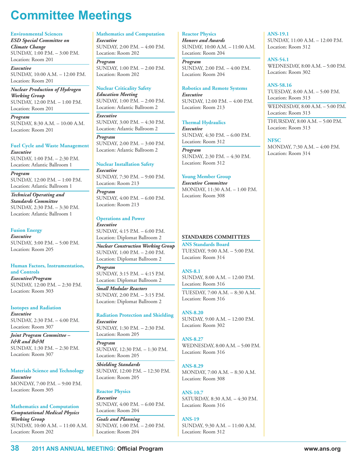# **Committee Meetings**

#### **Environmental Sciences**

*ESD Special Committee on Climate Change* SUNDAY, 1:00 P.M. – 3:00 P.M. Location: Room 201

*Executive* SUNDAY, 10:00 A.M. – 12:00 P.M. Location: Room 201

*Nuclear Production of Hydrogen Working Group* SUNDAY, 12:00 P.M. – 1:00 P.M. Location: Room 201

*Program* SUNDAY, 8:30 A.M. – 10:00 A.M. Location: Room 201

#### **Fuel Cycle and Waste Management** *Executive*

SUNDAY, 1:00 P.M. – 2:30 P.M. Location: Atlantic Ballroom 1

*Program* SUNDAY, 12:00 P.M. – 1:00 P.M. Location: Atlantic Ballroom 1

*Technical Operating and Standards Committee* SUNDAY, 2:30 P.M. – 3:30 P.M. Location: Atlantic Ballroom 1

#### **Fusion Energy** *Executive* SUNDAY, 3:00 P.M. – 5:00 P.M. Location: Room 205

#### **Human Factors, Instrumentation, and Controls**

*Executive/Program* SUNDAY, 12:00 P.M. – 2:30 P.M. Location: Room 303

### **Isotopes and Radiation**

*Executive* SUNDAY, 2:30 P.M. – 4:00 P.M. Location: Room 307

*Joint Program Committee – I&R and B&M* SUNDAY, 1:30 P.M. – 2:30 P.M. Location: Room 307

#### **Materials Science and Technology**

*Executive* MONDAY, 7:00 P.M. – 9:00 P.M. Location: Room 305

### **Mathematics and Computation**

*Computational Medical Physics Working Group* SUNDAY, 10:00 A.M. – 11:00 A.M. Location: Room 202

**Mathematics and Computation** *Executive*

SUNDAY, 2:00 P.M. – 4:00 P.M. Location: Room 202

*Program* SUNDAY, 1:00 P.M. – 2:00 P.M. Location: Room 202

#### **Nuclear Criticality Safety**

*Education Meeting*  $SUNDAY, 1:00$   $PM. - 2:00$   $PM.$ Location: Atlantic Ballroom 2

*Executive* SUNDAY, 3:00 P.M. – 4:30 P.M. Location: Atlantic Ballroom 2

*Program* SUNDAY, 2:00 P.M. – 3:00 P.M. Location: Atlantic Ballroom 2

#### **Nuclear Installation Safety** *Executive*

SUNDAY, 7:30 P.M. – 9:00 P.M. Location: Room 213

*Program* SUNDAY, 4:00 P.M. – 6:00 P.M. Location: Room 213

#### **Operations and Power**

*Executive* SUNDAY, 4:15 P.M. – 6:00 P.M. Location: Diplomat Ballroom 2

*Nuclear Construction Working Group* SUNDAY, 1:00 P.M. – 2:00 P.M. Location: Diplomat Ballroom 2

*Program* SUNDAY, 3:15 P.M. – 4:15 P.M. Location: Diplomat Ballroom 2

*Small Modular Reactors* SUNDAY, 2:00 P.M. – 3:15 P.M. Location: Diplomat Ballroom 2

### **Radiation Protection and Shielding**

*Executive* SUNDAY, 1:30 P.M. – 2:30 P.M. Location: Room 205

*Program* SUNDAY, 12:30 P.M. – 1:30 P.M. Location: Room 205

*Shielding Standards* SUNDAY, 12:00 P.M. – 12:30 P.M. Location: Room 205

#### **Reactor Physics**

*Executive* SUNDAY, 4:00 P.M. – 6:00 P.M. Location: Room 204

*Goals and Planning* SUNDAY, 1:00 P.M. – 2:00 P.M. Location: Room 204

#### **Reactor Physics** *Honors and Awards* SUNDAY, 10:00 A.M. – 11:00 A.M.

Location: Room 204 *Program*

SUNDAY, 2:00 P.M. – 4:00 P.M. Location: Room 204

**Robotics and Remote Systems** *Executive* SUNDAY, 12:00 P.M. – 4:00 P.M.

Location: Room 213

#### **Thermal Hydraulics**

*Executive* SUNDAY, 4:30 P.M. – 6:00 P.M. Location: Room 312

*Program* SUNDAY, 2:30 P.M. – 4:30 P.M. Location: Room 312

#### **Young Member Group**

*Executive Committee* MONDAY, 11:30 A.M. – 1:00 P.M. Location: Room 308

#### **STANDARDS COMMITTEES**

**ANS Standards Board** TUESDAY, 9:00 A.M. – 5:00 P.M. Location: Room 314

#### **ANS-8.1**

SUNDAY, 8:00 A.M. – 12:00 P.M. Location: Room 316 TUESDAY, 7:00 A.M. – 8:30 A.M. Location: Room 316

#### **ANS-8.20**

SUNDAY, 9:00 A.M. – 12:00 P.M. Location: Room 302

#### **ANS-8.27** WEDNESDAY, 8:00 A.M. – 5:00 P.M. Location: Room 316

**ANS-8.29** MONDAY, 7:00 A.M. – 8:30 A.M. Location: Room 308

#### **ANS-10.7** SATURDAY, 8:30 A.M. – 4:30 P.M. Location: Room 316

**ANS-19** SUNDAY, 9:30 A.M. – 11:00 A.M. Location: Room 312

#### **ANS-19.1** SUNDAY, 11:00 A.M. – 12:00 P.M. Location: Room 312

**ANS-54.1** WEDNESDAY, 8:00 A.M. – 5:00 P.M. Location: Room 302

#### **ANS-58.16**

TUESDAY, 8:00 A.M. – 5:00 P.M. Location: Room 313 WEDNESDAY, 8:00 A.M. – 5:00 P.M.

Location: Room 313 THURSDAY, 8:00 A.M. – 5:00 P.M. Location: Room 313

#### **NFSC**

MONDAY, 7:30 A.M. – 4:00 P.M. Location: Room 314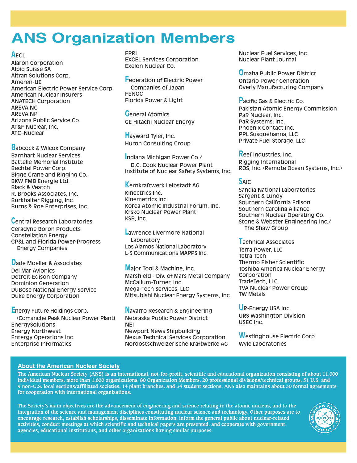# **ANS Organization Members**

#### **A**ECL

Alaron Corporation Alpiq Suisse SA Altran Solutions Corp. Ameren-UE American Electric Power Service Corp. American Nuclear Insurers ANATECH Corporation AREVA NC AREVA NP Arizona Public Service Co. AT&F Nuclear, Inc. ATC–Nuclear

**B**abcock & Wilcox Company Barnhart Nuclear Services Battelle Memorial Institute Bechtel Power Corp. Bigge Crane and Rigging Co. BKW FMB Energie Ltd. Black & Veatch R. Brooks Associates, Inc. Burkhalter Rigging, Inc. Burns & Roe Enterprises, Inc.

**C**entral Research Laboratories Ceradyne Boron Products Constellation Energy CP&L and Florida Power-Progress Energy Companies

**D**ade Moeller & Associates Del Mar Avionics Detroit Edison Company Dominion Generation DuBose National Energy Service Duke Energy Corporation

**E**nergy Future Holdings Corp. (Comanche Peak Nuclear Power Plant) EnergySolutions Energy Northwest Entergy Operations Inc. Enterprise Informatics

EPRI EXCEL Services Corporation Exelon Nuclear Co.

**F**ederation of Electric Power Companies of Japan FENOC Florida Power & Light

**G**eneral Atomics GE Hitachi Nuclear Energy

**H**ayward Tyler, Inc. Huron Consulting Group

**I**ndiana Michigan Power Co./ D.C. Cook Nuclear Power Plant Institute of Nuclear Safety Systems, Inc.

**K**ernkraftwerk Leibstadt AG Kinectrics Inc. Kinemetrics Inc. Korea Atomic Industrial Forum, Inc. Krsko Nuclear Power Plant KSB, Inc.

**L**awrence Livermore National **Laboratory** Los Alamos National Laboratory L-3 Communications MAPPS Inc.

**M**ajor Tool & Machine, Inc. Marshield - Div. of Mars Metal Company McCallum-Turner, Inc. Mega-Tech Services, LLC Mitsubishi Nuclear Energy Systems, Inc.

**N**avarro Research & Engineering Nebraska Public Power District NEI Newport News Shipbuilding Nexus Technical Services Corporation Nordostschweizerische Kraftwerke AG Nuclear Fuel Services, Inc. Nuclear Plant Journal

**O**maha Public Power District Ontario Power Generation Overly Manufacturing Company

**P**acific Gas & Electric Co. Pakistan Atomic Energy Commission PaR Nuclear, Inc. PaR Systems, Inc. Phoenix Contact Inc. PPL Susquehanna, LLC Private Fuel Storage, LLC

**R**eef Industries, Inc. Rigging International ROS, Inc. (Remote Ocean Systems, Inc.)

### **S**AIC

Sandia National Laboratories Sargent & Lundy Southern California Edison Southern Carolina Alliance Southern Nuclear Operating Co. Stone & Webster Engineering Inc./ The Shaw Group

**T**echnical Associates Terra Power, LLC Tetra Tech Thermo Fisher Scientific Toshiba America Nuclear Energy **Corporation** TradeTech, LLC TVA Nuclear Power Group TW Metals

**U**R-Energy USA Inc. URS Washington Division USEC Inc.

**W**estinghouse Electric Corp. Wyle Laboratories

#### **About the American Nuclear Society**

The American Nuclear Society (ANS) is an international, not-for-profit, scientific and educational organization consisting of about 11,000 individual members, more than 1,600 organizations, 80 Organization Members, 20 professional divisions/technical groups, 51 U.S. and 9 non-U.S. local sections/affiliated societies, 14 plant branches, and 34 student sections. ANS also maintains about 30 formal agreements **for cooperation with international organizations.**

The Society's main objectives are the advancement of engineering and science relating to the atomic nucleus, and to the integration of the science and management disciplines constituting nuclear science and technology. Other purposes are to **encourage research, establish scholarships, disseminate information, inform the general public about nuclear-related activities, conduct meetings at which scientific and technical papers are presented, and cooperate with government agencies, educational institutions, and other organizations having similar purposes.**